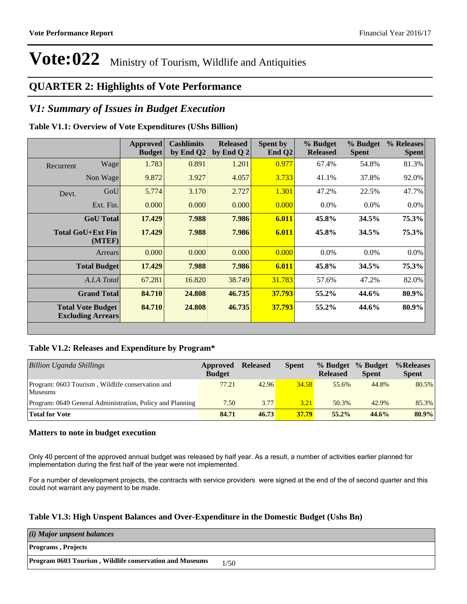## **QUARTER 2: Highlights of Vote Performance**

### *V1: Summary of Issues in Budget Execution*

### **Table V1.1: Overview of Vote Expenditures (UShs Billion)**

|           |                                                      | Approved<br><b>Budget</b> | <b>Cashlimits</b><br>by End Q2 | <b>Released</b><br>by End Q $2$ | Spent by<br>End $Q2$ | % Budget<br><b>Released</b> | % Budget<br><b>Spent</b> | % Releases<br><b>Spent</b> |
|-----------|------------------------------------------------------|---------------------------|--------------------------------|---------------------------------|----------------------|-----------------------------|--------------------------|----------------------------|
| Recurrent | Wage                                                 | 1.783                     | 0.891                          | 1.201                           | 0.977                | 67.4%                       | 54.8%                    | 81.3%                      |
|           | Non Wage                                             | 9.872                     | 3.927                          | 4.057                           | 3.733                | 41.1%                       | 37.8%                    | 92.0%                      |
| Devt.     | GoU                                                  | 5.774                     | 3.170                          | 2.727                           | 1.301                | 47.2%                       | 22.5%                    | 47.7%                      |
|           | Ext. Fin.                                            | 0.000                     | 0.000                          | 0.000                           | 0.000                | $0.0\%$                     | $0.0\%$                  | $0.0\%$                    |
|           | <b>GoU</b> Total                                     | 17.429                    | 7.988                          | 7.986                           | 6.011                | 45.8%                       | 34.5%                    | 75.3%                      |
|           | Total GoU+Ext Fin<br>(MTEF)                          | 17.429                    | 7.988                          | 7.986                           | 6.011                | 45.8%                       | 34.5%                    | 75.3%                      |
|           | Arrears                                              | 0.000                     | 0.000                          | 0.000                           | 0.000                | 0.0%                        | 0.0%                     | 0.0%                       |
|           | <b>Total Budget</b>                                  | 17.429                    | 7.988                          | 7.986                           | 6.011                | 45.8%                       | 34.5%                    | 75.3%                      |
|           | A.I.A Total                                          | 67.281                    | 16.820                         | 38.749                          | 31.783               | 57.6%                       | 47.2%                    | 82.0%                      |
|           | <b>Grand Total</b>                                   | 84.710                    | 24.808                         | 46.735                          | 37.793               | 55.2%                       | 44.6%                    | 80.9%                      |
|           | <b>Total Vote Budget</b><br><b>Excluding Arrears</b> | 84.710                    | 24.808                         | 46.735                          | 37.793               | 55.2%                       | 44.6%                    | 80.9%                      |

### **Table V1.2: Releases and Expenditure by Program\***

| <b>Billion Uganda Shillings</b>                             | Approved<br><b>Budget</b> | <b>Released</b> | <b>Spent</b> | % Budget<br><b>Released</b> | % Budget<br><b>Spent</b> | %Releases<br><b>Spent</b> |
|-------------------------------------------------------------|---------------------------|-----------------|--------------|-----------------------------|--------------------------|---------------------------|
| Program: 0603 Tourism, Wildlife conservation and<br>Museums | 77.21                     | 42.96           | 34.58        | 55.6%                       | 44.8%                    | 80.5%                     |
| Program: 0649 General Administration, Policy and Planning   | 7.50                      | 3.77            | 3.21         | 50.3%                       | 42.9%                    | 85.3%                     |
| <b>Total for Vote</b>                                       | 84.71                     | 46.73           | 37.79        | $55.2\%$                    | 44.6%                    | 80.9%                     |

### **Matters to note in budget execution**

Only 40 percent of the approved annual budget was released by half year. As a result, a number of activities earlier planned for implementation during the first half of the year were not implemented.

For a number of development projects, the contracts with service providers were signed at the end of the of second quarter and this could not warrant any payment to be made.

### **Table V1.3: High Unspent Balances and Over-Expenditure in the Domestic Budget (Ushs Bn)**

| $(i)$ Major unpsent balances                                   |      |
|----------------------------------------------------------------|------|
| <b>Programs</b> , Projects                                     |      |
| <b>Program 0603 Tourism, Wildlife conservation and Museums</b> | 1/50 |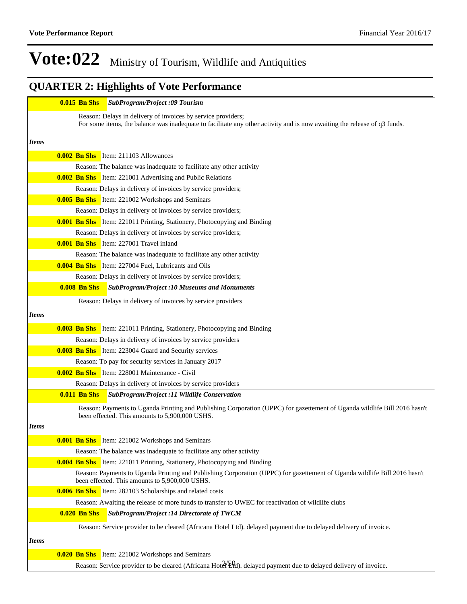|              | $0.015$ Bn Shs      | <b>SubProgram/Project :09 Tourism</b>                                                                                                                                                    |
|--------------|---------------------|------------------------------------------------------------------------------------------------------------------------------------------------------------------------------------------|
|              |                     | Reason: Delays in delivery of invoices by service providers;<br>For some items, the balance was inadequate to facilitate any other activity and is now awaiting the release of q3 funds. |
| <b>Items</b> |                     |                                                                                                                                                                                          |
|              |                     | <b>0.002 Bn Shs</b> Item: 211103 Allowances                                                                                                                                              |
|              |                     | Reason: The balance was inadequate to facilitate any other activity                                                                                                                      |
|              |                     | <b>0.002 Bn Shs</b> Item: 221001 Advertising and Public Relations                                                                                                                        |
|              |                     | Reason: Delays in delivery of invoices by service providers;                                                                                                                             |
|              |                     | <b>0.005 Bn Shs</b> Item: 221002 Workshops and Seminars                                                                                                                                  |
|              |                     | Reason: Delays in delivery of invoices by service providers;                                                                                                                             |
|              |                     | <b>0.001 Bn Shs</b> Item: 221011 Printing, Stationery, Photocopying and Binding                                                                                                          |
|              |                     | Reason: Delays in delivery of invoices by service providers;                                                                                                                             |
|              |                     | <b>0.001 Bn Shs</b> Item: 227001 Travel inland                                                                                                                                           |
|              |                     | Reason: The balance was inadequate to facilitate any other activity                                                                                                                      |
|              |                     | <b>0.004 Bn Shs</b> Item: 227004 Fuel, Lubricants and Oils                                                                                                                               |
|              |                     | Reason: Delays in delivery of invoices by service providers;                                                                                                                             |
|              | <b>0.008 Bn Shs</b> | <b>SubProgram/Project :10 Museums and Monuments</b>                                                                                                                                      |
|              |                     | Reason: Delays in delivery of invoices by service providers                                                                                                                              |
| Items        |                     |                                                                                                                                                                                          |
|              |                     | <b>0.003 Bn Shs</b> Item: 221011 Printing, Stationery, Photocopying and Binding                                                                                                          |
|              |                     | Reason: Delays in delivery of invoices by service providers                                                                                                                              |
|              |                     | <b>0.003 Bn Shs</b> Item: 223004 Guard and Security services                                                                                                                             |
|              |                     | Reason: To pay for security services in January 2017                                                                                                                                     |
|              |                     | <b>0.002 Bn Shs</b> Item: 228001 Maintenance - Civil                                                                                                                                     |
|              |                     | Reason: Delays in delivery of invoices by service providers                                                                                                                              |
|              | $0.011$ Bn Shs      | SubProgram/Project :11 Wildlife Conservation                                                                                                                                             |
|              |                     | Reason: Payments to Uganda Printing and Publishing Corporation (UPPC) for gazettement of Uganda wildlife Bill 2016 hasn't<br>been effected. This amounts to 5,900,000 USHS.              |
| Items        |                     |                                                                                                                                                                                          |
|              |                     | <b>0.001 Bn Shs</b> Item: 221002 Workshops and Seminars                                                                                                                                  |
|              |                     | Reason: The balance was inadequate to facilitate any other activity                                                                                                                      |
|              |                     | <b>0.004 Bn Shs</b> Item: 221011 Printing, Stationery, Photocopying and Binding                                                                                                          |
|              |                     | Reason: Payments to Uganda Printing and Publishing Corporation (UPPC) for gazettement of Uganda wildlife Bill 2016 hasn't<br>been effected. This amounts to 5,900,000 USHS.              |
|              |                     | <b>0.006 Bn Shs</b> Item: 282103 Scholarships and related costs                                                                                                                          |
|              |                     | Reason: Awaiting the release of more funds to transfer to UWEC for reactivation of wildlife clubs                                                                                        |
|              | <b>0.020 Bn Shs</b> | <b>SubProgram/Project :14 Directorate of TWCM</b>                                                                                                                                        |
|              |                     | Reason: Service provider to be cleared (Africana Hotel Ltd). delayed payment due to delayed delivery of invoice.                                                                         |
| <b>Items</b> |                     |                                                                                                                                                                                          |
|              |                     | <b>0.020 Bn Shs</b> Item: 221002 Workshops and Seminars                                                                                                                                  |
|              |                     | Reason: Service provider to be cleared (Africana Hotel £0d). delayed payment due to delayed delivery of invoice.                                                                         |
|              |                     |                                                                                                                                                                                          |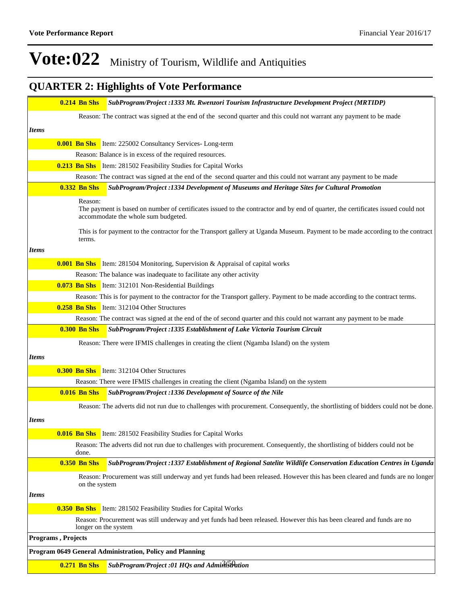|              | $0.214$ Bn Shs      | SubProgram/Project : 1333 Mt. Rwenzori Tourism Infrastructure Development Project (MRTIDP)                                                                              |
|--------------|---------------------|-------------------------------------------------------------------------------------------------------------------------------------------------------------------------|
|              |                     | Reason: The contract was signed at the end of the second quarter and this could not warrant any payment to be made                                                      |
| <i>Items</i> |                     |                                                                                                                                                                         |
|              |                     | <b>0.001 Bn Shs</b> Item: 225002 Consultancy Services- Long-term                                                                                                        |
|              |                     | Reason: Balance is in excess of the required resources.                                                                                                                 |
|              |                     | <b>0.213 Bn Shs</b> Item: 281502 Feasibility Studies for Capital Works                                                                                                  |
|              |                     | Reason: The contract was signed at the end of the second quarter and this could not warrant any payment to be made                                                      |
|              | <b>0.332 Bn Shs</b> | SubProgram/Project :1334 Development of Museums and Heritage Sites for Cultural Promotion                                                                               |
|              | Reason:             |                                                                                                                                                                         |
|              |                     | The payment is based on number of certificates issued to the contractor and by end of quarter, the certificates issued could not<br>accommodate the whole sum budgeted. |
|              | terms.              | This is for payment to the contractor for the Transport gallery at Uganda Museum. Payment to be made according to the contract                                          |
| <b>Items</b> |                     |                                                                                                                                                                         |
|              |                     | <b>0.001 Bn Shs</b> Item: 281504 Monitoring, Supervision & Appraisal of capital works                                                                                   |
|              |                     | Reason: The balance was inadequate to facilitate any other activity                                                                                                     |
|              |                     | <b>0.073 Bn Shs</b> Item: 312101 Non-Residential Buildings                                                                                                              |
|              |                     | Reason: This is for payment to the contractor for the Transport gallery. Payment to be made according to the contract terms.                                            |
|              |                     | <b>0.258 Bn Shs</b> Item: 312104 Other Structures                                                                                                                       |
|              |                     | Reason: The contract was signed at the end of the of second quarter and this could not warrant any payment to be made                                                   |
|              | <b>0.300 Bn Shs</b> | SubProgram/Project :1335 Establishment of Lake Victoria Tourism Circuit                                                                                                 |
|              |                     | Reason: There were IFMIS challenges in creating the client (Ngamba Island) on the system                                                                                |
| <i>Items</i> |                     |                                                                                                                                                                         |
|              |                     | <b>0.300 Bn Shs</b> Item: 312104 Other Structures                                                                                                                       |
|              |                     | Reason: There were IFMIS challenges in creating the client (Ngamba Island) on the system                                                                                |
|              | <b>0.016 Bn Shs</b> | SubProgram/Project :1336 Development of Source of the Nile                                                                                                              |
|              |                     | Reason: The adverts did not run due to challenges with procurement. Consequently, the shortlisting of bidders could not be done.                                        |
| <i>Items</i> |                     |                                                                                                                                                                         |
|              |                     | <b>0.016 Bn Shs</b> Item: 281502 Feasibility Studies for Capital Works                                                                                                  |
|              | done.               | Reason: The adverts did not run due to challenges with procurement. Consequently, the shortlisting of bidders could not be                                              |
|              | <b>0.350 Bn Shs</b> | SubProgram/Project :1337 Establishment of Regional Satelite Wildlife Conservation Education Centres in Uganda                                                           |
|              | on the system       | Reason: Procurement was still underway and yet funds had been released. However this has been cleared and funds are no longer                                           |
| <i>Items</i> |                     |                                                                                                                                                                         |
|              |                     | <b>0.350 Bn Shs</b> Item: 281502 Feasibility Studies for Capital Works                                                                                                  |
|              |                     | Reason: Procurement was still underway and yet funds had been released. However this has been cleared and funds are no<br>longer on the system                          |
|              | Programs, Projects  |                                                                                                                                                                         |
|              |                     | Program 0649 General Administration, Policy and Planning                                                                                                                |
|              | <b>0.271 Bn Shs</b> | SubProgram/Project:01 HQs and Admintsration                                                                                                                             |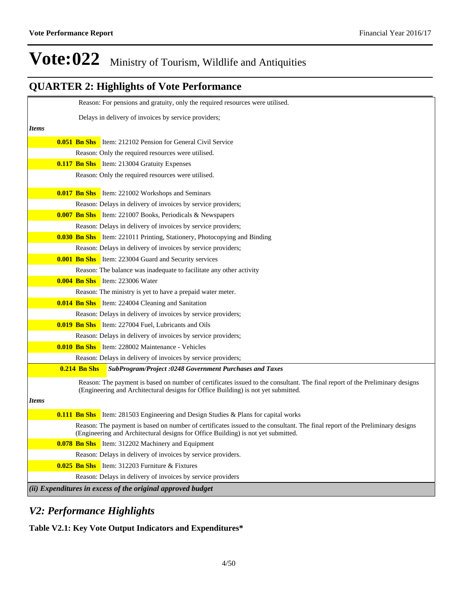## **QUARTER 2: Highlights of Vote Performance**

|              |                | Reason: For pensions and gratuity, only the required resources were utilised.                                                                                                                                     |
|--------------|----------------|-------------------------------------------------------------------------------------------------------------------------------------------------------------------------------------------------------------------|
|              |                | Delays in delivery of invoices by service providers;                                                                                                                                                              |
| <i>Items</i> |                |                                                                                                                                                                                                                   |
|              |                | <b>0.051 Bn Shs</b> Item: 212102 Pension for General Civil Service                                                                                                                                                |
|              |                | Reason: Only the required resources were utilised.                                                                                                                                                                |
|              |                | <b>0.117 Bn Shs</b> Item: 213004 Gratuity Expenses                                                                                                                                                                |
|              |                | Reason: Only the required resources were utilised.                                                                                                                                                                |
|              |                | <b>0.017 Bn Shs</b> Item: 221002 Workshops and Seminars                                                                                                                                                           |
|              |                | Reason: Delays in delivery of invoices by service providers;                                                                                                                                                      |
|              |                | <b>0.007 Bn Shs</b> Item: 221007 Books, Periodicals & Newspapers                                                                                                                                                  |
|              |                | Reason: Delays in delivery of invoices by service providers;                                                                                                                                                      |
|              |                | <b>0.030 Bn Shs</b> Item: 221011 Printing, Stationery, Photocopying and Binding                                                                                                                                   |
|              |                | Reason: Delays in delivery of invoices by service providers;                                                                                                                                                      |
|              |                | <b>0.001 Bn Shs</b> Item: 223004 Guard and Security services                                                                                                                                                      |
|              |                | Reason: The balance was inadequate to facilitate any other activity                                                                                                                                               |
|              |                | <b>0.004 Bn Shs</b> Item: 223006 Water                                                                                                                                                                            |
|              |                | Reason: The ministry is yet to have a prepaid water meter.                                                                                                                                                        |
|              |                | <b>0.014 Bn Shs</b> Item: 224004 Cleaning and Sanitation                                                                                                                                                          |
|              |                | Reason: Delays in delivery of invoices by service providers;                                                                                                                                                      |
|              |                | <b>0.019 Bn Shs</b> Item: 227004 Fuel, Lubricants and Oils                                                                                                                                                        |
|              |                | Reason: Delays in delivery of invoices by service providers;                                                                                                                                                      |
|              |                | <b>0.010 Bn Shs</b> Item: 228002 Maintenance - Vehicles                                                                                                                                                           |
|              |                | Reason: Delays in delivery of invoices by service providers;                                                                                                                                                      |
|              | $0.214$ Bn Shs | <b>SubProgram/Project :0248 Government Purchases and Taxes</b>                                                                                                                                                    |
|              |                | Reason: The payment is based on number of certificates issued to the consultant. The final report of the Preliminary designs                                                                                      |
|              |                | (Engineering and Architectural designs for Office Building) is not yet submitted.                                                                                                                                 |
| <i>Items</i> |                |                                                                                                                                                                                                                   |
|              |                | <b>0.111 Bn Shs</b> Item: 281503 Engineering and Design Studies & Plans for capital works                                                                                                                         |
|              |                | Reason: The payment is based on number of certificates issued to the consultant. The final report of the Preliminary designs<br>(Engineering and Architectural designs for Office Building) is not yet submitted. |
|              |                | <b>0.078 Bn Shs</b> Item: 312202 Machinery and Equipment                                                                                                                                                          |
|              |                | Reason: Delays in delivery of invoices by service providers.                                                                                                                                                      |
|              |                | <b>0.025 Bn Shs</b> Item: 312203 Furniture & Fixtures                                                                                                                                                             |
|              |                | Reason: Delays in delivery of invoices by service providers                                                                                                                                                       |
|              |                | $(iii)$ Expenditures in excess of the original approved budget                                                                                                                                                    |

### *V2: Performance Highlights*

**Table V2.1: Key Vote Output Indicators and Expenditures\***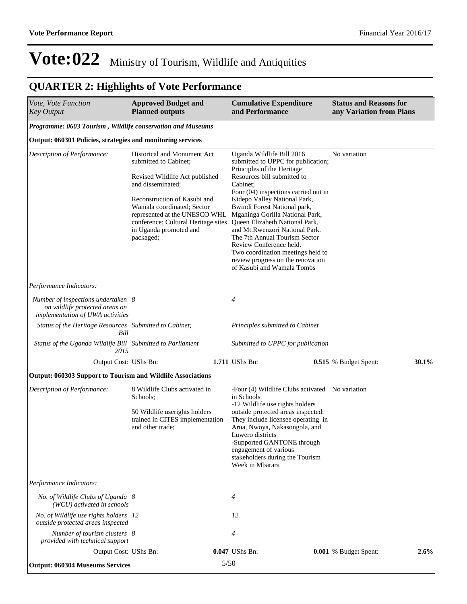| Vote, Vote Function<br><b>Key Output</b>                                                                 | <b>Approved Budget and</b><br><b>Planned outputs</b>                                                                                                                                                                                                     | <b>Cumulative Expenditure</b><br>and Performance                                                                                                                                                                                                                                                                      | <b>Status and Reasons for</b><br>any Variation from Plans |
|----------------------------------------------------------------------------------------------------------|----------------------------------------------------------------------------------------------------------------------------------------------------------------------------------------------------------------------------------------------------------|-----------------------------------------------------------------------------------------------------------------------------------------------------------------------------------------------------------------------------------------------------------------------------------------------------------------------|-----------------------------------------------------------|
| Programme: 0603 Tourism, Wildlife conservation and Museums                                               |                                                                                                                                                                                                                                                          |                                                                                                                                                                                                                                                                                                                       |                                                           |
| <b>Output: 060301 Policies, strategies and monitoring services</b>                                       |                                                                                                                                                                                                                                                          |                                                                                                                                                                                                                                                                                                                       |                                                           |
| Description of Performance:                                                                              | <b>Historical and Monument Act</b><br>submitted to Cabinet;<br>Revised Wildlife Act published<br>and disseminated;<br>Reconstruction of Kasubi and<br>Wamala coordinated; Sector<br>represented at the UNESCO WHL<br>conference; Cultural Heritage sites | Uganda Wildlife Bill 2016<br>submitted to UPPC for publication;<br>Principles of the Heritage<br>Resources bill submitted to<br>Cabinet:<br>Four (04) inspections carried out in<br>Kidepo Valley National Park,<br>Bwindi Forest National park,<br>Mgahinga Gorilla National Park,<br>Queen Elizabeth National Park, | No variation                                              |
|                                                                                                          | in Uganda promoted and<br>packaged;                                                                                                                                                                                                                      | and Mt.Rwenzori National Park.<br>The 7th Annual Tourism Sector<br>Review Conference held.<br>Two coordination meetings held to<br>review progress on the renovation<br>of Kasubi and Wamala Tombs                                                                                                                    |                                                           |
| Performance Indicators:                                                                                  |                                                                                                                                                                                                                                                          |                                                                                                                                                                                                                                                                                                                       |                                                           |
| Number of inspections undertaken 8<br>on wildlife protected areas on<br>implementation of UWA activities |                                                                                                                                                                                                                                                          | $\overline{4}$                                                                                                                                                                                                                                                                                                        |                                                           |
| Status of the Heritage Resources Submitted to Cabinet;<br>Bill                                           |                                                                                                                                                                                                                                                          | Principles submitted to Cabinet                                                                                                                                                                                                                                                                                       |                                                           |
| Status of the Uganda Wildlife Bill Submitted to Parliament<br>2015                                       |                                                                                                                                                                                                                                                          | Submitted to UPPC for publication                                                                                                                                                                                                                                                                                     |                                                           |
| Output Cost: UShs Bn:                                                                                    |                                                                                                                                                                                                                                                          | 1.711 UShs Bn:                                                                                                                                                                                                                                                                                                        | $30.1\%$<br><b>0.515</b> % Budget Spent:                  |
| <b>Output: 060303 Support to Tourism and Wildlife Associations</b>                                       |                                                                                                                                                                                                                                                          |                                                                                                                                                                                                                                                                                                                       |                                                           |
| Description of Performance:                                                                              | 8 Wildlife Clubs activated in<br>Schools;                                                                                                                                                                                                                | -Four (4) Wildlife Clubs activated No variation<br>in Schools<br>-12 Wildlife use rights holders                                                                                                                                                                                                                      |                                                           |
|                                                                                                          | 50 Wildlife userights holders<br>trained in CITES implementation<br>and other trade;                                                                                                                                                                     | outside protected areas inspected:<br>They include licensee operating in<br>Arua, Nwoya, Nakasongola, and<br>Luwero districts<br>-Supported GANTONE through<br>engagement of various<br>stakeholders during the Tourism<br>Week in Mbarara                                                                            |                                                           |
| Performance Indicators:                                                                                  |                                                                                                                                                                                                                                                          |                                                                                                                                                                                                                                                                                                                       |                                                           |
| No. of Wildlife Clubs of Uganda 8<br>(WCU) activated in schools                                          |                                                                                                                                                                                                                                                          | $\overline{4}$                                                                                                                                                                                                                                                                                                        |                                                           |
| No. of Wildlife use rights holders 12<br>outside protected areas inspected                               |                                                                                                                                                                                                                                                          | 12                                                                                                                                                                                                                                                                                                                    |                                                           |
| Number of tourism clusters 8<br>provided with technical support                                          |                                                                                                                                                                                                                                                          | 4                                                                                                                                                                                                                                                                                                                     |                                                           |
| Output Cost: UShs Bn:                                                                                    |                                                                                                                                                                                                                                                          | 0.047 UShs Bn:                                                                                                                                                                                                                                                                                                        | $2.6\%$<br>0.001 % Budget Spent:                          |
| <b>Output: 060304 Museums Services</b>                                                                   |                                                                                                                                                                                                                                                          | 5/50                                                                                                                                                                                                                                                                                                                  |                                                           |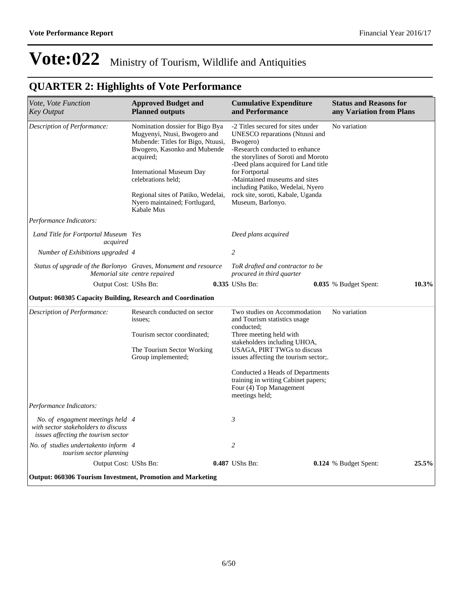| Vote, Vote Function<br><b>Key Output</b>                                                                                                                                                                                                                                                                                       | <b>Approved Budget and</b><br><b>Planned outputs</b>                                                                       | <b>Cumulative Expenditure</b><br>and Performance                                                                                                                                                                                                                                                                                                 |  | <b>Status and Reasons for</b><br>any Variation from Plans |       |  |
|--------------------------------------------------------------------------------------------------------------------------------------------------------------------------------------------------------------------------------------------------------------------------------------------------------------------------------|----------------------------------------------------------------------------------------------------------------------------|--------------------------------------------------------------------------------------------------------------------------------------------------------------------------------------------------------------------------------------------------------------------------------------------------------------------------------------------------|--|-----------------------------------------------------------|-------|--|
| Description of Performance:<br>Nomination dossier for Bigo Bya<br>Mugyenyi, Ntusi, Bwogero and<br>Mubende: Titles for Bigo, Ntuusi,<br>Bwogero, Kasonko and Mubende<br>acquired;<br><b>International Museum Day</b><br>celebrations held:<br>Regional sites of Patiko, Wedelai,<br>Nyero maintained; Fortlugard,<br>Kabale Mus |                                                                                                                            | -2 Titles secured for sites under<br>UNESCO reparations (Ntuusi and<br>Bwogero)<br>-Research conducted to enhance<br>the storylines of Soroti and Moroto<br>-Deed plans acquired for Land title<br>for Fortportal<br>-Maintained museums and sites<br>including Patiko, Wedelai, Nyero<br>rock site, soroti, Kabale, Uganda<br>Museum, Barlonyo. |  | No variation                                              |       |  |
| Performance Indicators:                                                                                                                                                                                                                                                                                                        |                                                                                                                            |                                                                                                                                                                                                                                                                                                                                                  |  |                                                           |       |  |
| Land Title for Fortportal Museum Yes<br>acquired                                                                                                                                                                                                                                                                               |                                                                                                                            | Deed plans acquired                                                                                                                                                                                                                                                                                                                              |  |                                                           |       |  |
| Number of Exhibitions upgraded 4                                                                                                                                                                                                                                                                                               |                                                                                                                            | 2                                                                                                                                                                                                                                                                                                                                                |  |                                                           |       |  |
| Status of upgrade of the Barlonyo Graves, Monument and resource                                                                                                                                                                                                                                                                | Memorial site centre repaired                                                                                              | ToR drafted and contractor to be<br>procured in third quarter                                                                                                                                                                                                                                                                                    |  |                                                           |       |  |
| Output Cost: UShs Bn:                                                                                                                                                                                                                                                                                                          |                                                                                                                            | 0.335 UShs Bn:                                                                                                                                                                                                                                                                                                                                   |  | <b>0.035</b> % Budget Spent:                              | 10.3% |  |
| Output: 060305 Capacity Building, Research and Coordination                                                                                                                                                                                                                                                                    |                                                                                                                            |                                                                                                                                                                                                                                                                                                                                                  |  |                                                           |       |  |
| Description of Performance:                                                                                                                                                                                                                                                                                                    | Research conducted on sector<br>issues:<br>Tourism sector coordinated;<br>The Tourism Sector Working<br>Group implemented; | Two studies on Accommodation<br>and Tourism statistics usage<br>conducted:<br>Three meeting held with<br>stakeholders including UHOA,<br>USAGA, PIRT TWGs to discuss<br>issues affecting the tourism sector;.<br>Conducted a Heads of Departments<br>training in writing Cabinet papers;<br>Four (4) Top Management<br>meetings held;            |  | No variation                                              |       |  |
| Performance Indicators:                                                                                                                                                                                                                                                                                                        |                                                                                                                            |                                                                                                                                                                                                                                                                                                                                                  |  |                                                           |       |  |
| No. of engagment meetings held 4<br>with sector stakeholders to discuss<br>issues affecting the tourism sector                                                                                                                                                                                                                 |                                                                                                                            | $\mathfrak{Z}$                                                                                                                                                                                                                                                                                                                                   |  |                                                           |       |  |
| No. of studies undertakento inform 4<br>tourism sector planning                                                                                                                                                                                                                                                                |                                                                                                                            | $\overline{c}$                                                                                                                                                                                                                                                                                                                                   |  |                                                           |       |  |
| Output Cost: UShs Bn:                                                                                                                                                                                                                                                                                                          |                                                                                                                            | 0.487 UShs Bn:                                                                                                                                                                                                                                                                                                                                   |  | 0.124 % Budget Spent:                                     | 25.5% |  |
| <b>Output: 060306 Tourism Investment, Promotion and Marketing</b>                                                                                                                                                                                                                                                              |                                                                                                                            |                                                                                                                                                                                                                                                                                                                                                  |  |                                                           |       |  |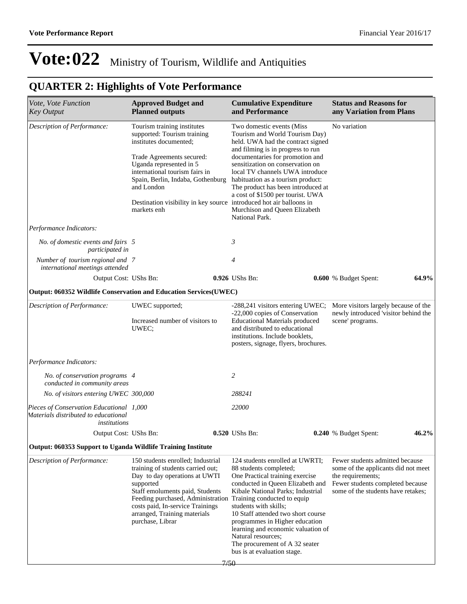| <b>Approved Budget and</b><br><b>Planned outputs</b>                                                                                                                                                                                            | <b>Cumulative Expenditure</b><br>and Performance                                                                                                                                                                                                                                                                                                                                                                                                                                                   | <b>Status and Reasons for</b><br>any Variation from Plans                                                                                                                                                                                                                                                                           |  |  |
|-------------------------------------------------------------------------------------------------------------------------------------------------------------------------------------------------------------------------------------------------|----------------------------------------------------------------------------------------------------------------------------------------------------------------------------------------------------------------------------------------------------------------------------------------------------------------------------------------------------------------------------------------------------------------------------------------------------------------------------------------------------|-------------------------------------------------------------------------------------------------------------------------------------------------------------------------------------------------------------------------------------------------------------------------------------------------------------------------------------|--|--|
| Tourism training institutes<br>supported: Tourism training<br>institutes documented;<br>Trade Agreements secured:<br>Uganda represented in 5<br>international tourism fairs in<br>and London<br>markets enh                                     | Two domestic events (Miss)<br>Tourism and World Tourism Day)<br>and filming is in progress to run<br>documentaries for promotion and<br>sensitization on conservation on<br>local TV channels UWA introduce<br>habituation as a tourism product:<br>a cost of \$1500 per tourist. UWA<br>Murchison and Queen Elizabeth<br>National Park.                                                                                                                                                           | No variation                                                                                                                                                                                                                                                                                                                        |  |  |
|                                                                                                                                                                                                                                                 |                                                                                                                                                                                                                                                                                                                                                                                                                                                                                                    |                                                                                                                                                                                                                                                                                                                                     |  |  |
|                                                                                                                                                                                                                                                 | 3                                                                                                                                                                                                                                                                                                                                                                                                                                                                                                  |                                                                                                                                                                                                                                                                                                                                     |  |  |
|                                                                                                                                                                                                                                                 | 4                                                                                                                                                                                                                                                                                                                                                                                                                                                                                                  |                                                                                                                                                                                                                                                                                                                                     |  |  |
|                                                                                                                                                                                                                                                 |                                                                                                                                                                                                                                                                                                                                                                                                                                                                                                    | 64.9%<br>0.600 % Budget Spent:                                                                                                                                                                                                                                                                                                      |  |  |
|                                                                                                                                                                                                                                                 |                                                                                                                                                                                                                                                                                                                                                                                                                                                                                                    |                                                                                                                                                                                                                                                                                                                                     |  |  |
| UWEC supported;<br>Increased number of visitors to<br>UWEC;                                                                                                                                                                                     | -288,241 visitors entering UWEC;<br>-22,000 copies of Conservation<br><b>Educational Materials produced</b><br>and distributed to educational<br>institutions. Include booklets,<br>posters, signage, flyers, brochures.                                                                                                                                                                                                                                                                           | More visitors largely because of the<br>newly introduced 'visitor behind the<br>scene' programs.                                                                                                                                                                                                                                    |  |  |
|                                                                                                                                                                                                                                                 |                                                                                                                                                                                                                                                                                                                                                                                                                                                                                                    |                                                                                                                                                                                                                                                                                                                                     |  |  |
|                                                                                                                                                                                                                                                 | 2                                                                                                                                                                                                                                                                                                                                                                                                                                                                                                  |                                                                                                                                                                                                                                                                                                                                     |  |  |
|                                                                                                                                                                                                                                                 | 288241                                                                                                                                                                                                                                                                                                                                                                                                                                                                                             |                                                                                                                                                                                                                                                                                                                                     |  |  |
|                                                                                                                                                                                                                                                 | 22000                                                                                                                                                                                                                                                                                                                                                                                                                                                                                              |                                                                                                                                                                                                                                                                                                                                     |  |  |
|                                                                                                                                                                                                                                                 |                                                                                                                                                                                                                                                                                                                                                                                                                                                                                                    | 46.2%<br>0.240 % Budget Spent:                                                                                                                                                                                                                                                                                                      |  |  |
|                                                                                                                                                                                                                                                 |                                                                                                                                                                                                                                                                                                                                                                                                                                                                                                    |                                                                                                                                                                                                                                                                                                                                     |  |  |
| 150 students enrolled; Industrial<br>training of students carried out;<br>Day to day operations at UWTI<br>supported<br>Staff emoluments paid, Students<br>costs paid, In-service Trainings<br>arranged, Training materials<br>purchase, Librar | 124 students enrolled at UWRTI;<br>88 students completed;<br>One Practical training exercise<br>conducted in Queen Elizabeth and<br>Kibale National Parks; Industrial<br>Training conducted to equip<br>students with skills;<br>10 Staff attended two short course<br>programmes in Higher education<br>Natural resources;<br>The procurement of A 32 seater<br>bus is at evaluation stage.<br>7/50                                                                                               | Fewer students admitted because<br>some of the applicants did not meet<br>the requirements;<br>Fewer students completed because<br>some of the students have retakes;                                                                                                                                                               |  |  |
|                                                                                                                                                                                                                                                 | Spain, Berlin, Indaba, Gothenburg<br>No. of domestic events and fairs 5<br>participated in<br>Number of tourism regional and 7<br>international meetings attended<br>Output Cost: UShs Bn:<br>No. of conservation programs 4<br>conducted in community areas<br>No. of visitors entering UWEC 300,000<br>Pieces of Conservation Educational 1,000<br>Materials distributed to educational<br>institutions<br>Output Cost: UShs Bn:<br>Output: 060353 Support to Uganda Wildlife Training Institute | held. UWA had the contract signed<br>The product has been introduced at<br>Destination visibility in key source introduced hot air balloons in<br>0.926 UShs Bn:<br>Output: 060352 Wildlife Conservation and Education Services (UWEC)<br>0.520 UShs Bn:<br>Feeding purchased, Administration<br>learning and economic valuation of |  |  |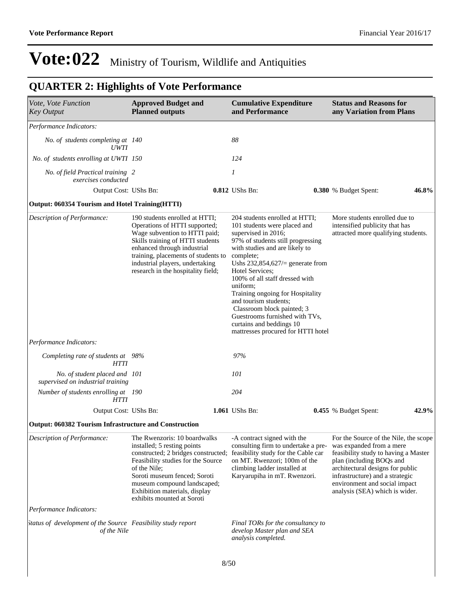| Vote, Vote Function<br><b>Key Output</b>                                    | <b>Approved Budget and</b><br><b>Planned outputs</b>                                                                                                                                                                                                                                   | <b>Cumulative Expenditure</b><br>and Performance                                                                                                                                                                                                                                                                                                                                                                                                                               | <b>Status and Reasons for</b><br>any Variation from Plans                                                                                                                                                                                                                       |  |  |
|-----------------------------------------------------------------------------|----------------------------------------------------------------------------------------------------------------------------------------------------------------------------------------------------------------------------------------------------------------------------------------|--------------------------------------------------------------------------------------------------------------------------------------------------------------------------------------------------------------------------------------------------------------------------------------------------------------------------------------------------------------------------------------------------------------------------------------------------------------------------------|---------------------------------------------------------------------------------------------------------------------------------------------------------------------------------------------------------------------------------------------------------------------------------|--|--|
| Performance Indicators:                                                     |                                                                                                                                                                                                                                                                                        |                                                                                                                                                                                                                                                                                                                                                                                                                                                                                |                                                                                                                                                                                                                                                                                 |  |  |
| No. of students completing at 140<br><i>UWTI</i>                            |                                                                                                                                                                                                                                                                                        | 88                                                                                                                                                                                                                                                                                                                                                                                                                                                                             |                                                                                                                                                                                                                                                                                 |  |  |
| No. of students enrolling at UWTI 150                                       |                                                                                                                                                                                                                                                                                        | 124                                                                                                                                                                                                                                                                                                                                                                                                                                                                            |                                                                                                                                                                                                                                                                                 |  |  |
| No. of field Practical training 2<br>exercises conducted                    |                                                                                                                                                                                                                                                                                        | 1                                                                                                                                                                                                                                                                                                                                                                                                                                                                              |                                                                                                                                                                                                                                                                                 |  |  |
| Output Cost: UShs Bn:                                                       |                                                                                                                                                                                                                                                                                        | 0.812 UShs Bn:                                                                                                                                                                                                                                                                                                                                                                                                                                                                 | 46.8%<br>0.380 % Budget Spent:                                                                                                                                                                                                                                                  |  |  |
| Output: 060354 Tourism and Hotel Training(HTTI)                             |                                                                                                                                                                                                                                                                                        |                                                                                                                                                                                                                                                                                                                                                                                                                                                                                |                                                                                                                                                                                                                                                                                 |  |  |
| Description of Performance:                                                 | 190 students enrolled at HTTI;<br>Operations of HTTI supported;<br>Wage subvention to HTTI paid;<br>Skills training of HTTI students<br>enhanced through industrial<br>training, placements of students to<br>industrial players, undertaking<br>research in the hospitality field;    | 204 students enrolled at HTTI;<br>101 students were placed and<br>supervised in 2016;<br>97% of students still progressing<br>with studies and are likely to<br>complete;<br>Ushs $232,854,627/$ generate from<br>Hotel Services;<br>100% of all staff dressed with<br>uniform:<br>Training ongoing for Hospitality<br>and tourism students;<br>Classroom block painted; 3<br>Guestrooms furnished with TVs,<br>curtains and beddings 10<br>mattresses procured for HTTI hotel | More students enrolled due to<br>intensified publicity that has<br>attracted more qualifying students.                                                                                                                                                                          |  |  |
| Performance Indicators:                                                     |                                                                                                                                                                                                                                                                                        |                                                                                                                                                                                                                                                                                                                                                                                                                                                                                |                                                                                                                                                                                                                                                                                 |  |  |
| Completing rate of students at 98%<br>HTTI                                  |                                                                                                                                                                                                                                                                                        | 97%                                                                                                                                                                                                                                                                                                                                                                                                                                                                            |                                                                                                                                                                                                                                                                                 |  |  |
| No. of student placed and 101<br>supervised on industrial training          |                                                                                                                                                                                                                                                                                        | 101                                                                                                                                                                                                                                                                                                                                                                                                                                                                            |                                                                                                                                                                                                                                                                                 |  |  |
| Number of students enrolling at 190<br><b>HTTI</b>                          |                                                                                                                                                                                                                                                                                        | 204                                                                                                                                                                                                                                                                                                                                                                                                                                                                            |                                                                                                                                                                                                                                                                                 |  |  |
| Output Cost: UShs Bn:                                                       |                                                                                                                                                                                                                                                                                        | 1.061 UShs Bn:                                                                                                                                                                                                                                                                                                                                                                                                                                                                 | 42.9%<br>0.455 % Budget Spent:                                                                                                                                                                                                                                                  |  |  |
| <b>Output: 060382 Tourism Infrastructure and Construction</b>               |                                                                                                                                                                                                                                                                                        |                                                                                                                                                                                                                                                                                                                                                                                                                                                                                |                                                                                                                                                                                                                                                                                 |  |  |
| Description of Performance:                                                 | The Rwenzoris: 10 boardwalks<br>installed; 5 resting points<br>constructed; 2 bridges constructed;<br>Feasibility studies for the Source<br>of the Nile;<br>Soroti museum fenced; Soroti<br>museum compound landscaped;<br>Exhibition materials, display<br>exhibits mounted at Soroti | -A contract signed with the<br>consulting firm to undertake a pre-<br>feasibility study for the Cable car<br>on MT. Rwenzori; 100m of the<br>climbing ladder installed at<br>Karyarupiha in mT. Rwenzori.                                                                                                                                                                                                                                                                      | For the Source of the Nile, the scope<br>was expanded from a mere<br>feasibility study to having a Master<br>plan (including BOQs and<br>architectural designs for public<br>infrastructure) and a strategic<br>environment and social impact<br>analysis (SEA) which is wider. |  |  |
| Performance Indicators:                                                     |                                                                                                                                                                                                                                                                                        |                                                                                                                                                                                                                                                                                                                                                                                                                                                                                |                                                                                                                                                                                                                                                                                 |  |  |
| status of development of the Source Feasibility study report<br>of the Nile |                                                                                                                                                                                                                                                                                        | Final TORs for the consultancy to<br>develop Master plan and SEA<br>analysis completed.                                                                                                                                                                                                                                                                                                                                                                                        |                                                                                                                                                                                                                                                                                 |  |  |

#### 8/50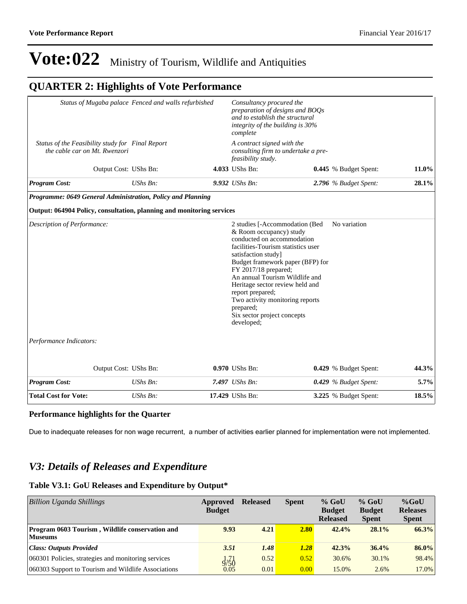### **QUARTER 2: Highlights of Vote Performance**

| Status of Mugaba palace Fenced and walls refurbished |                                                                       |  | Consultancy procured the<br>preparation of designs and BOQs<br>and to establish the structural<br>integrity of the building is 30%<br>complete                                                                                                                                                                                                                                                         |                              |          |  |  |
|------------------------------------------------------|-----------------------------------------------------------------------|--|--------------------------------------------------------------------------------------------------------------------------------------------------------------------------------------------------------------------------------------------------------------------------------------------------------------------------------------------------------------------------------------------------------|------------------------------|----------|--|--|
| the cable car on Mt. Rwenzori                        | Status of the Feasibility study for Final Report                      |  | A contract signed with the<br>consulting firm to undertake a pre-<br>feasibility study.                                                                                                                                                                                                                                                                                                                |                              |          |  |  |
|                                                      | Output Cost: UShs Bn:                                                 |  | 4.033 UShs Bn:                                                                                                                                                                                                                                                                                                                                                                                         | <b>0.445</b> % Budget Spent: | $11.0\%$ |  |  |
| <b>Program Cost:</b>                                 | UShs Bn:                                                              |  | 9.932 UShs Bn:                                                                                                                                                                                                                                                                                                                                                                                         | 2.796 % Budget Spent:        | 28.1%    |  |  |
|                                                      | Programme: 0649 General Administration, Policy and Planning           |  |                                                                                                                                                                                                                                                                                                                                                                                                        |                              |          |  |  |
|                                                      | Output: 064904 Policy, consultation, planning and monitoring services |  |                                                                                                                                                                                                                                                                                                                                                                                                        |                              |          |  |  |
| Description of Performance:                          |                                                                       |  | 2 studies [-Accommodation (Bed<br>& Room occupancy) study<br>conducted on accommodation<br>facilities-Tourism statistics user<br>satisfaction study]<br>Budget framework paper (BFP) for<br>FY 2017/18 prepared;<br>An annual Tourism Wildlife and<br>Heritage sector review held and<br>report prepared;<br>Two activity monitoring reports<br>prepared;<br>Six sector project concepts<br>developed; | No variation                 |          |  |  |
| Performance Indicators:                              |                                                                       |  |                                                                                                                                                                                                                                                                                                                                                                                                        |                              |          |  |  |
|                                                      | Output Cost: UShs Bn:                                                 |  | 0.970 UShs Bn:                                                                                                                                                                                                                                                                                                                                                                                         | <b>0.429</b> % Budget Spent: | 44.3%    |  |  |
| <b>Program Cost:</b>                                 | $UShs Bn$ :                                                           |  | 7.497 UShs Bn:                                                                                                                                                                                                                                                                                                                                                                                         | $0.429$ % Budget Spent:      | $5.7\%$  |  |  |
| <b>Total Cost for Vote:</b>                          | UShs Bn:                                                              |  | 17.429 UShs Bn:                                                                                                                                                                                                                                                                                                                                                                                        | 3.225 % Budget Spent:        | 18.5%    |  |  |

### **Performance highlights for the Quarter**

Due to inadequate releases for non wage recurrent, a number of activities earlier planned for implementation were not implemented.

### *V3: Details of Releases and Expenditure*

### **Table V3.1: GoU Releases and Expenditure by Output\***

| Billion Uganda Shillings                                                 | Approved<br><b>Budget</b> | <b>Released</b> | <b>Spent</b> | $%$ GoU<br><b>Budget</b><br><b>Released</b> | $%$ GoU<br><b>Budget</b><br><b>Spent</b> | $%$ GoU<br><b>Releases</b><br><b>Spent</b> |
|--------------------------------------------------------------------------|---------------------------|-----------------|--------------|---------------------------------------------|------------------------------------------|--------------------------------------------|
| <b>Program 0603 Tourism, Wildlife conservation and</b><br><b>Museums</b> | 9.93                      | 4.21            | <b>2.80</b>  | 42.4%                                       | $28.1\%$                                 | 66.3%                                      |
| <b>Class: Outputs Provided</b>                                           | 3.51                      | 1.48            | 1.28         | 42.3%                                       | 36.4%                                    | $86.0\%$                                   |
| 060301 Policies, strategies and monitoring services                      | $\frac{1}{2}$             | 0.52            | 0.52         | 30.6%                                       | 30.1%                                    | 98.4%                                      |
| 060303 Support to Tourism and Wildlife Associations                      | 0.05                      | 0.01            | 0.00         | 15.0%                                       | 2.6%                                     | 17.0%                                      |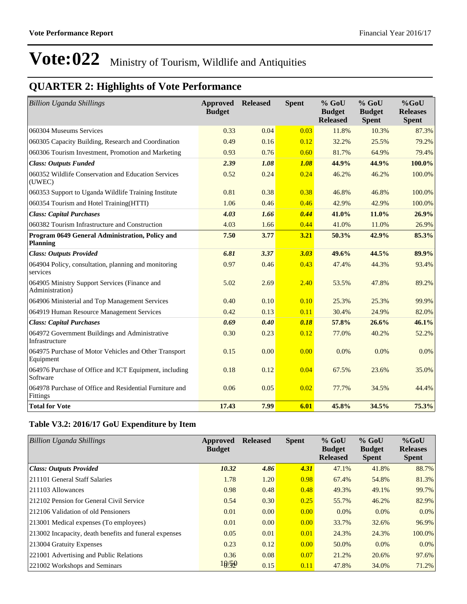## **QUARTER 2: Highlights of Vote Performance**

| <b>Billion Uganda Shillings</b>                                     | Approved<br><b>Budget</b> | <b>Released</b> | <b>Spent</b> | $%$ GoU<br><b>Budget</b><br><b>Released</b> | $%$ GoU<br><b>Budget</b><br><b>Spent</b> | $%$ GoU<br><b>Releases</b><br><b>Spent</b> |
|---------------------------------------------------------------------|---------------------------|-----------------|--------------|---------------------------------------------|------------------------------------------|--------------------------------------------|
| 060304 Museums Services                                             | 0.33                      | 0.04            | 0.03         | 11.8%                                       | 10.3%                                    | 87.3%                                      |
| 060305 Capacity Building, Research and Coordination                 | 0.49                      | 0.16            | 0.12         | 32.2%                                       | 25.5%                                    | 79.2%                                      |
| 060306 Tourism Investment, Promotion and Marketing                  | 0.93                      | 0.76            | 0.60         | 81.7%                                       | 64.9%                                    | 79.4%                                      |
| <b>Class: Outputs Funded</b>                                        | 2.39                      | 1.08            | 1.08         | 44.9%                                       | 44.9%                                    | 100.0%                                     |
| 060352 Wildlife Conservation and Education Services<br>(UWEC)       | 0.52                      | 0.24            | 0.24         | 46.2%                                       | 46.2%                                    | 100.0%                                     |
| 060353 Support to Uganda Wildlife Training Institute                | 0.81                      | 0.38            | 0.38         | 46.8%                                       | 46.8%                                    | 100.0%                                     |
| 060354 Tourism and Hotel Training (HTTI)                            | 1.06                      | 0.46            | 0.46         | 42.9%                                       | 42.9%                                    | 100.0%                                     |
| <b>Class: Capital Purchases</b>                                     | 4.03                      | 1.66            | 0.44         | 41.0%                                       | 11.0%                                    | 26.9%                                      |
| 060382 Tourism Infrastructure and Construction                      | 4.03                      | 1.66            | 0.44         | 41.0%                                       | 11.0%                                    | 26.9%                                      |
| Program 0649 General Administration, Policy and<br><b>Planning</b>  | 7.50                      | 3.77            | 3.21         | 50.3%                                       | 42.9%                                    | 85.3%                                      |
| <b>Class: Outputs Provided</b>                                      | 6.81                      | 3.37            | 3.03         | 49.6%                                       | 44.5%                                    | 89.9%                                      |
| 064904 Policy, consultation, planning and monitoring<br>services    | 0.97                      | 0.46            | 0.43         | 47.4%                                       | 44.3%                                    | 93.4%                                      |
| 064905 Ministry Support Services (Finance and<br>Administration)    | 5.02                      | 2.69            | 2.40         | 53.5%                                       | 47.8%                                    | 89.2%                                      |
| 064906 Ministerial and Top Management Services                      | 0.40                      | 0.10            | 0.10         | 25.3%                                       | 25.3%                                    | 99.9%                                      |
| 064919 Human Resource Management Services                           | 0.42                      | 0.13            | 0.11         | 30.4%                                       | 24.9%                                    | 82.0%                                      |
| <b>Class: Capital Purchases</b>                                     | 0.69                      | 0.40            | 0.18         | 57.8%                                       | 26.6%                                    | 46.1%                                      |
| 064972 Government Buildings and Administrative<br>Infrastructure    | 0.30                      | 0.23            | 0.12         | 77.0%                                       | 40.2%                                    | 52.2%                                      |
| 064975 Purchase of Motor Vehicles and Other Transport<br>Equipment  | 0.15                      | 0.00            | 0.00         | 0.0%                                        | 0.0%                                     | $0.0\%$                                    |
| 064976 Purchase of Office and ICT Equipment, including<br>Software  | 0.18                      | 0.12            | 0.04         | 67.5%                                       | 23.6%                                    | 35.0%                                      |
| 064978 Purchase of Office and Residential Furniture and<br>Fittings | 0.06                      | 0.05            | 0.02         | 77.7%                                       | 34.5%                                    | 44.4%                                      |
| <b>Total for Vote</b>                                               | 17.43                     | 7.99            | 6.01         | 45.8%                                       | 34.5%                                    | 75.3%                                      |

### **Table V3.2: 2016/17 GoU Expenditure by Item**

| Billion Uganda Shillings                               | Approved<br><b>Budget</b> | <b>Released</b> | <b>Spent</b> | $%$ GoU<br><b>Budget</b><br><b>Released</b> | $%$ GoU<br><b>Budget</b><br><b>Spent</b> | $%$ GoU<br><b>Releases</b><br><b>Spent</b> |
|--------------------------------------------------------|---------------------------|-----------------|--------------|---------------------------------------------|------------------------------------------|--------------------------------------------|
| Class: Outputs Provided                                | 10.32                     | 4.86            | 4.31         | 47.1%                                       | 41.8%                                    | 88.7%                                      |
| 211101 General Staff Salaries                          | 1.78                      | 1.20            | 0.98         | 67.4%                                       | 54.8%                                    | 81.3%                                      |
| 211103 Allowances                                      | 0.98                      | 0.48            | 0.48         | 49.3%                                       | 49.1%                                    | 99.7%                                      |
| 212102 Pension for General Civil Service               | 0.54                      | 0.30            | 0.25         | 55.7%                                       | 46.2%                                    | 82.9%                                      |
| 212106 Validation of old Pensioners                    | 0.01                      | 0.00            | 0.00         | $0.0\%$                                     | $0.0\%$                                  | $0.0\%$                                    |
| 213001 Medical expenses (To employees)                 | 0.01                      | 0.00            | 0.00         | 33.7%                                       | 32.6%                                    | 96.9%                                      |
| 213002 Incapacity, death benefits and funeral expenses | 0.05                      | 0.01            | 0.01         | 24.3%                                       | 24.3%                                    | 100.0%                                     |
| 213004 Gratuity Expenses                               | 0.23                      | 0.12            | 0.00         | 50.0%                                       | $0.0\%$                                  | $0.0\%$                                    |
| 221001 Advertising and Public Relations                | 0.36                      | 0.08            | 0.07         | 21.2%                                       | 20.6%                                    | 97.6%                                      |
| 221002 Workshops and Seminars                          | 10/50                     | 0.15            | 0.11         | 47.8%                                       | 34.0%                                    | 71.2%                                      |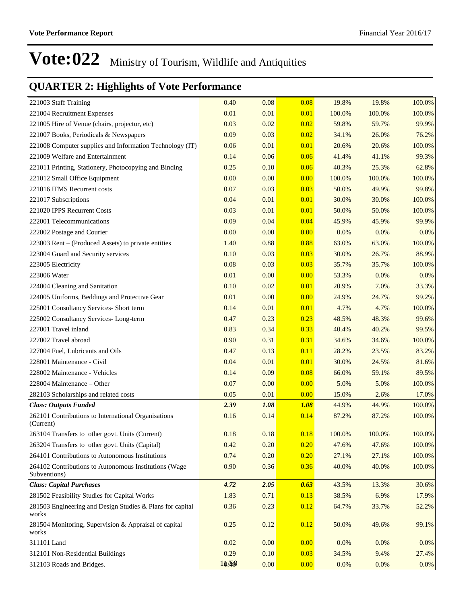| 221003 Staff Training                                                 | 0.40  | 0.08 | 0.08 | 19.8%  | 19.8%  | 100.0%  |
|-----------------------------------------------------------------------|-------|------|------|--------|--------|---------|
| 221004 Recruitment Expenses                                           | 0.01  | 0.01 | 0.01 | 100.0% | 100.0% | 100.0%  |
| 221005 Hire of Venue (chairs, projector, etc)                         | 0.03  | 0.02 | 0.02 | 59.8%  | 59.7%  | 99.9%   |
| 221007 Books, Periodicals & Newspapers                                | 0.09  | 0.03 | 0.02 | 34.1%  | 26.0%  | 76.2%   |
| 221008 Computer supplies and Information Technology (IT)              | 0.06  | 0.01 | 0.01 | 20.6%  | 20.6%  | 100.0%  |
| 221009 Welfare and Entertainment                                      | 0.14  | 0.06 | 0.06 | 41.4%  | 41.1%  | 99.3%   |
| 221011 Printing, Stationery, Photocopying and Binding                 | 0.25  | 0.10 | 0.06 | 40.3%  | 25.3%  | 62.8%   |
| 221012 Small Office Equipment                                         | 0.00  | 0.00 | 0.00 | 100.0% | 100.0% | 100.0%  |
| 221016 IFMS Recurrent costs                                           | 0.07  | 0.03 | 0.03 | 50.0%  | 49.9%  | 99.8%   |
| 221017 Subscriptions                                                  | 0.04  | 0.01 | 0.01 | 30.0%  | 30.0%  | 100.0%  |
| 221020 IPPS Recurrent Costs                                           | 0.03  | 0.01 | 0.01 | 50.0%  | 50.0%  | 100.0%  |
| 222001 Telecommunications                                             | 0.09  | 0.04 | 0.04 | 45.9%  | 45.9%  | 99.9%   |
| 222002 Postage and Courier                                            | 0.00  | 0.00 | 0.00 | 0.0%   | 0.0%   | $0.0\%$ |
| 223003 Rent – (Produced Assets) to private entities                   | 1.40  | 0.88 | 0.88 | 63.0%  | 63.0%  | 100.0%  |
| 223004 Guard and Security services                                    | 0.10  | 0.03 | 0.03 | 30.0%  | 26.7%  | 88.9%   |
| 223005 Electricity                                                    | 0.08  | 0.03 | 0.03 | 35.7%  | 35.7%  | 100.0%  |
| 223006 Water                                                          | 0.01  | 0.00 | 0.00 | 53.3%  | 0.0%   | $0.0\%$ |
| 224004 Cleaning and Sanitation                                        | 0.10  | 0.02 | 0.01 | 20.9%  | 7.0%   | 33.3%   |
| 224005 Uniforms, Beddings and Protective Gear                         | 0.01  | 0.00 | 0.00 | 24.9%  | 24.7%  | 99.2%   |
| 225001 Consultancy Services- Short term                               | 0.14  | 0.01 | 0.01 | 4.7%   | 4.7%   | 100.0%  |
| 225002 Consultancy Services-Long-term                                 | 0.47  | 0.23 | 0.23 | 48.5%  | 48.3%  | 99.6%   |
| 227001 Travel inland                                                  | 0.83  | 0.34 | 0.33 | 40.4%  | 40.2%  | 99.5%   |
| 227002 Travel abroad                                                  | 0.90  | 0.31 | 0.31 | 34.6%  | 34.6%  | 100.0%  |
| 227004 Fuel, Lubricants and Oils                                      | 0.47  | 0.13 | 0.11 | 28.2%  | 23.5%  | 83.2%   |
| 228001 Maintenance - Civil                                            | 0.04  | 0.01 | 0.01 | 30.0%  | 24.5%  | 81.6%   |
| 228002 Maintenance - Vehicles                                         | 0.14  | 0.09 | 0.08 | 66.0%  | 59.1%  | 89.5%   |
| 228004 Maintenance - Other                                            | 0.07  | 0.00 | 0.00 | 5.0%   | 5.0%   | 100.0%  |
| 282103 Scholarships and related costs                                 | 0.05  | 0.01 | 0.00 | 15.0%  | 2.6%   | 17.0%   |
| <b>Class: Outputs Funded</b>                                          | 2.39  | 1.08 | 1.08 | 44.9%  | 44.9%  | 100.0%  |
| 262101 Contributions to International Organisations<br>(Current)      | 0.16  | 0.14 | 0.14 | 87.2%  | 87.2%  | 100.0%  |
| 263104 Transfers to other govt. Units (Current)                       | 0.18  | 0.18 | 0.18 | 100.0% | 100.0% | 100.0%  |
| 263204 Transfers to other govt. Units (Capital)                       | 0.42  | 0.20 | 0.20 | 47.6%  | 47.6%  | 100.0%  |
| 264101 Contributions to Autonomous Institutions                       | 0.74  | 0.20 | 0.20 | 27.1%  | 27.1%  | 100.0%  |
| 264102 Contributions to Autonomous Institutions (Wage<br>Subventions) | 0.90  | 0.36 | 0.36 | 40.0%  | 40.0%  | 100.0%  |
| <b>Class: Capital Purchases</b>                                       | 4.72  | 2.05 | 0.63 | 43.5%  | 13.3%  | 30.6%   |
| 281502 Feasibility Studies for Capital Works                          | 1.83  | 0.71 | 0.13 | 38.5%  | 6.9%   | 17.9%   |
| 281503 Engineering and Design Studies & Plans for capital<br>works    | 0.36  | 0.23 | 0.12 | 64.7%  | 33.7%  | 52.2%   |
| 281504 Monitoring, Supervision & Appraisal of capital<br>works        | 0.25  | 0.12 | 0.12 | 50.0%  | 49.6%  | 99.1%   |
| 311101 Land                                                           | 0.02  | 0.00 | 0.00 | 0.0%   | 0.0%   | $0.0\%$ |
| 312101 Non-Residential Buildings                                      | 0.29  | 0.10 | 0.03 | 34.5%  | 9.4%   | 27.4%   |
| 312103 Roads and Bridges.                                             | 10/50 | 0.00 | 0.00 | 0.0%   | 0.0%   | $0.0\%$ |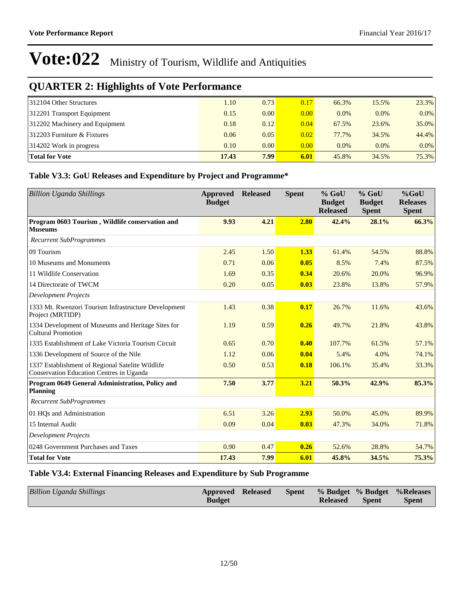## **QUARTER 2: Highlights of Vote Performance**

| 312104 Other Structures        | 1.10  | 0.73 | 0.17 | 66.3%   | 15.5%   | 23.3%   |
|--------------------------------|-------|------|------|---------|---------|---------|
| 312201 Transport Equipment     | 0.15  | 0.00 | 0.00 | $0.0\%$ | $0.0\%$ | $0.0\%$ |
| 312202 Machinery and Equipment | 0.18  | 0.12 | 0.04 | 67.5%   | 23.6%   | 35.0%   |
| $ 312203$ Furniture & Fixtures | 0.06  | 0.05 | 0.02 | 77.7%   | 34.5%   | 44.4%   |
| $ 314202$ Work in progress     | 0.10  | 0.00 | 0.00 | $0.0\%$ | 0.0%    | $0.0\%$ |
| <b>Total for Vote</b>          | 17.43 | 7.99 | 6.01 | 45.8%   | 34.5%   | 75.3%   |

### **Table V3.3: GoU Releases and Expenditure by Project and Programme\***

| <b>Billion Uganda Shillings</b>                                                              | <b>Approved</b><br><b>Budget</b> | <b>Released</b> | <b>Spent</b> | $%$ GoU<br><b>Budget</b><br><b>Released</b> | $%$ GoU<br><b>Budget</b><br><b>Spent</b> | $%$ GoU<br><b>Releases</b><br><b>Spent</b> |
|----------------------------------------------------------------------------------------------|----------------------------------|-----------------|--------------|---------------------------------------------|------------------------------------------|--------------------------------------------|
| Program 0603 Tourism, Wildlife conservation and<br><b>Museums</b>                            | 9.93                             | 4.21            | 2.80         | 42.4%                                       | 28.1%                                    | 66.3%                                      |
| <b>Recurrent SubProgrammes</b>                                                               |                                  |                 |              |                                             |                                          |                                            |
| 09 Tourism                                                                                   | 2.45                             | 1.50            | 1.33         | 61.4%                                       | 54.5%                                    | 88.8%                                      |
| 10 Museums and Monuments                                                                     | 0.71                             | 0.06            | 0.05         | 8.5%                                        | 7.4%                                     | 87.5%                                      |
| 11 Wildlife Conservation                                                                     | 1.69                             | 0.35            | 0.34         | 20.6%                                       | 20.0%                                    | 96.9%                                      |
| 14 Directorate of TWCM                                                                       | 0.20                             | 0.05            | 0.03         | 23.8%                                       | 13.8%                                    | 57.9%                                      |
| <b>Development Projects</b>                                                                  |                                  |                 |              |                                             |                                          |                                            |
| 1333 Mt. Rwenzori Tourism Infrastructure Development<br>Project (MRTIDP)                     | 1.43                             | 0.38            | 0.17         | 26.7%                                       | 11.6%                                    | 43.6%                                      |
| 1334 Development of Museums and Heritage Sites for<br><b>Cultural Promotion</b>              | 1.19                             | 0.59            | 0.26         | 49.7%                                       | 21.8%                                    | 43.8%                                      |
| 1335 Establishment of Lake Victoria Tourism Circuit                                          | 0.65                             | 0.70            | 0.40         | 107.7%                                      | 61.5%                                    | 57.1%                                      |
| 1336 Development of Source of the Nile                                                       | 1.12                             | 0.06            | 0.04         | 5.4%                                        | 4.0%                                     | 74.1%                                      |
| 1337 Establishment of Regional Satelite Wildlife<br>Conservation Education Centres in Uganda | 0.50                             | 0.53            | 0.18         | 106.1%                                      | 35.4%                                    | 33.3%                                      |
| Program 0649 General Administration, Policy and<br><b>Planning</b>                           | 7.50                             | 3.77            | 3.21         | 50.3%                                       | 42.9%                                    | 85.3%                                      |
| <b>Recurrent SubProgrammes</b>                                                               |                                  |                 |              |                                             |                                          |                                            |
| 01 HQs and Administration                                                                    | 6.51                             | 3.26            | 2.93         | 50.0%                                       | 45.0%                                    | 89.9%                                      |
| 15 Internal Audit                                                                            | 0.09                             | 0.04            | 0.03         | 47.3%                                       | 34.0%                                    | 71.8%                                      |
| <b>Development Projects</b>                                                                  |                                  |                 |              |                                             |                                          |                                            |
| 0248 Government Purchases and Taxes                                                          | 0.90                             | 0.47            | 0.26         | 52.6%                                       | 28.8%                                    | 54.7%                                      |
| <b>Total for Vote</b>                                                                        | 17.43                            | 7.99            | 6.01         | 45.8%                                       | 34.5%                                    | 75.3%                                      |

### **Table V3.4: External Financing Releases and Expenditure by Sub Programme**

| Billion Uganda Shillings | <b>Approved Released</b> |  |                 |              | Spent % Budget % Budget % Releases |
|--------------------------|--------------------------|--|-----------------|--------------|------------------------------------|
|                          | <b>Budget</b>            |  | <b>Released</b> | <b>Spent</b> | <b>Spent</b>                       |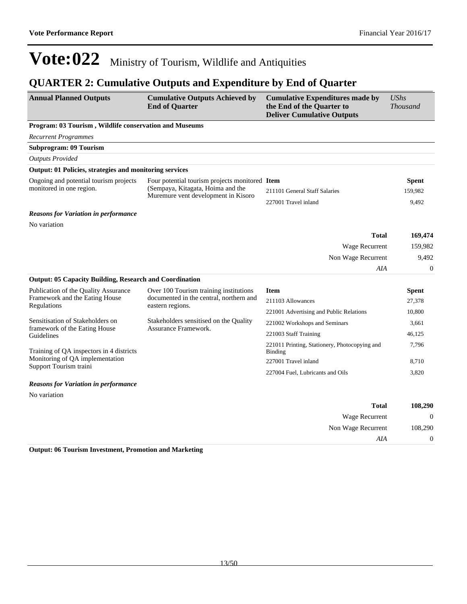Non Wage Recurrent 108,290

*AIA* 0

## Vote: 022 Ministry of Tourism, Wildlife and Antiquities

## **QUARTER 2: Cumulative Outputs and Expenditure by End of Quarter**

| <b>Annual Planned Outputs</b>                                                                                                                                                              | <b>Cumulative Outputs Achieved by</b><br><b>End of Quarter</b> | <b>Cumulative Expenditures made by</b><br>the End of the Quarter to<br><b>Deliver Cumulative Outputs</b> | <b>UShs</b><br><b>Thousand</b> |
|--------------------------------------------------------------------------------------------------------------------------------------------------------------------------------------------|----------------------------------------------------------------|----------------------------------------------------------------------------------------------------------|--------------------------------|
| Program: 03 Tourism, Wildlife conservation and Museums                                                                                                                                     |                                                                |                                                                                                          |                                |
| <b>Recurrent Programmes</b>                                                                                                                                                                |                                                                |                                                                                                          |                                |
| <b>Subprogram: 09 Tourism</b>                                                                                                                                                              |                                                                |                                                                                                          |                                |
| <b>Outputs Provided</b>                                                                                                                                                                    |                                                                |                                                                                                          |                                |
| Output: 01 Policies, strategies and monitoring services                                                                                                                                    |                                                                |                                                                                                          |                                |
| Four potential tourism projects monitored Item<br>Ongoing and potential tourism projects<br>monitored in one region.<br>(Sempaya, Kitagata, Hoima and the<br>211101 General Staff Salaries |                                                                |                                                                                                          | <b>Spent</b>                   |
|                                                                                                                                                                                            | Muremure vent development in Kisoro                            |                                                                                                          | 159,982                        |
|                                                                                                                                                                                            |                                                                | 227001 Travel inland                                                                                     | 9,492                          |
| <b>Reasons for Variation in performance</b>                                                                                                                                                |                                                                |                                                                                                          |                                |
| No variation                                                                                                                                                                               |                                                                |                                                                                                          |                                |
|                                                                                                                                                                                            |                                                                | <b>Total</b>                                                                                             | 169,474                        |
|                                                                                                                                                                                            |                                                                | Wage Recurrent                                                                                           | 159,982                        |
|                                                                                                                                                                                            |                                                                | Non Wage Recurrent                                                                                       | 9,492                          |
|                                                                                                                                                                                            |                                                                | AIA                                                                                                      | $\theta$                       |
| <b>Output: 05 Capacity Building, Research and Coordination</b>                                                                                                                             |                                                                |                                                                                                          |                                |
| Publication of the Quality Assurance                                                                                                                                                       | Over 100 Tourism training institutions                         | <b>Item</b>                                                                                              | <b>Spent</b>                   |
| Framework and the Eating House<br>Regulations                                                                                                                                              | documented in the central, northern and<br>eastern regions.    | 211103 Allowances                                                                                        | 27,378                         |
|                                                                                                                                                                                            |                                                                | 221001 Advertising and Public Relations                                                                  | 10,800                         |
| Sensitisation of Stakeholders on                                                                                                                                                           | Stakeholders sensitised on the Quality<br>Assurance Framework. | 221002 Workshops and Seminars                                                                            | 3,661                          |
| framework of the Eating House<br>Guidelines                                                                                                                                                |                                                                | 221003 Staff Training                                                                                    | 46,125                         |
| Training of QA inspectors in 4 districts                                                                                                                                                   |                                                                | 221011 Printing, Stationery, Photocopying and<br><b>Binding</b>                                          | 7,796                          |
| Monitoring of QA implementation<br>Support Tourism traini                                                                                                                                  |                                                                | 227001 Travel inland                                                                                     | 8,710                          |
|                                                                                                                                                                                            |                                                                | 227004 Fuel, Lubricants and Oils                                                                         | 3,820                          |
| <b>Reasons for Variation in performance</b>                                                                                                                                                |                                                                |                                                                                                          |                                |
| No variation                                                                                                                                                                               |                                                                |                                                                                                          |                                |
|                                                                                                                                                                                            |                                                                | <b>Total</b>                                                                                             | 108,290                        |
|                                                                                                                                                                                            |                                                                | <b>Wage Recurrent</b>                                                                                    | $\boldsymbol{0}$               |

**Output: 06 Tourism Investment, Promotion and Marketing**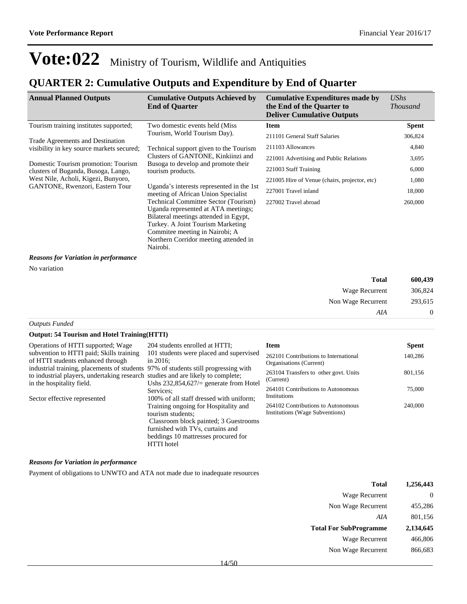## **QUARTER 2: Cumulative Outputs and Expenditure by End of Quarter**

| <b>Annual Planned Outputs</b>                                                  | <b>Cumulative Outputs Achieved by</b><br><b>End of Quarter</b>                                                                                                                                                                                   | <b>Cumulative Expenditures made by</b><br>the End of the Quarter to<br><b>Deliver Cumulative Outputs</b> | <b>UShs</b><br><b>Thousand</b> |
|--------------------------------------------------------------------------------|--------------------------------------------------------------------------------------------------------------------------------------------------------------------------------------------------------------------------------------------------|----------------------------------------------------------------------------------------------------------|--------------------------------|
| Tourism training institutes supported;                                         | Two domestic events held (Miss)                                                                                                                                                                                                                  | <b>Item</b>                                                                                              | <b>Spent</b>                   |
| Trade Agreements and Destination                                               | Tourism, World Tourism Day).                                                                                                                                                                                                                     | 211101 General Staff Salaries                                                                            | 306,824                        |
| visibility in key source markets secured;                                      | Technical support given to the Tourism                                                                                                                                                                                                           | 211103 Allowances                                                                                        | 4,840                          |
|                                                                                | Clusters of GANTONE, Kinkiinzi and                                                                                                                                                                                                               | 221001 Advertising and Public Relations                                                                  | 3,695                          |
| Domestic Tourism promotion: Tourism<br>clusters of Buganda, Busoga, Lango,     | Busoga to develop and promote their<br>tourism products.                                                                                                                                                                                         | 221003 Staff Training                                                                                    | 6,000                          |
| West Nile, Acholi, Kigezi, Bunyoro,                                            | Uganda's interests represented in the 1st<br>meeting of African Union Specialist                                                                                                                                                                 | 221005 Hire of Venue (chairs, projector, etc)                                                            | 1,080                          |
| GANTONE, Rwenzori, Eastern Tour                                                |                                                                                                                                                                                                                                                  | 227001 Travel inland                                                                                     | 18,000                         |
|                                                                                | Technical Committee Sector (Tourism)<br>Uganda represented at ATA meetings;<br>Bilateral meetings attended in Egypt,<br>Turkey. A Joint Tourism Marketing<br>Commitee meeting in Nairobi; A<br>Northern Corridor meeting attended in<br>Nairobi. | 227002 Travel abroad                                                                                     | 260,000                        |
| <b>Reasons for Variation in performance</b>                                    |                                                                                                                                                                                                                                                  |                                                                                                          |                                |
| No variation                                                                   |                                                                                                                                                                                                                                                  |                                                                                                          |                                |
|                                                                                |                                                                                                                                                                                                                                                  | <b>Total</b>                                                                                             | 600,439                        |
|                                                                                |                                                                                                                                                                                                                                                  | Wage Recurrent                                                                                           | 306,824                        |
|                                                                                |                                                                                                                                                                                                                                                  | Non Wage Recurrent                                                                                       | 293,615                        |
|                                                                                |                                                                                                                                                                                                                                                  | AIA                                                                                                      | $\boldsymbol{0}$               |
| <b>Outputs Funded</b>                                                          |                                                                                                                                                                                                                                                  |                                                                                                          |                                |
| <b>Output: 54 Tourism and Hotel Training (HTTI)</b>                            |                                                                                                                                                                                                                                                  |                                                                                                          |                                |
| Operations of HTTI supported; Wage<br>subvention to HTTI paid: Skills training | 204 students enrolled at HTTI;<br>101 students were placed and supervised                                                                                                                                                                        | <b>Item</b>                                                                                              | <b>Spent</b><br>110.005        |

| Operations of HTTI supported; Wage                                                                                                                                                                                                                                 | 204 students enrolled at HTTI:                                                                                                                                        | Item                                               | Spent   |
|--------------------------------------------------------------------------------------------------------------------------------------------------------------------------------------------------------------------------------------------------------------------|-----------------------------------------------------------------------------------------------------------------------------------------------------------------------|----------------------------------------------------|---------|
| subvention to HTTI paid; Skills training<br>101 students were placed and supervised<br>of HTTI students enhanced through<br>in $2016$ :                                                                                                                            | 262101 Contributions to International<br>Organisations (Current)                                                                                                      | 140,286                                            |         |
|                                                                                                                                                                                                                                                                    | industrial training, placements of students 97% of students still progressing with<br>to industrial players, undertaking research studies and are likely to complete; | 263104 Transfers to other govt. Units<br>(Current) | 801,156 |
| in the hospitality field.<br>Ushs $232,854,627/$ generate from Hotel<br>Services:<br>100% of all staff dressed with uniform;<br>Sector effective represented<br>Training ongoing for Hospitality and<br>tourism students:<br>Classroom block painted; 3 Guestrooms | 264101 Contributions to Autonomous<br>Institutions                                                                                                                    | 75,000                                             |         |
|                                                                                                                                                                                                                                                                    | 264102 Contributions to Autonomous<br><b>Institutions (Wage Subventions)</b>                                                                                          | 240,000                                            |         |
|                                                                                                                                                                                                                                                                    | furnished with TVs, curtains and<br>beddings 10 mattresses procured for                                                                                               |                                                    |         |
|                                                                                                                                                                                                                                                                    | <b>HTTI</b> hotel                                                                                                                                                     |                                                    |         |

### *Reasons for Variation in performance*

Payment of obligations to UNWTO and ATA not made due to inadequate resources

| Total                         | 1,256,443 |
|-------------------------------|-----------|
| Wage Recurrent                |           |
| Non Wage Recurrent            | 455,286   |
| AIA                           | 801,156   |
|                               |           |
| <b>Total For SubProgramme</b> | 2,134,645 |
| Wage Recurrent                | 466,806   |
| Non Wage Recurrent            | 866,683   |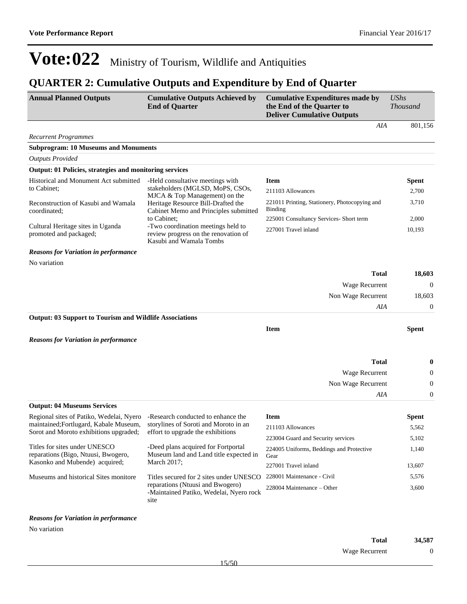## **QUARTER 2: Cumulative Outputs and Expenditure by End of Quarter**

| <b>Annual Planned Outputs</b>                                            | <b>Cumulative Outputs Achieved by</b><br><b>End of Quarter</b>                      | <b>Cumulative Expenditures made by</b><br>the End of the Quarter to<br><b>Deliver Cumulative Outputs</b> | <b>UShs</b><br><b>Thousand</b> |
|--------------------------------------------------------------------------|-------------------------------------------------------------------------------------|----------------------------------------------------------------------------------------------------------|--------------------------------|
|                                                                          |                                                                                     | AIA                                                                                                      | 801,156                        |
| <b>Recurrent Programmes</b>                                              |                                                                                     |                                                                                                          |                                |
| <b>Subprogram: 10 Museums and Monuments</b>                              |                                                                                     |                                                                                                          |                                |
| <b>Outputs Provided</b>                                                  |                                                                                     |                                                                                                          |                                |
| Output: 01 Policies, strategies and monitoring services                  |                                                                                     |                                                                                                          |                                |
| Historical and Monument Act submitted                                    | -Held consultative meetings with                                                    | <b>Item</b>                                                                                              | <b>Spent</b>                   |
| to Cabinet;                                                              | stakeholders (MGLSD, MoPS, CSOs,<br>MJCA & Top Management) on the                   | 211103 Allowances                                                                                        | 2,700                          |
| Reconstruction of Kasubi and Wamala<br>coordinated;                      | Heritage Resource Bill-Drafted the<br>Cabinet Memo and Principles submitted         | 221011 Printing, Stationery, Photocopying and<br><b>Binding</b>                                          | 3,710                          |
| Cultural Heritage sites in Uganda                                        | to Cabinet;<br>-Two coordination meetings held to                                   | 225001 Consultancy Services- Short term                                                                  | 2,000                          |
| promoted and packaged;                                                   | review progress on the renovation of<br>Kasubi and Wamala Tombs                     | 227001 Travel inland                                                                                     | 10,193                         |
| <b>Reasons for Variation in performance</b>                              |                                                                                     |                                                                                                          |                                |
| No variation                                                             |                                                                                     |                                                                                                          |                                |
|                                                                          |                                                                                     | <b>Total</b>                                                                                             | 18,603                         |
|                                                                          |                                                                                     | Wage Recurrent                                                                                           | 0                              |
|                                                                          |                                                                                     | Non Wage Recurrent                                                                                       | 18,603                         |
|                                                                          |                                                                                     | AIA                                                                                                      | $\boldsymbol{0}$               |
| <b>Output: 03 Support to Tourism and Wildlife Associations</b>           |                                                                                     |                                                                                                          |                                |
|                                                                          |                                                                                     | <b>Item</b>                                                                                              | <b>Spent</b>                   |
| <b>Reasons for Variation in performance</b>                              |                                                                                     |                                                                                                          |                                |
|                                                                          |                                                                                     | <b>Total</b>                                                                                             | $\bf{0}$                       |
|                                                                          |                                                                                     | Wage Recurrent                                                                                           | 0                              |
|                                                                          |                                                                                     |                                                                                                          | 0                              |
|                                                                          |                                                                                     | Non Wage Recurrent<br>AIA                                                                                | 0                              |
| <b>Output: 04 Museums Services</b>                                       |                                                                                     |                                                                                                          |                                |
| Regional sites of Patiko, Wedelai, Nyero                                 | -Research conducted to enhance the                                                  | <b>Item</b>                                                                                              | <b>Spent</b>                   |
| maintained; Fortlugard, Kabale Museum,                                   | storylines of Soroti and Moroto in an                                               | 211103 Allowances                                                                                        | 5,562                          |
| Sorot and Moroto exhibitions upgraded; effort to upgrade the exhibitions |                                                                                     | 223004 Guard and Security services                                                                       | 5,102                          |
| Titles for sites under UNESCO                                            | -Deed plans acquired for Fortportal                                                 | 224005 Uniforms, Beddings and Protective                                                                 | 1,140                          |
| reparations (Bigo, Ntuusi, Bwogero,                                      | Museum land and Land title expected in                                              | Gear                                                                                                     |                                |
| Kasonko and Mubende) acquired;                                           | March 2017;                                                                         | 227001 Travel inland                                                                                     | 13,607                         |
| Museums and historical Sites monitore                                    | Titles secured for 2 sites under UNESCO                                             | 228001 Maintenance - Civil                                                                               | 5,576                          |
|                                                                          | reparations (Ntuusi and Bwogero)<br>-Maintained Patiko, Wedelai, Nyero rock<br>site | 228004 Maintenance – Other                                                                               | 3,600                          |
| <b>Reasons for Variation in performance</b>                              |                                                                                     |                                                                                                          |                                |

No variation

| Total          | 34,587   |
|----------------|----------|
| Wage Recurrent | $\theta$ |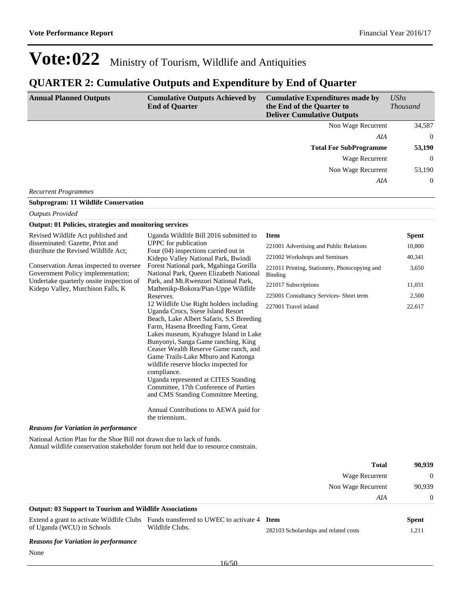## **QUARTER 2: Cumulative Outputs and Expenditure by End of Quarter**

| <b>Annual Planned Outputs</b> | <b>Cumulative Outputs Achieved by</b><br><b>End of Quarter</b> | <b>Cumulative Expenditures made by</b><br>the End of the Quarter to<br><b>Deliver Cumulative Outputs</b> | UShs<br><b>Thousand</b> |
|-------------------------------|----------------------------------------------------------------|----------------------------------------------------------------------------------------------------------|-------------------------|
|                               |                                                                | Non Wage Recurrent                                                                                       | 34,587                  |
|                               |                                                                | AIA                                                                                                      | $\overline{0}$          |
|                               |                                                                | <b>Total For SubProgramme</b>                                                                            | 53,190                  |
|                               |                                                                | Wage Recurrent                                                                                           | $\overline{0}$          |
|                               |                                                                | Non Wage Recurrent                                                                                       | 53,190                  |
|                               |                                                                | AIA                                                                                                      | $\overline{0}$          |
| <b>Recurrent Programmes</b>   |                                                                |                                                                                                          |                         |

#### **Subprogram: 11 Wildlife Conservation**

#### *Outputs Provided*

#### **Output: 01 Policies, strategies and monitoring services**

| Revised Wildlife Act published and                                                                                                                           | Uganda Wildlife Bill 2016 submitted to                                                                                                                                                                                                                                                                                                                                                                                                                                | <b>Item</b>                                                                                                              | <b>Spent</b> |
|--------------------------------------------------------------------------------------------------------------------------------------------------------------|-----------------------------------------------------------------------------------------------------------------------------------------------------------------------------------------------------------------------------------------------------------------------------------------------------------------------------------------------------------------------------------------------------------------------------------------------------------------------|--------------------------------------------------------------------------------------------------------------------------|--------------|
| disseminated: Gazette, Print and<br>distribute the Revised Wildlife Act;                                                                                     | <b>UPPC</b> for publication<br>Four (04) inspections carried out in                                                                                                                                                                                                                                                                                                                                                                                                   | 221001 Advertising and Public Relations                                                                                  | 10,800       |
|                                                                                                                                                              | Kidepo Valley National Park, Bwindi                                                                                                                                                                                                                                                                                                                                                                                                                                   | 221002 Workshops and Seminars                                                                                            | 40,341       |
| Conservation Areas inspected to oversee<br>Government Policy implementation;<br>Undertake quarterly onsite inspection of                                     | Forest National park, Mgahinga Gorilla<br>National Park, Queen Elizabeth National                                                                                                                                                                                                                                                                                                                                                                                     | 221011 Printing, Stationery, Photocopying and<br>Binding<br>Park, and Mt.Rwenzori National Park,<br>221017 Subscriptions | 3,650        |
| Kidepo Valley, Murchison Falls, K                                                                                                                            | Mathenikp-Bokora/Pian-Uppe Wildlife                                                                                                                                                                                                                                                                                                                                                                                                                                   |                                                                                                                          | 11,031       |
|                                                                                                                                                              | Reserves.                                                                                                                                                                                                                                                                                                                                                                                                                                                             | 225001 Consultancy Services- Short term                                                                                  | 2,500        |
|                                                                                                                                                              | 12 Wildlife Use Right holders including<br>Uganda Crocs, Ssese Island Resort<br>Beach, Lake Albert Safaris, S.S Breeding<br>Farm, Hasena Breeding Farm, Great<br>Lakes museum, Kyahugye Island in Lake<br>Bunyonyi, Sanga Game ranching, King<br>Ceaser Wealth Reserve Game ranch, and<br>Game Trails-Lake Mburo and Katonga<br>wildlife reserve blocks inspected for<br>compliance.<br>Uganda represented at CITES Standing<br>Committee, 17th Conference of Parties | 227001 Travel inland                                                                                                     | 22,617       |
|                                                                                                                                                              | and CMS Standing Committee Meeting.                                                                                                                                                                                                                                                                                                                                                                                                                                   |                                                                                                                          |              |
|                                                                                                                                                              | Annual Contributions to AEWA paid for<br>the triennium.                                                                                                                                                                                                                                                                                                                                                                                                               |                                                                                                                          |              |
| <b>Reasons for Variation in performance</b>                                                                                                                  |                                                                                                                                                                                                                                                                                                                                                                                                                                                                       |                                                                                                                          |              |
| National Action Plan for the Shoe Bill not drawn due to lack of funds.<br>Annual wildlife conservation stakeholder forum not held due to resource constrain. |                                                                                                                                                                                                                                                                                                                                                                                                                                                                       |                                                                                                                          |              |

| <b>Total</b>                                                   | 90.939   |
|----------------------------------------------------------------|----------|
| Wage Recurrent                                                 | $\Omega$ |
| Non Wage Recurrent                                             | 90,939   |
| AIA                                                            | $\Omega$ |
| <b>Output: 03 Support to Tourism and Wildlife Associations</b> |          |

|                            | Extend a grant to activate Wildlife Clubs Funds transferred to UWEC to activate 4 Item |                                       | <b>Spent</b> |
|----------------------------|----------------------------------------------------------------------------------------|---------------------------------------|--------------|
| of Uganda (WCU) in Schools | Wildlife Clubs.                                                                        | 282103 Scholarships and related costs | 1.211        |

#### *Reasons for Variation in performance*

None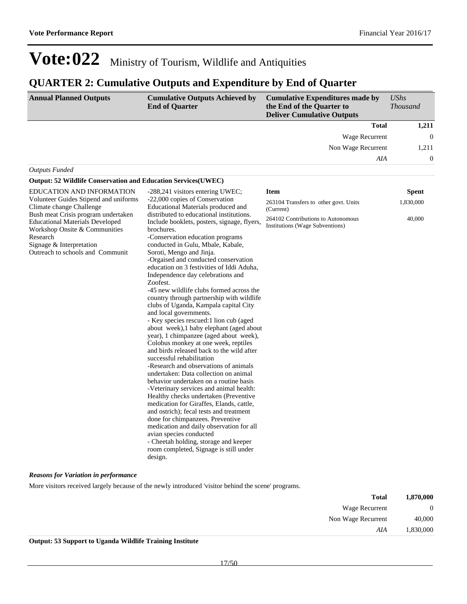### **QUARTER 2: Cumulative Outputs and Expenditure by End of Quarter**

| <b>Total</b><br>Wage Recurrent<br>Non Wage Recurrent<br>AIA<br><b>Outputs Funded</b><br>Output: 52 Wildlife Conservation and Education Services(UWEC)<br>EDUCATION AND INFORMATION<br>-288,241 visitors entering UWEC;<br><b>Item</b><br>-22,000 copies of Conservation<br>Volunteer Guides Stipend and uniforms<br>263104 Transfers to other govt. Units<br>Climate change Challenge<br>Educational Materials produced and<br>(Current)<br>Bush meat Crisis program undertaken<br>distributed to educational institutions.<br>264102 Contributions to Autonomous<br><b>Educational Materials Developed</b><br>Include booklets, posters, signage, flyers,<br><b>Institutions (Wage Subventions)</b>                                                                                                                                                                                                                                                                                                                                                                                                                                                                                                                                                                                               |                                     |
|----------------------------------------------------------------------------------------------------------------------------------------------------------------------------------------------------------------------------------------------------------------------------------------------------------------------------------------------------------------------------------------------------------------------------------------------------------------------------------------------------------------------------------------------------------------------------------------------------------------------------------------------------------------------------------------------------------------------------------------------------------------------------------------------------------------------------------------------------------------------------------------------------------------------------------------------------------------------------------------------------------------------------------------------------------------------------------------------------------------------------------------------------------------------------------------------------------------------------------------------------------------------------------------------------|-------------------------------------|
|                                                                                                                                                                                                                                                                                                                                                                                                                                                                                                                                                                                                                                                                                                                                                                                                                                                                                                                                                                                                                                                                                                                                                                                                                                                                                                    | 1,211                               |
|                                                                                                                                                                                                                                                                                                                                                                                                                                                                                                                                                                                                                                                                                                                                                                                                                                                                                                                                                                                                                                                                                                                                                                                                                                                                                                    | $\mathbf{0}$                        |
|                                                                                                                                                                                                                                                                                                                                                                                                                                                                                                                                                                                                                                                                                                                                                                                                                                                                                                                                                                                                                                                                                                                                                                                                                                                                                                    | 1,211                               |
|                                                                                                                                                                                                                                                                                                                                                                                                                                                                                                                                                                                                                                                                                                                                                                                                                                                                                                                                                                                                                                                                                                                                                                                                                                                                                                    | $\boldsymbol{0}$                    |
|                                                                                                                                                                                                                                                                                                                                                                                                                                                                                                                                                                                                                                                                                                                                                                                                                                                                                                                                                                                                                                                                                                                                                                                                                                                                                                    |                                     |
|                                                                                                                                                                                                                                                                                                                                                                                                                                                                                                                                                                                                                                                                                                                                                                                                                                                                                                                                                                                                                                                                                                                                                                                                                                                                                                    |                                     |
| Workshop Onsite & Communities<br>brochures.<br>Research<br>-Conservation education programs<br>Signage $&$ Interpretation<br>conducted in Gulu, Mbale, Kabale,<br>Outreach to schools and Communit<br>Soroti, Mengo and Jinja.<br>-Orgaised and conducted conservation<br>education on 3 festivities of Iddi Aduha,<br>Independence day celebrations and<br>Zoofest.<br>-45 new wildlife clubs formed across the<br>country through partnership with wildlife<br>clubs of Uganda, Kampala capital City<br>and local governments.<br>- Key species rescued:1 lion cub (aged<br>about week), 1 baby elephant (aged about<br>year), 1 chimpanzee (aged about week),<br>Colobus monkey at one week, reptiles<br>and birds released back to the wild after<br>successful rehabilitation<br>-Research and observations of animals<br>undertaken: Data collection on animal<br>behavior undertaken on a routine basis<br>-Veterinary services and animal health:<br>Healthy checks undertaken (Preventive<br>medication for Giraffes, Elands, cattle,<br>and ostrich); fecal tests and treatment<br>done for chimpanzees. Preventive<br>medication and daily observation for all<br>avian species conducted<br>- Cheetah holding, storage and keeper<br>room completed, Signage is still under<br>design. | <b>Spent</b><br>1,830,000<br>40,000 |

#### *Reasons for Variation in performance*

More visitors received largely because of the newly introduced 'visitor behind the scene' programs.

| 1,870,000      | <b>Total</b>                                                                                      |                                    |
|----------------|---------------------------------------------------------------------------------------------------|------------------------------------|
| $\overline{0}$ | Wage Recurrent                                                                                    |                                    |
| 40,000         | Non Wage Recurrent                                                                                |                                    |
| 1,830,000      | AIA                                                                                               |                                    |
|                | $\mathbf{r}$ , and $\mathbf{r}$ , and $\mathbf{r}$ are the set of $\mathbf{r}$ , and $\mathbf{r}$ | $\sim$ $\sim$ $\sim$ $\sim$ $\sim$ |

**Output: 53 Support to Uganda Wildlife Training Institute**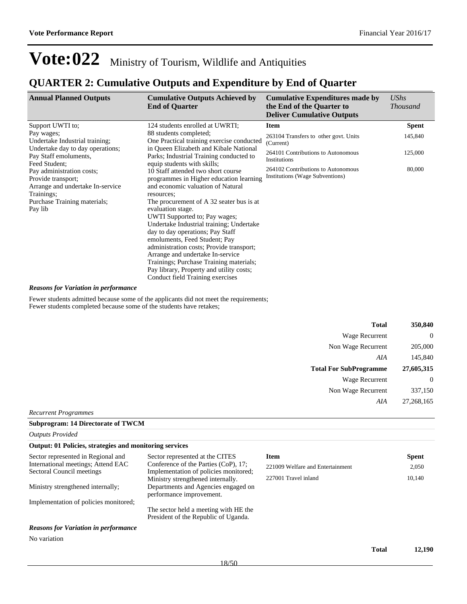**Total 12,190**

## Vote: 022 Ministry of Tourism, Wildlife and Antiquities

### **QUARTER 2: Cumulative Outputs and Expenditure by End of Quarter**

| <b>Annual Planned Outputs</b>                                                                                                                | <b>Cumulative Outputs Achieved by</b><br><b>End of Quarter</b>                                                                                                                                                                                                                                                                                                                                                                                                                                                                                                 | <b>Cumulative Expenditures made by</b><br>the End of the Quarter to<br><b>Deliver Cumulative Outputs</b> | <b>UShs</b><br><i>Thousand</i> |
|----------------------------------------------------------------------------------------------------------------------------------------------|----------------------------------------------------------------------------------------------------------------------------------------------------------------------------------------------------------------------------------------------------------------------------------------------------------------------------------------------------------------------------------------------------------------------------------------------------------------------------------------------------------------------------------------------------------------|----------------------------------------------------------------------------------------------------------|--------------------------------|
| Support UWTI to;                                                                                                                             | 124 students enrolled at UWRTI;                                                                                                                                                                                                                                                                                                                                                                                                                                                                                                                                | <b>Item</b>                                                                                              | <b>Spent</b>                   |
| Pay wages;<br>Undertake Industrial training;<br>Undertake day to day operations;<br>Pay Staff emoluments,<br>Feed Student:                   | 88 students completed;<br>One Practical training exercise conducted<br>in Queen Elizabeth and Kibale National<br>Parks; Industrial Training conducted to<br>equip students with skills;                                                                                                                                                                                                                                                                                                                                                                        | 263104 Transfers to other govt. Units<br>(Current)                                                       | 145,840                        |
|                                                                                                                                              |                                                                                                                                                                                                                                                                                                                                                                                                                                                                                                                                                                | 264101 Contributions to Autonomous<br>Institutions                                                       | 125,000                        |
| Pay administration costs;<br>Provide transport;<br>Arrange and undertake In-service<br>Trainings;<br>Purchase Training materials;<br>Pay lib | 10 Staff attended two short course<br>programmes in Higher education learning<br>and economic valuation of Natural<br>resources;<br>The procurement of A 32 seater bus is at<br>evaluation stage.<br>UWTI Supported to; Pay wages;<br>Undertake Industrial training; Undertake<br>day to day operations; Pay Staff<br>emoluments, Feed Student; Pay<br>administration costs; Provide transport;<br>Arrange and undertake In-service<br>Trainings; Purchase Training materials;<br>Pay library, Property and utility costs;<br>Conduct field Training exercises | 264102 Contributions to Autonomous<br>Institutions (Wage Subventions)                                    | 80,000                         |
| <b>Reasons for Variation in performance</b>                                                                                                  |                                                                                                                                                                                                                                                                                                                                                                                                                                                                                                                                                                |                                                                                                          |                                |

Fewer students admitted because some of the applicants did not meet the requirements; Fewer students completed because some of the students have retakes;

| <b>Total</b>                  | 350,840        |
|-------------------------------|----------------|
| Wage Recurrent                | $\overline{0}$ |
| Non Wage Recurrent            | 205,000        |
| AIA                           | 145,840        |
| <b>Total For SubProgramme</b> | 27,605,315     |
| <b>Wage Recurrent</b>         | $\overline{0}$ |
| Non Wage Recurrent            | 337,150        |
| AIA                           | 27,268,165     |
| Duo o ugumno o c              |                |

*Recurrent Programmes*

### **Subprogram: 14 Directorate of TWCM**

| <b>Outputs Provided</b>                                        |                                                                               |                                  |              |
|----------------------------------------------------------------|-------------------------------------------------------------------------------|----------------------------------|--------------|
| <b>Output: 01 Policies, strategies and monitoring services</b> |                                                                               |                                  |              |
| Sector represented in Regional and                             | Sector represented at the CITES                                               | Item                             | <b>Spent</b> |
| International meetings; Attend EAC                             | Conference of the Parties (CoP), 17;                                          | 221009 Welfare and Entertainment | 2,050        |
| Sectoral Council meetings                                      | Implementation of policies monitored;<br>Ministry strengthened internally.    | 227001 Travel inland             | 10,140       |
| Ministry strengthened internally;                              | Departments and Agencies engaged on<br>performance improvement.               |                                  |              |
| Implementation of policies monitored;                          |                                                                               |                                  |              |
|                                                                | The sector held a meeting with HE the<br>President of the Republic of Uganda. |                                  |              |
| <b>Reasons for Variation in performance</b>                    |                                                                               |                                  |              |
| No variation                                                   |                                                                               |                                  |              |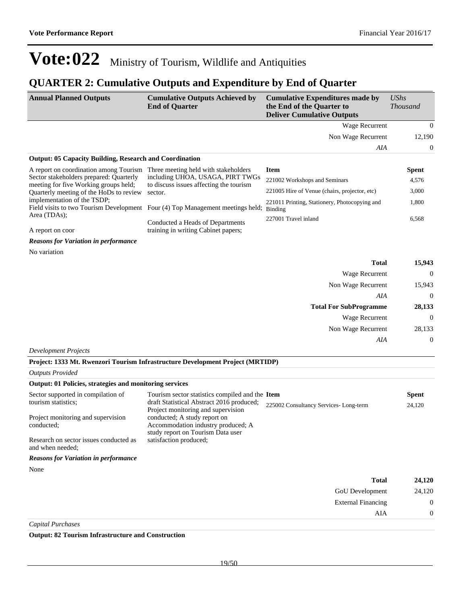*AIA* 0

## Vote: 022 Ministry of Tourism, Wildlife and Antiquities

## **QUARTER 2: Cumulative Outputs and Expenditure by End of Quarter**

| <b>Annual Planned Outputs</b>                                                    | <b>Cumulative Outputs Achieved by</b><br><b>End of Quarter</b>                 | <b>Cumulative Expenditures made by</b><br><b>UShs</b><br>the End of the Quarter to<br><b>Thousand</b><br><b>Deliver Cumulative Outputs</b> |                |
|----------------------------------------------------------------------------------|--------------------------------------------------------------------------------|--------------------------------------------------------------------------------------------------------------------------------------------|----------------|
|                                                                                  |                                                                                | Wage Recurrent                                                                                                                             | $\Omega$       |
|                                                                                  |                                                                                | Non Wage Recurrent                                                                                                                         | 12,190         |
|                                                                                  |                                                                                | AIA                                                                                                                                        | $\overline{0}$ |
| <b>Output: 05 Capacity Building, Research and Coordination</b>                   |                                                                                |                                                                                                                                            |                |
| A report on coordination among Tourism                                           | Three meeting held with stakeholders                                           | <b>Item</b>                                                                                                                                | <b>Spent</b>   |
| Sector stakeholders prepared: Quarterly<br>meeting for five Working groups held; | including UHOA, USAGA, PIRT TWGs<br>to discuss issues affecting the tourism    | 221002 Workshops and Seminars                                                                                                              | 4,576          |
| Quarterly meeting of the HoDs to review                                          | sector.                                                                        | 221005 Hire of Venue (chairs, projector, etc)                                                                                              | 3,000          |
| implementation of the TSDP;                                                      | Field visits to two Tourism Development Four (4) Top Management meetings held; | 221011 Printing, Stationery, Photocopying and<br>Binding                                                                                   | 1,800          |
| Area (TDAs);<br>A report on coor                                                 | Conducted a Heads of Departments<br>training in writing Cabinet papers;        | 227001 Travel inland                                                                                                                       | 6,568          |
| <b>Reasons for Variation in performance</b>                                      |                                                                                |                                                                                                                                            |                |
| No variation                                                                     |                                                                                |                                                                                                                                            |                |
|                                                                                  |                                                                                | <b>Total</b>                                                                                                                               | 15,943         |
|                                                                                  |                                                                                | Wage Recurrent                                                                                                                             | $\Omega$       |
|                                                                                  |                                                                                | Non Wage Recurrent                                                                                                                         | 15,943         |
|                                                                                  |                                                                                | AIA                                                                                                                                        | $\Omega$       |
|                                                                                  |                                                                                | <b>Total For SubProgramme</b>                                                                                                              | 28,133         |
|                                                                                  |                                                                                | <b>Wage Recurrent</b>                                                                                                                      | $\Omega$       |
|                                                                                  |                                                                                | Non Wage Recurrent                                                                                                                         | 28,133         |

*Development Projects*

|  |  | Project: 1333 Mt. Rwenzori Tourism Infrastructure Development Project (MRTIDP) |  |  |
|--|--|--------------------------------------------------------------------------------|--|--|
|  |  |                                                                                |  |  |

*Outputs Provided*

|  |  | <b>Output: 01 Policies, strategies and monitoring services</b> |  |
|--|--|----------------------------------------------------------------|--|
|  |  |                                                                |  |

| Sector supported in compilation of<br>tourism statistics;  | Tourism sector statistics compiled and the Item<br>draft Statistical Abstract 2016 produced;                                                  | 225002 Consultancy Services-Long-term | <b>Spent</b><br>24,120 |
|------------------------------------------------------------|-----------------------------------------------------------------------------------------------------------------------------------------------|---------------------------------------|------------------------|
| Project monitoring and supervision<br>conducted;           | Project monitoring and supervision<br>conducted; A study report on<br>Accommodation industry produced; A<br>study report on Tourism Data user |                                       |                        |
| Research on sector issues conducted as<br>and when needed; | satisfaction produced;                                                                                                                        |                                       |                        |
| <b>Reasons for Variation in performance</b>                |                                                                                                                                               |                                       |                        |
| None                                                       |                                                                                                                                               |                                       |                        |
|                                                            |                                                                                                                                               | <b>Total</b>                          | 24,120                 |
|                                                            |                                                                                                                                               | <b>GoU</b> Development                | 24,120                 |
|                                                            |                                                                                                                                               | <b>External Financing</b>             | $\overline{0}$         |
|                                                            |                                                                                                                                               | AIA                                   | $\theta$               |

*Capital Purchases*

**Output: 82 Tourism Infrastructure and Construction**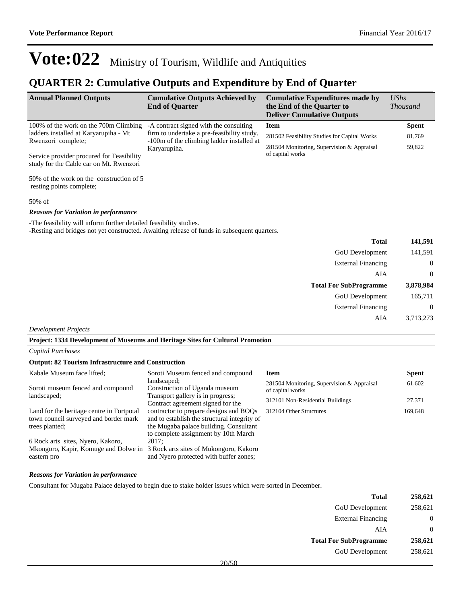### **QUARTER 2: Cumulative Outputs and Expenditure by End of Quarter**

| <b>Annual Planned Outputs</b>                                                        | <b>Cumulative Outputs Achieved by</b><br><b>End of Quarter</b>                          | <b>Cumulative Expenditures made by</b><br>the End of the Quarter to<br><b>Deliver Cumulative Outputs</b> | $\mathit{UShs}$<br><i>Thousand</i> |
|--------------------------------------------------------------------------------------|-----------------------------------------------------------------------------------------|----------------------------------------------------------------------------------------------------------|------------------------------------|
| 100% of the work on the 700m Climbing                                                | -A contract signed with the consulting                                                  | <b>Item</b>                                                                                              | <b>Spent</b>                       |
| ladders installed at Karyarupiha - Mt<br>Rwenzori complete;                          | firm to undertake a pre-feasibility study.<br>-100m of the climbing ladder installed at | 281502 Feasibility Studies for Capital Works                                                             | 81,769                             |
| Service provider procured for Feasibility<br>study for the Cable car on Mt. Rwenzori | Karyarupiha.                                                                            | 281504 Monitoring, Supervision & Appraisal<br>of capital works                                           | 59,822                             |

50% of the work on the construction of 5 resting points complete;

#### 50% of

#### *Reasons for Variation in performance*

-The feasibility will inform further detailed feasibility studies.

-Resting and bridges not yet constructed. Awaiting release of funds in subsequent quarters.

| 141,591        | <b>Total</b>                  |
|----------------|-------------------------------|
| 141,591        | <b>GoU</b> Development        |
| $\overline{0}$ | <b>External Financing</b>     |
| $\mathbf{0}$   | AIA                           |
| 3,878,984      | <b>Total For SubProgramme</b> |
| 165,711        | GoU Development               |
| $\overline{0}$ | <b>External Financing</b>     |
| 3,713,273      | AIA                           |

*Development Projects*

**Project: 1334 Development of Museums and Heritage Sites for Cultural Promotion**

*Capital Purchases*

#### **Output: 82 Tourism Infrastructure and Construction**

| Kabale Museum face lifted;                                                  | Soroti Museum fenced and compound                                      | Item                                                           | <b>Spent</b> |
|-----------------------------------------------------------------------------|------------------------------------------------------------------------|----------------------------------------------------------------|--------------|
| Soroti museum fenced and compound                                           | landscaped:<br>Construction of Uganda museum                           | 281504 Monitoring, Supervision & Appraisal<br>of capital works | 61,602       |
| landscaped:                                                                 | Transport gallery is in progress;<br>Contract agreement signed for the | 312101 Non-Residential Buildings                               | 27,371       |
| Land for the heritage centre in Fortpotal                                   | contractor to prepare designs and BOQs                                 | 312104 Other Structures                                        | 169,648      |
| town council surveyed and border mark                                       | and to establish the structural integrity of                           |                                                                |              |
| trees planted:                                                              | the Mugaba palace building. Consultant                                 |                                                                |              |
|                                                                             | to complete assignment by 10th March                                   |                                                                |              |
| 6 Rock arts sites, Nyero, Kakoro,                                           | 2017:                                                                  |                                                                |              |
| Mkongoro, Kapir, Komuge and Dolwe in 3 Rock arts sites of Mukongoro, Kakoro |                                                                        |                                                                |              |
| eastern pro                                                                 | and Nyero protected with buffer zones;                                 |                                                                |              |

#### *Reasons for Variation in performance*

Consultant for Mugaba Palace delayed to begin due to stake holder issues which were sorted in December.

| <b>Total</b>                  | 258,621      |
|-------------------------------|--------------|
| <b>GoU</b> Development        | 258,621      |
| <b>External Financing</b>     | $\mathbf{0}$ |
| AIA                           | $\mathbf{0}$ |
| <b>Total For SubProgramme</b> | 258,621      |
| <b>GoU</b> Development        | 258,621      |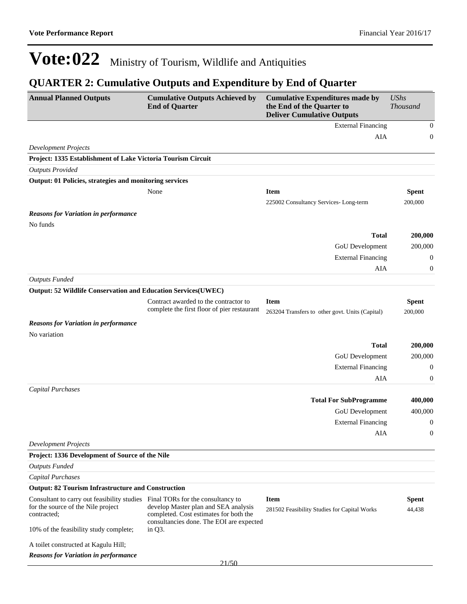## **QUARTER 2: Cumulative Outputs and Expenditure by End of Quarter**

| <b>Annual Planned Outputs</b>                                                                                                      | <b>Cumulative Outputs Achieved by</b><br><b>End of Quarter</b>                                                             | <b>Cumulative Expenditures made by</b><br>the End of the Quarter to<br><b>Deliver Cumulative Outputs</b> | <b>UShs</b><br><b>Thousand</b> |
|------------------------------------------------------------------------------------------------------------------------------------|----------------------------------------------------------------------------------------------------------------------------|----------------------------------------------------------------------------------------------------------|--------------------------------|
|                                                                                                                                    |                                                                                                                            | <b>External Financing</b>                                                                                | 0                              |
|                                                                                                                                    |                                                                                                                            | <b>AIA</b>                                                                                               | $\mathbf{0}$                   |
| <b>Development Projects</b>                                                                                                        |                                                                                                                            |                                                                                                          |                                |
| Project: 1335 Establishment of Lake Victoria Tourism Circuit                                                                       |                                                                                                                            |                                                                                                          |                                |
| <b>Outputs Provided</b>                                                                                                            |                                                                                                                            |                                                                                                          |                                |
| Output: 01 Policies, strategies and monitoring services                                                                            |                                                                                                                            |                                                                                                          |                                |
|                                                                                                                                    | None                                                                                                                       | <b>Item</b>                                                                                              | <b>Spent</b>                   |
|                                                                                                                                    |                                                                                                                            | 225002 Consultancy Services-Long-term                                                                    | 200,000                        |
| <b>Reasons for Variation in performance</b>                                                                                        |                                                                                                                            |                                                                                                          |                                |
| No funds                                                                                                                           |                                                                                                                            |                                                                                                          |                                |
|                                                                                                                                    |                                                                                                                            | <b>Total</b>                                                                                             | 200,000                        |
|                                                                                                                                    |                                                                                                                            | GoU Development                                                                                          | 200,000                        |
|                                                                                                                                    |                                                                                                                            | <b>External Financing</b>                                                                                | $\boldsymbol{0}$               |
|                                                                                                                                    |                                                                                                                            | <b>AIA</b>                                                                                               | $\boldsymbol{0}$               |
| <b>Outputs Funded</b>                                                                                                              |                                                                                                                            |                                                                                                          |                                |
| Output: 52 Wildlife Conservation and Education Services(UWEC)                                                                      |                                                                                                                            |                                                                                                          |                                |
|                                                                                                                                    | Contract awarded to the contractor to<br>complete the first floor of pier restaurant                                       | <b>Item</b>                                                                                              | <b>Spent</b>                   |
|                                                                                                                                    |                                                                                                                            | 263204 Transfers to other govt. Units (Capital)                                                          | 200,000                        |
| <b>Reasons for Variation in performance</b>                                                                                        |                                                                                                                            |                                                                                                          |                                |
| No variation                                                                                                                       |                                                                                                                            |                                                                                                          |                                |
|                                                                                                                                    |                                                                                                                            | <b>Total</b>                                                                                             | 200,000                        |
|                                                                                                                                    |                                                                                                                            | GoU Development                                                                                          | 200,000                        |
|                                                                                                                                    |                                                                                                                            | <b>External Financing</b>                                                                                | $\boldsymbol{0}$               |
|                                                                                                                                    |                                                                                                                            | AIA                                                                                                      | $\boldsymbol{0}$               |
| <b>Capital Purchases</b>                                                                                                           |                                                                                                                            |                                                                                                          |                                |
|                                                                                                                                    |                                                                                                                            | <b>Total For SubProgramme</b>                                                                            | 400,000                        |
|                                                                                                                                    |                                                                                                                            | GoU Development                                                                                          | 400,000                        |
|                                                                                                                                    |                                                                                                                            | <b>External Financing</b>                                                                                | $\boldsymbol{0}$               |
|                                                                                                                                    |                                                                                                                            | AIA                                                                                                      | 0                              |
| <b>Development Projects</b>                                                                                                        |                                                                                                                            |                                                                                                          |                                |
| Project: 1336 Development of Source of the Nile                                                                                    |                                                                                                                            |                                                                                                          |                                |
| <b>Outputs Funded</b>                                                                                                              |                                                                                                                            |                                                                                                          |                                |
| <b>Capital Purchases</b>                                                                                                           |                                                                                                                            |                                                                                                          |                                |
| <b>Output: 82 Tourism Infrastructure and Construction</b>                                                                          |                                                                                                                            |                                                                                                          |                                |
| Consultant to carry out feasibility studies Final TORs for the consultancy to<br>for the source of the Nile project<br>contracted; | develop Master plan and SEA analysis<br>completed. Cost estimates for both the<br>consultancies done. The EOI are expected | <b>Item</b><br>281502 Feasibility Studies for Capital Works                                              | <b>Spent</b><br>44,438         |
| 10% of the feasibility study complete;                                                                                             | in Q3.                                                                                                                     |                                                                                                          |                                |
| A toilet constructed at Kagulu Hill;                                                                                               |                                                                                                                            |                                                                                                          |                                |
| <b>Reasons for Variation in performance</b>                                                                                        |                                                                                                                            |                                                                                                          |                                |
|                                                                                                                                    | 21/50                                                                                                                      |                                                                                                          |                                |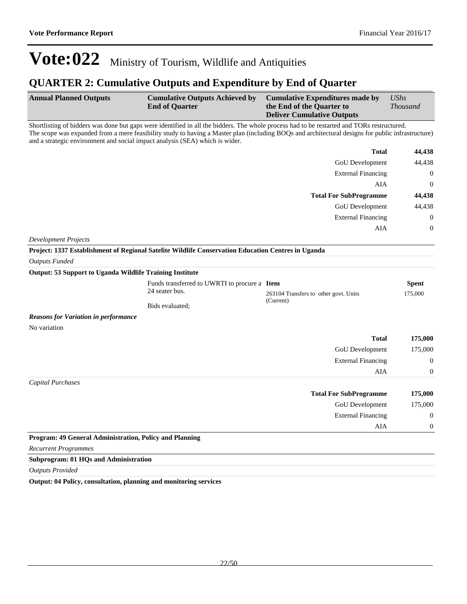## **QUARTER 2: Cumulative Outputs and Expenditure by End of Quarter**

| <b>Annual Planned Outputs</b>                                                                                                                                                                                                                                                                                                                                                   | <b>Cumulative Outputs Achieved by</b><br><b>End of Quarter</b> | <b>Cumulative Expenditures made by</b><br>the End of the Quarter to<br><b>Deliver Cumulative Outputs</b> | UShs<br><i>Thousand</i> |
|---------------------------------------------------------------------------------------------------------------------------------------------------------------------------------------------------------------------------------------------------------------------------------------------------------------------------------------------------------------------------------|----------------------------------------------------------------|----------------------------------------------------------------------------------------------------------|-------------------------|
| Shortlisting of bidders was done but gaps were identified in all the bidders. The whole process had to be restarted and TORs restructured.<br>The scope was expanded from a mere feasibility study to having a Master plan (including BOQs and architectural designs for public infrastructure)<br>and a strategic environment and social impact analysis (SEA) which is wider. |                                                                |                                                                                                          |                         |
|                                                                                                                                                                                                                                                                                                                                                                                 |                                                                | <b>Total</b>                                                                                             | 44,438                  |
|                                                                                                                                                                                                                                                                                                                                                                                 |                                                                | <b>GoU</b> Development                                                                                   | 44,438                  |
|                                                                                                                                                                                                                                                                                                                                                                                 |                                                                | <b>External Financing</b>                                                                                | $\overline{0}$          |
|                                                                                                                                                                                                                                                                                                                                                                                 |                                                                | AIA                                                                                                      | $\overline{0}$          |
|                                                                                                                                                                                                                                                                                                                                                                                 |                                                                | <b>Total For SubProgramme</b>                                                                            | 44,438                  |
|                                                                                                                                                                                                                                                                                                                                                                                 |                                                                | <b>GoU</b> Development                                                                                   | 44,438                  |
|                                                                                                                                                                                                                                                                                                                                                                                 |                                                                | <b>External Financing</b>                                                                                | $\overline{0}$          |
|                                                                                                                                                                                                                                                                                                                                                                                 |                                                                | AIA                                                                                                      | $\Omega$                |
|                                                                                                                                                                                                                                                                                                                                                                                 |                                                                |                                                                                                          |                         |

*Development Projects*

**Project: 1337 Establishment of Regional Satelite Wildlife Conservation Education Centres in Uganda**

*Outputs Funded*

| Output: 53 Support to Uganda Wildlife Training Institute |                                              |                                       |       |              |
|----------------------------------------------------------|----------------------------------------------|---------------------------------------|-------|--------------|
|                                                          | Funds transferred to UWRTI to procure a Item |                                       |       | <b>Spent</b> |
|                                                          | 24 seater bus.                               | 263104 Transfers to other govt. Units |       | 175,000      |
|                                                          | Bids evaluated:                              | (Current)                             |       |              |
| <b>Reasons for Variation in performance</b>              |                                              |                                       |       |              |
| No variation                                             |                                              |                                       |       |              |
|                                                          |                                              |                                       | Total | 175,000      |

|                                                         | <b>GoU</b> Development        | 175,000        |
|---------------------------------------------------------|-------------------------------|----------------|
|                                                         | <b>External Financing</b>     | $\overline{0}$ |
|                                                         | AIA                           | $\overline{0}$ |
| Capital Purchases                                       |                               |                |
|                                                         | <b>Total For SubProgramme</b> | 175,000        |
|                                                         | <b>GoU</b> Development        | 175,000        |
|                                                         | <b>External Financing</b>     | $\overline{0}$ |
|                                                         | AIA                           | $\overline{0}$ |
| Program: 49 General Administration, Policy and Planning |                               |                |

*Recurrent Programmes*

### **Subprogram: 01 HQs and Administration**

*Outputs Provided*

**Output: 04 Policy, consultation, planning and monitoring services**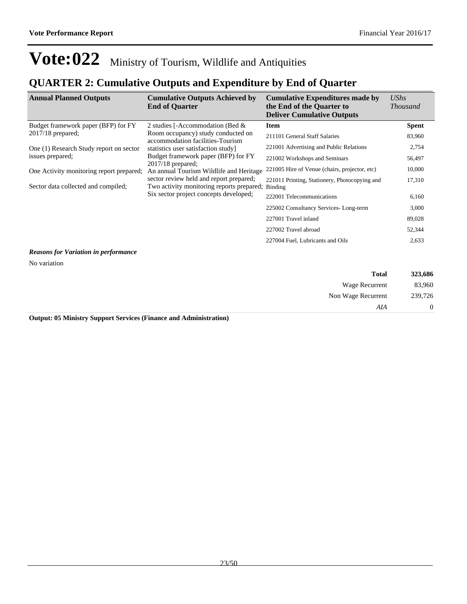## **QUARTER 2: Cumulative Outputs and Expenditure by End of Quarter**

| <b>Annual Planned Outputs</b>               | <b>Cumulative Outputs Achieved by</b><br><b>End of Quarter</b>                       | <b>Cumulative Expenditures made by</b><br>the End of the Quarter to<br><b>Deliver Cumulative Outputs</b> | UShs<br><b>Thousand</b> |  |  |
|---------------------------------------------|--------------------------------------------------------------------------------------|----------------------------------------------------------------------------------------------------------|-------------------------|--|--|
| Budget framework paper (BFP) for FY         | 2 studies [-Accommodation (Bed &                                                     | <b>Item</b>                                                                                              | <b>Spent</b>            |  |  |
| 2017/18 prepared;                           | Room occupancy) study conducted on<br>accommodation facilities-Tourism               | 211101 General Staff Salaries                                                                            | 83,960                  |  |  |
| One (1) Research Study report on sector     | statistics user satisfaction study]                                                  | 221001 Advertising and Public Relations                                                                  | 2,754                   |  |  |
| issues prepared;                            | Budget framework paper (BFP) for FY<br>$2017/18$ prepared;                           | 221002 Workshops and Seminars                                                                            | 56,497                  |  |  |
| One Activity monitoring report prepared;    | An annual Tourism Wildlife and Heritage                                              | 221005 Hire of Venue (chairs, projector, etc)                                                            | 10,000                  |  |  |
| Sector data collected and compiled;         | sector review held and report prepared;<br>Two activity monitoring reports prepared; | 221011 Printing, Stationery, Photocopying and<br>Binding                                                 | 17,310                  |  |  |
|                                             | Six sector project concepts developed;                                               | 222001 Telecommunications                                                                                | 6,160                   |  |  |
|                                             |                                                                                      | 225002 Consultancy Services-Long-term                                                                    | 3,000                   |  |  |
|                                             |                                                                                      | 227001 Travel inland                                                                                     | 89,028                  |  |  |
|                                             |                                                                                      | 227002 Travel abroad                                                                                     | 52,344                  |  |  |
|                                             | 227004 Fuel, Lubricants and Oils                                                     |                                                                                                          |                         |  |  |
| <b>Reasons for Variation in performance</b> |                                                                                      |                                                                                                          |                         |  |  |
| No variation                                |                                                                                      |                                                                                                          |                         |  |  |
|                                             |                                                                                      | <b>Total</b>                                                                                             | 323,686                 |  |  |
|                                             |                                                                                      | Wage Recurrent                                                                                           | 83,960                  |  |  |
|                                             |                                                                                      | Non Wage Recurrent                                                                                       | 239,726                 |  |  |
|                                             |                                                                                      | AIA                                                                                                      | 0                       |  |  |

**Output: 05 Ministry Support Services (Finance and Administration)**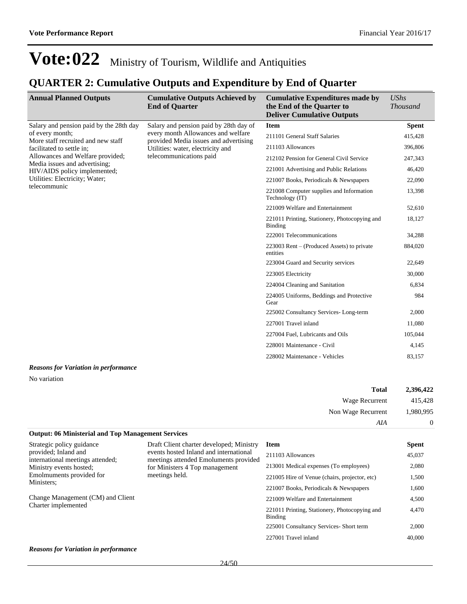### **QUARTER 2: Cumulative Outputs and Expenditure by End of Quarter**

| <b>Annual Planned Outputs</b>                                 | <b>Cumulative Outputs Achieved by</b><br><b>End of Quarter</b>                                                                              | <b>Cumulative Expenditures made by</b><br>the End of the Quarter to<br><b>Deliver Cumulative Outputs</b> | <b>UShs</b><br><b>Thousand</b> |
|---------------------------------------------------------------|---------------------------------------------------------------------------------------------------------------------------------------------|----------------------------------------------------------------------------------------------------------|--------------------------------|
| Salary and pension paid by the 28th day                       | Salary and pension paid by 28th day of                                                                                                      | <b>Item</b>                                                                                              | <b>Spent</b>                   |
| of every month;<br>More staff recruited and new staff         | every month Allowances and welfare<br>provided Media issues and advertising<br>Utilities: water, electricity and<br>telecommunications paid | 211101 General Staff Salaries                                                                            | 415,428                        |
| facilitated to settle in:                                     |                                                                                                                                             | 211103 Allowances                                                                                        | 396,806                        |
| Allowances and Welfare provided;                              |                                                                                                                                             | 212102 Pension for General Civil Service                                                                 | 247,343                        |
| Media issues and advertising;<br>HIV/AIDS policy implemented; |                                                                                                                                             | 221001 Advertising and Public Relations                                                                  | 46,420                         |
| Utilities: Electricity; Water;                                |                                                                                                                                             | 221007 Books, Periodicals & Newspapers                                                                   | 22,090                         |
| telecommunic                                                  |                                                                                                                                             | 221008 Computer supplies and Information<br>Technology (IT)                                              | 13,398                         |
|                                                               |                                                                                                                                             | 221009 Welfare and Entertainment                                                                         | 52,610                         |
|                                                               |                                                                                                                                             | 221011 Printing, Stationery, Photocopying and<br><b>Binding</b>                                          | 18,127                         |
|                                                               |                                                                                                                                             | 222001 Telecommunications                                                                                | 34,288                         |
|                                                               |                                                                                                                                             | $223003$ Rent – (Produced Assets) to private<br>entities                                                 | 884,020                        |
|                                                               |                                                                                                                                             | 223004 Guard and Security services                                                                       | 22,649                         |
|                                                               |                                                                                                                                             | 223005 Electricity                                                                                       | 30,000                         |
|                                                               |                                                                                                                                             | 224004 Cleaning and Sanitation                                                                           | 6,834                          |
|                                                               |                                                                                                                                             | 224005 Uniforms, Beddings and Protective<br>Gear                                                         | 984                            |
|                                                               |                                                                                                                                             | 225002 Consultancy Services-Long-term                                                                    | 2,000                          |
|                                                               |                                                                                                                                             | 227001 Travel inland                                                                                     | 11,080                         |
|                                                               |                                                                                                                                             | 227004 Fuel, Lubricants and Oils                                                                         | 105,044                        |
|                                                               |                                                                                                                                             | 228001 Maintenance - Civil                                                                               | 4,145                          |
|                                                               |                                                                                                                                             | 228002 Maintenance - Vehicles                                                                            | 83,157                         |
| <b>Reasons for Variation in performance</b>                   |                                                                                                                                             |                                                                                                          |                                |
| No variation                                                  |                                                                                                                                             |                                                                                                          |                                |

| 2,396,422 | <b>Total</b>       |
|-----------|--------------------|
| 415,428   | Wage Recurrent     |
| 1,980,995 | Non Wage Recurrent |
|           | AIA                |

### **Output: 06 Ministerial and Top Management Services**

| Strategic policy guidance<br>provided; Inland and<br>international meetings attended;<br>Ministry events hosted;<br>Emolmuments provided for<br>Ministers; | Draft Client charter developed; Ministry<br>events hosted Inland and international<br>meetings attended Emoluments provided<br>for Ministers 4 Top management<br>meetings held. | Item<br>211103 Allowances<br>213001 Medical expenses (To employees)<br>221005 Hire of Venue (chairs, projector, etc)<br>221007 Books, Periodicals & Newspapers  | <b>Spent</b><br>45,037<br>2,080<br>1,500<br>1,600 |
|------------------------------------------------------------------------------------------------------------------------------------------------------------|---------------------------------------------------------------------------------------------------------------------------------------------------------------------------------|-----------------------------------------------------------------------------------------------------------------------------------------------------------------|---------------------------------------------------|
| Change Management (CM) and Client<br>Charter implemented                                                                                                   |                                                                                                                                                                                 | 221009 Welfare and Entertainment<br>221011 Printing, Stationery, Photocopying and<br>Binding<br>225001 Consultancy Services- Short term<br>227001 Travel inland | 4,500<br>4,470<br>2,000<br>40,000                 |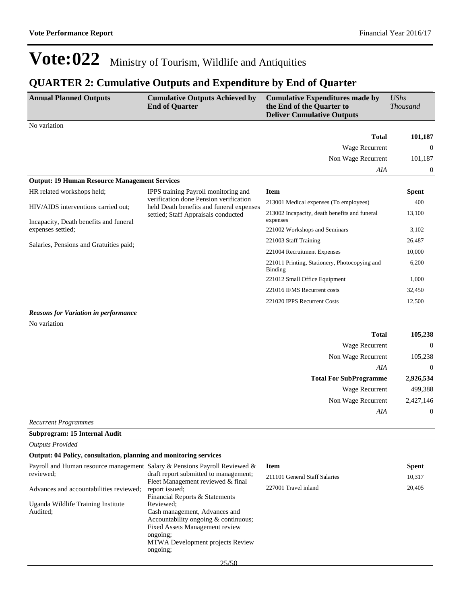### **QUARTER 2: Cumulative Outputs and Expenditure by End of Quarter**

| <b>Annual Planned Outputs</b>                        | <b>Cumulative Outputs Achieved by</b><br><b>End of Quarter</b>                                                                                                    | <b>Cumulative Expenditures made by</b><br>the End of the Quarter to<br><b>Deliver Cumulative Outputs</b> | <b>UShs</b><br><b>Thousand</b> |
|------------------------------------------------------|-------------------------------------------------------------------------------------------------------------------------------------------------------------------|----------------------------------------------------------------------------------------------------------|--------------------------------|
| No variation                                         |                                                                                                                                                                   |                                                                                                          |                                |
|                                                      |                                                                                                                                                                   | <b>Total</b>                                                                                             | 101,187                        |
|                                                      |                                                                                                                                                                   | Wage Recurrent                                                                                           | $\theta$                       |
|                                                      |                                                                                                                                                                   | Non Wage Recurrent                                                                                       | 101,187                        |
|                                                      |                                                                                                                                                                   | AIA                                                                                                      | $\overline{0}$                 |
| <b>Output: 19 Human Resource Management Services</b> |                                                                                                                                                                   |                                                                                                          |                                |
| HR related workshops held;                           | IPPS training Payroll monitoring and<br>verification done Pension verification<br>held Death benefits and funeral expenses<br>settled; Staff Appraisals conducted | <b>Item</b>                                                                                              | <b>Spent</b>                   |
| HIV/AIDS interventions carried out;                  |                                                                                                                                                                   | 213001 Medical expenses (To employees)                                                                   | 400                            |
| Incapacity, Death benefits and funeral               |                                                                                                                                                                   | 213002 Incapacity, death benefits and funeral<br>expenses                                                | 13,100                         |
| expenses settled;                                    |                                                                                                                                                                   | 221002 Workshops and Seminars                                                                            | 3,102                          |
| Salaries, Pensions and Gratuities paid;              |                                                                                                                                                                   | 221003 Staff Training                                                                                    | 26,487                         |
|                                                      |                                                                                                                                                                   | 221004 Recruitment Expenses                                                                              | 10,000                         |
|                                                      |                                                                                                                                                                   | 221011 Printing, Stationery, Photocopying and<br>Binding                                                 | 6,200                          |
|                                                      |                                                                                                                                                                   | 221012 Small Office Equipment                                                                            | 1,000                          |
|                                                      |                                                                                                                                                                   | 221016 IFMS Recurrent costs                                                                              | 32,450                         |
|                                                      |                                                                                                                                                                   | 221020 IPPS Recurrent Costs                                                                              | 12,500                         |

### *Reasons for Variation in performance*

No variation

|                             | <b>Total</b>                  | 105,238        |
|-----------------------------|-------------------------------|----------------|
|                             | Wage Recurrent                | $\theta$       |
|                             | Non Wage Recurrent            | 105,238        |
|                             | AIA                           | $\overline{0}$ |
|                             | <b>Total For SubProgramme</b> | 2,926,534      |
|                             | Wage Recurrent                | 499,388        |
|                             | Non Wage Recurrent            | 2,427,146      |
|                             | AIA                           | $\theta$       |
| <b>Recurrent Programmes</b> |                               |                |

### **Subprogram: 15 Internal Audit**

|  | Subprogram: 15 Internal Au |  |
|--|----------------------------|--|
|  |                            |  |

| Output: 04 Policy, consultation, planning and monitoring services          |                                                                                                                                                                                         |                               |              |
|----------------------------------------------------------------------------|-----------------------------------------------------------------------------------------------------------------------------------------------------------------------------------------|-------------------------------|--------------|
| Payroll and Human resource management Salary & Pensions Payroll Reviewed & |                                                                                                                                                                                         | <b>Item</b>                   | <b>Spent</b> |
| reviewed:                                                                  | draft report submitted to management;<br>Fleet Management reviewed & final                                                                                                              | 211101 General Staff Salaries | 10,317       |
| Advances and accountabilities reviewed:                                    | report issued;<br>Financial Reports & Statements                                                                                                                                        | 227001 Travel inland          | 20,405       |
| Uganda Wildlife Training Institute<br>Audited:                             | Reviewed:<br>Cash management, Advances and<br>Accountability ongoing & continuous;<br><b>Fixed Assets Management review</b><br>ongoing;<br>MTWA Development projects Review<br>ongoing; |                               |              |
|                                                                            | 25/50                                                                                                                                                                                   |                               |              |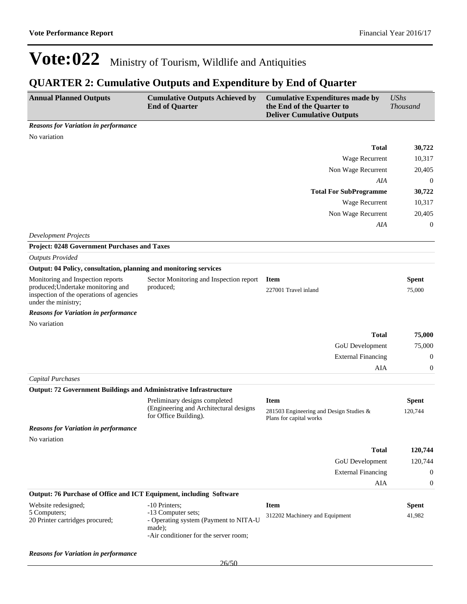## **QUARTER 2: Cumulative Outputs and Expenditure by End of Quarter**

| <b>Annual Planned Outputs</b>                                                                                                              | <b>Cumulative Outputs Achieved by</b><br><b>End of Quarter</b>                                                 | <b>Cumulative Expenditures made by</b><br>the End of the Quarter to<br><b>Deliver Cumulative Outputs</b> | <b>UShs</b><br><b>Thousand</b> |
|--------------------------------------------------------------------------------------------------------------------------------------------|----------------------------------------------------------------------------------------------------------------|----------------------------------------------------------------------------------------------------------|--------------------------------|
| <b>Reasons for Variation in performance</b>                                                                                                |                                                                                                                |                                                                                                          |                                |
| No variation                                                                                                                               |                                                                                                                |                                                                                                          |                                |
|                                                                                                                                            |                                                                                                                | <b>Total</b>                                                                                             | 30,722                         |
|                                                                                                                                            |                                                                                                                | Wage Recurrent                                                                                           | 10,317                         |
|                                                                                                                                            |                                                                                                                | Non Wage Recurrent                                                                                       | 20,405                         |
|                                                                                                                                            |                                                                                                                | AIA                                                                                                      | $\boldsymbol{0}$               |
|                                                                                                                                            |                                                                                                                | <b>Total For SubProgramme</b>                                                                            | 30,722                         |
|                                                                                                                                            |                                                                                                                | Wage Recurrent                                                                                           | 10,317                         |
|                                                                                                                                            |                                                                                                                | Non Wage Recurrent                                                                                       | 20,405                         |
|                                                                                                                                            |                                                                                                                | AIA                                                                                                      | $\mathbf{0}$                   |
| <b>Development Projects</b>                                                                                                                |                                                                                                                |                                                                                                          |                                |
| Project: 0248 Government Purchases and Taxes                                                                                               |                                                                                                                |                                                                                                          |                                |
| <b>Outputs Provided</b>                                                                                                                    |                                                                                                                |                                                                                                          |                                |
| Output: 04 Policy, consultation, planning and monitoring services                                                                          |                                                                                                                |                                                                                                          |                                |
| Monitoring and Inspection reports<br>produced; Undertake monitoring and<br>inspection of the operations of agencies<br>under the ministry; | Sector Monitoring and Inspection report<br>produced;                                                           | <b>Item</b><br>227001 Travel inland                                                                      | <b>Spent</b><br>75,000         |
| <b>Reasons for Variation in performance</b>                                                                                                |                                                                                                                |                                                                                                          |                                |
| No variation                                                                                                                               |                                                                                                                |                                                                                                          |                                |
|                                                                                                                                            |                                                                                                                | <b>Total</b>                                                                                             | 75,000                         |
|                                                                                                                                            |                                                                                                                | GoU Development                                                                                          | 75,000                         |
|                                                                                                                                            |                                                                                                                | <b>External Financing</b>                                                                                | $\boldsymbol{0}$               |
|                                                                                                                                            |                                                                                                                | AIA                                                                                                      | $\boldsymbol{0}$               |
| <b>Capital Purchases</b>                                                                                                                   |                                                                                                                |                                                                                                          |                                |
| <b>Output: 72 Government Buildings and Administrative Infrastructure</b>                                                                   |                                                                                                                |                                                                                                          |                                |
|                                                                                                                                            | Preliminary designs completed<br>(Engineering and Architectural designs<br>for Office Building).               | <b>Item</b><br>281503 Engineering and Design Studies &<br>Plans for capital works                        | <b>Spent</b><br>120,744        |
| <b>Reasons for Variation in performance</b>                                                                                                |                                                                                                                |                                                                                                          |                                |
| No variation                                                                                                                               |                                                                                                                |                                                                                                          |                                |
|                                                                                                                                            |                                                                                                                | <b>Total</b>                                                                                             | 120,744                        |
|                                                                                                                                            |                                                                                                                | GoU Development                                                                                          | 120,744                        |
|                                                                                                                                            |                                                                                                                | <b>External Financing</b>                                                                                | $\boldsymbol{0}$               |
|                                                                                                                                            |                                                                                                                | AIA                                                                                                      | $\boldsymbol{0}$               |
| Output: 76 Purchase of Office and ICT Equipment, including Software                                                                        |                                                                                                                |                                                                                                          |                                |
| Website redesigned;                                                                                                                        | -10 Printers;                                                                                                  | <b>Item</b>                                                                                              | <b>Spent</b>                   |
| 5 Computers;<br>20 Printer cartridges procured;                                                                                            | -13 Computer sets;<br>- Operating system (Payment to NITA-U<br>made);<br>-Air conditioner for the server room; | 312202 Machinery and Equipment                                                                           | 41,982                         |

*Reasons for Variation in performance*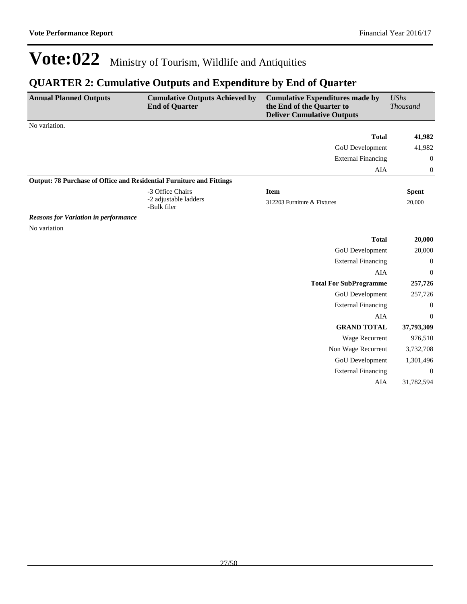## **QUARTER 2: Cumulative Outputs and Expenditure by End of Quarter**

| <b>Annual Planned Outputs</b>                                        | <b>Cumulative Outputs Achieved by</b><br><b>End of Quarter</b> | <b>Cumulative Expenditures made by</b><br>the End of the Quarter to<br><b>Deliver Cumulative Outputs</b> | <b>UShs</b><br><b>Thousand</b> |
|----------------------------------------------------------------------|----------------------------------------------------------------|----------------------------------------------------------------------------------------------------------|--------------------------------|
| No variation.                                                        |                                                                |                                                                                                          |                                |
|                                                                      |                                                                | <b>Total</b>                                                                                             | 41,982                         |
|                                                                      |                                                                | GoU Development                                                                                          | 41,982                         |
|                                                                      |                                                                | <b>External Financing</b>                                                                                | $\mathbf{0}$                   |
|                                                                      |                                                                | AIA                                                                                                      | $\boldsymbol{0}$               |
| Output: 78 Purchase of Office and Residential Furniture and Fittings |                                                                |                                                                                                          |                                |
|                                                                      | -3 Office Chairs                                               | <b>Item</b>                                                                                              | <b>Spent</b>                   |
|                                                                      | -2 adjustable ladders<br>-Bulk filer                           | 312203 Furniture & Fixtures                                                                              | 20,000                         |
| <b>Reasons for Variation in performance</b>                          |                                                                |                                                                                                          |                                |
| No variation                                                         |                                                                |                                                                                                          |                                |
|                                                                      |                                                                | <b>Total</b>                                                                                             | 20,000                         |
|                                                                      |                                                                | GoU Development                                                                                          | 20,000                         |
|                                                                      |                                                                | <b>External Financing</b>                                                                                | $\mathbf{0}$                   |
|                                                                      |                                                                | AIA                                                                                                      | $\boldsymbol{0}$               |
|                                                                      |                                                                | <b>Total For SubProgramme</b>                                                                            | 257,726                        |
|                                                                      |                                                                | GoU Development                                                                                          | 257,726                        |
|                                                                      |                                                                | <b>External Financing</b>                                                                                | $\mathbf{0}$                   |
|                                                                      |                                                                | <b>AIA</b>                                                                                               | 0                              |
|                                                                      |                                                                | <b>GRAND TOTAL</b>                                                                                       | 37,793,309                     |
|                                                                      |                                                                | <b>Wage Recurrent</b>                                                                                    | 976,510                        |
|                                                                      |                                                                | Non Wage Recurrent                                                                                       | 3,732,708                      |
|                                                                      |                                                                | GoU Development                                                                                          | 1,301,496                      |
|                                                                      |                                                                | <b>External Financing</b>                                                                                | $\theta$                       |
|                                                                      |                                                                | <b>AIA</b>                                                                                               | 31,782,594                     |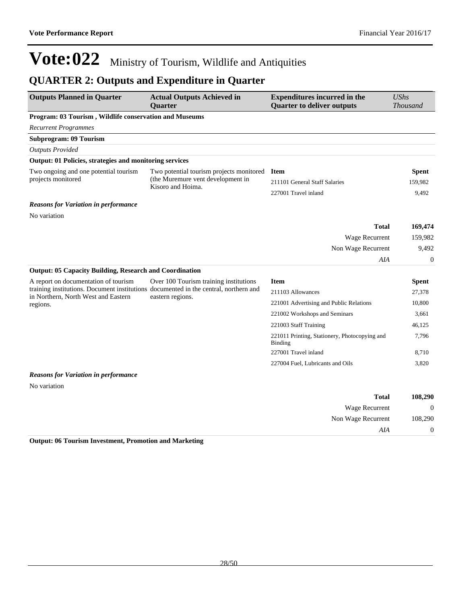Non Wage Recurrent 108,290

*AIA* 0

## Vote: 022 Ministry of Tourism, Wildlife and Antiquities

## **QUARTER 2: Outputs and Expenditure in Quarter**

| <b>Outputs Planned in Quarter</b>                                                                                           | <b>Actual Outputs Achieved in</b><br><b>Quarter</b>                                                                                                | <b>Expenditures incurred in the</b><br><b>Quarter to deliver outputs</b> | <b>UShs</b><br>Thousand |
|-----------------------------------------------------------------------------------------------------------------------------|----------------------------------------------------------------------------------------------------------------------------------------------------|--------------------------------------------------------------------------|-------------------------|
| Program: 03 Tourism, Wildlife conservation and Museums                                                                      |                                                                                                                                                    |                                                                          |                         |
| <b>Recurrent Programmes</b>                                                                                                 |                                                                                                                                                    |                                                                          |                         |
| <b>Subprogram: 09 Tourism</b>                                                                                               |                                                                                                                                                    |                                                                          |                         |
| <b>Outputs Provided</b>                                                                                                     |                                                                                                                                                    |                                                                          |                         |
| Output: 01 Policies, strategies and monitoring services                                                                     |                                                                                                                                                    |                                                                          |                         |
| Two ongoing and one potential tourism                                                                                       | Two potential tourism projects monitored<br><b>Item</b><br>(the Muremure vent development in<br>211101 General Staff Salaries<br>Kisoro and Hoima. |                                                                          | <b>Spent</b>            |
| projects monitored                                                                                                          |                                                                                                                                                    |                                                                          | 159,982                 |
|                                                                                                                             |                                                                                                                                                    | 227001 Travel inland                                                     | 9,492                   |
| <b>Reasons for Variation in performance</b>                                                                                 |                                                                                                                                                    |                                                                          |                         |
| No variation                                                                                                                |                                                                                                                                                    |                                                                          |                         |
|                                                                                                                             |                                                                                                                                                    | <b>Total</b>                                                             | 169,474                 |
|                                                                                                                             |                                                                                                                                                    | Wage Recurrent                                                           | 159,982                 |
|                                                                                                                             |                                                                                                                                                    | Non Wage Recurrent                                                       | 9,492                   |
|                                                                                                                             |                                                                                                                                                    | AIA                                                                      | $\theta$                |
| <b>Output: 05 Capacity Building, Research and Coordination</b>                                                              |                                                                                                                                                    |                                                                          |                         |
| A report on documentation of tourism                                                                                        | Over 100 Tourism training institutions                                                                                                             | <b>Item</b>                                                              | <b>Spent</b>            |
| training institutions. Document institutions documented in the central, northern and<br>in Northern, North West and Eastern | eastern regions.                                                                                                                                   | 211103 Allowances                                                        | 27,378                  |
| regions.                                                                                                                    |                                                                                                                                                    | 221001 Advertising and Public Relations                                  | 10,800                  |
|                                                                                                                             |                                                                                                                                                    | 221002 Workshops and Seminars                                            | 3,661                   |
|                                                                                                                             |                                                                                                                                                    | 221003 Staff Training                                                    | 46,125                  |
|                                                                                                                             |                                                                                                                                                    | 221011 Printing, Stationery, Photocopying and<br>Binding                 | 7,796                   |
|                                                                                                                             |                                                                                                                                                    | 227001 Travel inland                                                     | 8,710                   |
|                                                                                                                             |                                                                                                                                                    | 227004 Fuel, Lubricants and Oils                                         | 3,820                   |
| <b>Reasons for Variation in performance</b>                                                                                 |                                                                                                                                                    |                                                                          |                         |
| No variation                                                                                                                |                                                                                                                                                    |                                                                          |                         |
|                                                                                                                             |                                                                                                                                                    | <b>Total</b>                                                             | 108,290                 |
|                                                                                                                             |                                                                                                                                                    | <b>Wage Recurrent</b>                                                    | $\overline{0}$          |

**Output: 06 Tourism Investment, Promotion and Marketing**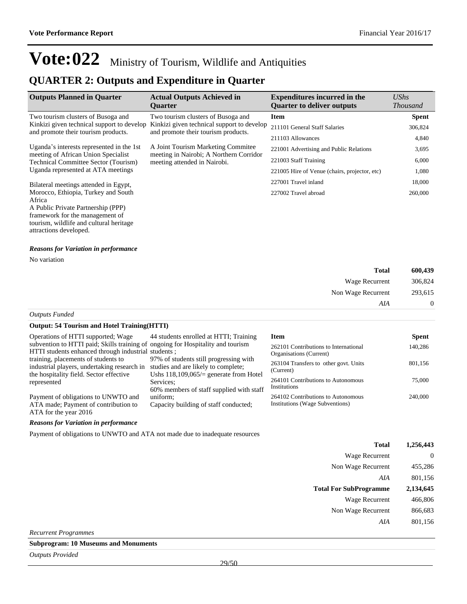### **QUARTER 2: Outputs and Expenditure in Quarter**

| <b>Outputs Planned in Quarter</b>                                                  | <b>Actual Outputs Achieved in</b><br><b>Ouarter</b>                               | <b>Expenditures incurred in the</b><br><b>Quarter to deliver outputs</b> | $\mathit{UShs}$<br><b>Thousand</b> |
|------------------------------------------------------------------------------------|-----------------------------------------------------------------------------------|--------------------------------------------------------------------------|------------------------------------|
| Two tourism clusters of Busoga and                                                 | Two tourism clusters of Busoga and                                                | Item                                                                     | <b>Spent</b>                       |
| Kinkizi given technical support to develop<br>and promote their tourism products.  | Kinkizi given technical support to develop<br>and promote their tourism products. | 211101 General Staff Salaries                                            | 306,824                            |
|                                                                                    |                                                                                   | 211103 Allowances                                                        | 4,840                              |
| Uganda's interests represented in the 1st                                          | A Joint Tourism Marketing Commitee                                                | 221001 Advertising and Public Relations                                  | 3,695                              |
| meeting of African Union Specialist<br><b>Technical Committee Sector (Tourism)</b> | meeting in Nairobi; A Northern Corridor<br>meeting attended in Nairobi.           | 221003 Staff Training                                                    | 6,000                              |
| Uganda represented at ATA meetings                                                 |                                                                                   | 221005 Hire of Venue (chairs, projector, etc)                            | 1,080                              |
| Bilateral meetings attended in Egypt,                                              |                                                                                   | 227001 Travel inland                                                     | 18,000                             |
| Morocco, Ethiopia, Turkey and South<br>Africa                                      |                                                                                   | 227002 Travel abroad                                                     | 260,000                            |

A Public Private Partnership (PPP) framework for the management of tourism, wildlife and cultural heritage attractions developed.

#### *Reasons for Variation in performance*

No variation

| <b>Total</b>       | 600,439        |
|--------------------|----------------|
|                    |                |
| Wage Recurrent     | 306,824        |
| Non Wage Recurrent | 293,615        |
| AIA                | $\overline{0}$ |
| Outputs Funded     |                |

### **Output: 54 Tourism and Hotel Training(HTTI)**

| Operations of HTTI supported; Wage<br>subvention to HTTI paid; Skills training of ongoing for Hospitality and tourism<br>HTTI students enhanced through industrial students;<br>training, placements of students to<br>industrial players, undertaking research in | 44 students enrolled at HTTI; Training<br>97% of students still progressing with<br>studies and are likely to complete;<br>Ushs $118,109,065/$ generate from Hotel<br>Services:<br>60% members of staff supplied with staff | <b>Item</b><br>262101 Contributions to International<br>Organisations (Current)<br>263104 Transfers to other govt. Units | <b>Spent</b><br>140.286<br>801,156 |
|--------------------------------------------------------------------------------------------------------------------------------------------------------------------------------------------------------------------------------------------------------------------|-----------------------------------------------------------------------------------------------------------------------------------------------------------------------------------------------------------------------------|--------------------------------------------------------------------------------------------------------------------------|------------------------------------|
| the hospitality field. Sector effective<br>represented                                                                                                                                                                                                             |                                                                                                                                                                                                                             | (Current)<br>264101 Contributions to Autonomous<br><b>Institutions</b>                                                   | 75,000                             |
| Payment of obligations to UNWTO and<br>ATA made; Payment of contribution to<br>ATA for the year 2016                                                                                                                                                               | uniform;<br>Capacity building of staff conducted;                                                                                                                                                                           | 264102 Contributions to Autonomous<br>Institutions (Wage Subventions)                                                    | 240,000                            |

#### *Reasons for Variation in performance*

Payment of obligations to UNWTO and ATA not made due to inadequate resources

| 1,256,443        | <b>Total</b>                  |        |        |
|------------------|-------------------------------|--------|--------|
| $\boldsymbol{0}$ | Wage Recurrent                |        |        |
| 455,286          | Non Wage Recurrent            |        |        |
| 801,156          | AIA                           |        |        |
| 2,134,645        | <b>Total For SubProgramme</b> |        |        |
| 466,806          | Wage Recurrent                |        |        |
| 866,683          | Non Wage Recurrent            |        |        |
| 801,156          | AIA                           |        |        |
|                  |                               | $\sim$ | $\sim$ |

*Recurrent Programmes*

#### **Subprogram: 10 Museums and Monuments**

*Outputs Provided*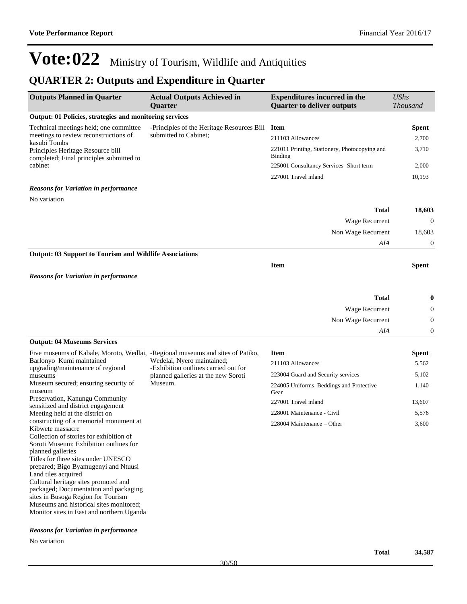## **QUARTER 2: Outputs and Expenditure in Quarter**

| <b>Outputs Planned in Quarter</b>                                                             | <b>Actual Outputs Achieved in</b><br>Quarter                       | <b>Expenditures incurred in the</b><br><b>Quarter to deliver outputs</b> | <b>UShs</b><br><b>Thousand</b> |
|-----------------------------------------------------------------------------------------------|--------------------------------------------------------------------|--------------------------------------------------------------------------|--------------------------------|
| <b>Output: 01 Policies, strategies and monitoring services</b>                                |                                                                    |                                                                          |                                |
| Technical meetings held; one committee                                                        | -Principles of the Heritage Resources Bill                         | <b>Item</b>                                                              | <b>Spent</b>                   |
| meetings to review reconstructions of                                                         | submitted to Cabinet;                                              | 211103 Allowances                                                        | 2,700                          |
| kasubi Tombs<br>Principles Heritage Resource bill<br>completed; Final principles submitted to |                                                                    | 221011 Printing, Stationery, Photocopying and<br>Binding                 | 3,710                          |
| cabinet                                                                                       |                                                                    | 225001 Consultancy Services- Short term                                  | 2,000                          |
|                                                                                               |                                                                    | 227001 Travel inland                                                     | 10,193                         |
| <b>Reasons for Variation in performance</b>                                                   |                                                                    |                                                                          |                                |
| No variation                                                                                  |                                                                    |                                                                          |                                |
|                                                                                               |                                                                    | <b>Total</b>                                                             | 18,603                         |
|                                                                                               |                                                                    | Wage Recurrent                                                           | $\mathbf 0$                    |
|                                                                                               |                                                                    | Non Wage Recurrent                                                       | 18,603                         |
|                                                                                               |                                                                    | AIA                                                                      | $\mathbf 0$                    |
| <b>Output: 03 Support to Tourism and Wildlife Associations</b>                                |                                                                    |                                                                          |                                |
|                                                                                               |                                                                    | <b>Item</b>                                                              | <b>Spent</b>                   |
| <b>Reasons for Variation in performance</b>                                                   |                                                                    |                                                                          |                                |
|                                                                                               |                                                                    |                                                                          |                                |
|                                                                                               |                                                                    | Total                                                                    | $\bf{0}$                       |
|                                                                                               |                                                                    | Wage Recurrent                                                           | 0                              |
|                                                                                               |                                                                    | Non Wage Recurrent                                                       | $\mathbf{0}$                   |
|                                                                                               |                                                                    | AIA                                                                      | $\boldsymbol{0}$               |
| <b>Output: 04 Museums Services</b>                                                            |                                                                    |                                                                          |                                |
| Five museums of Kabale, Moroto, Wedlai, -Regional museums and sites of Patiko,                |                                                                    | <b>Item</b>                                                              | <b>Spent</b>                   |
| Barlonyo Kumi maintained<br>upgrading/maintenance of regional                                 | Wedelai, Nyero maintained;<br>-Exhibition outlines carried out for | 211103 Allowances                                                        | 5,562                          |
| museums                                                                                       | planned galleries at the new Soroti                                | 223004 Guard and Security services                                       | 5,102                          |
| Museum secured; ensuring security of<br>museum                                                | Museum.                                                            | 224005 Uniforms, Beddings and Protective<br>Gear                         | 1,140                          |
| Preservation, Kanungu Community<br>sensitized and district engagement                         |                                                                    | 227001 Travel inland                                                     | 13,607                         |
| Meeting held at the district on                                                               |                                                                    | 228001 Maintenance - Civil                                               | 5,576                          |
| constructing of a memorial monument at<br>Kibwete massacre                                    |                                                                    | 228004 Maintenance - Other                                               | 3,600                          |
| Collection of stories for exhibition of                                                       |                                                                    |                                                                          |                                |
| Soroti Museum: Exhibition outlines for                                                        |                                                                    |                                                                          |                                |
| planned galleries<br>Titles for three sites under UNESCO                                      |                                                                    |                                                                          |                                |
| prepared; Bigo Byamugenyi and Ntuusi                                                          |                                                                    |                                                                          |                                |
| Land tiles acquired                                                                           |                                                                    |                                                                          |                                |
| Cultural heritage sites promoted and<br>packaged; Documentation and packaging                 |                                                                    |                                                                          |                                |
| sites in Busoga Region for Tourism                                                            |                                                                    |                                                                          |                                |
| Museums and historical sites monitored;                                                       |                                                                    |                                                                          |                                |
| Monitor sites in East and northern Uganda                                                     |                                                                    |                                                                          |                                |

### *Reasons for Variation in performance*

### No variation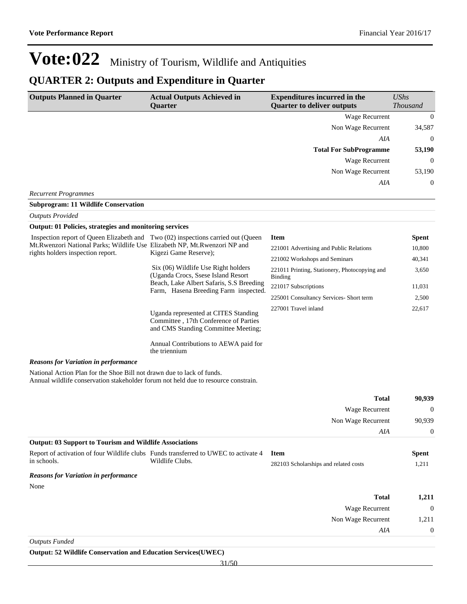### **QUARTER 2: Outputs and Expenditure in Quarter**

| <b>Outputs Planned in Quarter</b> | <b>Actual Outputs Achieved in</b><br><b>Ouarter</b> | <b>Expenditures incurred in the</b><br><b>Quarter to deliver outputs</b> | UShs<br><b>Thousand</b> |
|-----------------------------------|-----------------------------------------------------|--------------------------------------------------------------------------|-------------------------|
|                                   |                                                     |                                                                          |                         |
|                                   |                                                     | Wage Recurrent                                                           | $\overline{0}$          |
|                                   |                                                     | Non Wage Recurrent                                                       | 34,587                  |
|                                   |                                                     | AIA                                                                      | $\overline{0}$          |
|                                   |                                                     | <b>Total For SubProgramme</b>                                            | 53,190                  |
|                                   |                                                     | Wage Recurrent                                                           | $\overline{0}$          |
|                                   |                                                     | Non Wage Recurrent                                                       | 53,190                  |
|                                   |                                                     | AIA                                                                      | $\overline{0}$          |
| <b>Recurrent Programmes</b>       |                                                     |                                                                          |                         |

### **Subprogram: 11 Wildlife Conservation**

| <b>Outputs Provided</b>                                                                                                                                                                              |                                                                                                                                                                 |                                                          |              |
|------------------------------------------------------------------------------------------------------------------------------------------------------------------------------------------------------|-----------------------------------------------------------------------------------------------------------------------------------------------------------------|----------------------------------------------------------|--------------|
| <b>Output: 01 Policies, strategies and monitoring services</b>                                                                                                                                       |                                                                                                                                                                 |                                                          |              |
| Inspection report of Queen Elizabeth and Two (02) inspections carried out (Queen<br>Mt. Rwenzori National Parks; Wildlife Use Elizabeth NP, Mt. Rwenzori NP and<br>rights holders inspection report. | Kigezi Game Reserve);                                                                                                                                           | Item                                                     | <b>Spent</b> |
|                                                                                                                                                                                                      |                                                                                                                                                                 | 221001 Advertising and Public Relations                  | 10,800       |
|                                                                                                                                                                                                      |                                                                                                                                                                 | 221002 Workshops and Seminars                            | 40,341       |
|                                                                                                                                                                                                      | Six (06) Wildlife Use Right holders<br>(Uganda Crocs, Ssese Island Resort)<br>Beach, Lake Albert Safaris, S.S Breeding<br>Farm, Hasena Breeding Farm inspected. | 221011 Printing, Stationery, Photocopying and<br>Binding | 3,650        |
|                                                                                                                                                                                                      |                                                                                                                                                                 | 221017 Subscriptions                                     | 11,031       |
|                                                                                                                                                                                                      |                                                                                                                                                                 | 225001 Consultancy Services- Short term                  | 2,500        |
|                                                                                                                                                                                                      | Uganda represented at CITES Standing<br>Committee, 17th Conference of Parties<br>and CMS Standing Committee Meeting:                                            | 227001 Travel inland                                     | 22,617       |
|                                                                                                                                                                                                      | $\lambda = 1 \cap \ldots 1$ $\ldots$ $\lambda$ $\text{FWHA} = 11 \cap \ldots$                                                                                   |                                                          |              |

Annual Contributions to AEWA paid for the triennium

#### *Reasons for Variation in performance*

National Action Plan for the Shoe Bill not drawn due to lack of funds. Annual wildlife conservation stakeholder forum not held due to resource constrain.

|                                                                                     |                 | <b>Total</b>                          | 90,939       |
|-------------------------------------------------------------------------------------|-----------------|---------------------------------------|--------------|
|                                                                                     |                 | Wage Recurrent                        | $\mathbf 0$  |
|                                                                                     |                 | Non Wage Recurrent                    | 90,939       |
|                                                                                     |                 | AIA                                   | $\theta$     |
| <b>Output: 03 Support to Tourism and Wildlife Associations</b>                      |                 |                                       |              |
| Report of activation of four Wildlife clubs Funds transferred to UWEC to activate 4 |                 | <b>Item</b>                           | <b>Spent</b> |
| in schools.                                                                         | Wildlife Clubs. | 282103 Scholarships and related costs | 1,211        |
| <b>Reasons for Variation in performance</b>                                         |                 |                                       |              |
| None                                                                                |                 |                                       |              |
|                                                                                     |                 | <b>Total</b>                          | 1,211        |
|                                                                                     |                 | Wage Recurrent                        | $\mathbf 0$  |
|                                                                                     |                 | Non Wage Recurrent                    | 1,211        |
|                                                                                     |                 | AIA                                   | $\theta$     |
| <b>Outputs Funded</b>                                                               |                 |                                       |              |

**Output: 52 Wildlife Conservation and Education Services(UWEC)**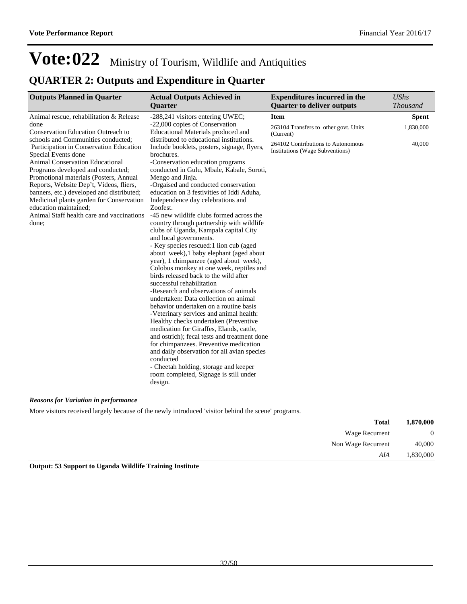## **QUARTER 2: Outputs and Expenditure in Quarter**

| <b>Outputs Planned in Quarter</b>                                                                                                                                                                                                                                                                                                                                                                          | <b>Actual Outputs Achieved in</b><br><b>Ouarter</b>                                                                                                                                                                                                                                                                                                                                                                                                                                                                                                                                                                                                                                                                                                                                                                                                                                                                                                                                                                                                                                                                                                                                                                                | <b>Expenditures incurred in the</b><br><b>Quarter to deliver outputs</b>     | <b>UShs</b><br><b>Thousand</b> |
|------------------------------------------------------------------------------------------------------------------------------------------------------------------------------------------------------------------------------------------------------------------------------------------------------------------------------------------------------------------------------------------------------------|------------------------------------------------------------------------------------------------------------------------------------------------------------------------------------------------------------------------------------------------------------------------------------------------------------------------------------------------------------------------------------------------------------------------------------------------------------------------------------------------------------------------------------------------------------------------------------------------------------------------------------------------------------------------------------------------------------------------------------------------------------------------------------------------------------------------------------------------------------------------------------------------------------------------------------------------------------------------------------------------------------------------------------------------------------------------------------------------------------------------------------------------------------------------------------------------------------------------------------|------------------------------------------------------------------------------|--------------------------------|
| Animal rescue, rehabilitation & Release                                                                                                                                                                                                                                                                                                                                                                    | -288,241 visitors entering UWEC;                                                                                                                                                                                                                                                                                                                                                                                                                                                                                                                                                                                                                                                                                                                                                                                                                                                                                                                                                                                                                                                                                                                                                                                                   | <b>Item</b>                                                                  | <b>Spent</b>                   |
| done<br>Conservation Education Outreach to<br>schools and Communities conducted;                                                                                                                                                                                                                                                                                                                           | -22,000 copies of Conservation<br>Educational Materials produced and<br>distributed to educational institutions.                                                                                                                                                                                                                                                                                                                                                                                                                                                                                                                                                                                                                                                                                                                                                                                                                                                                                                                                                                                                                                                                                                                   | 263104 Transfers to other govt. Units<br>(Current)                           | 1,830,000                      |
| Participation in Conservation Education<br>Special Events done<br><b>Animal Conservation Educational</b><br>Programs developed and conducted;<br>Promotional materials (Posters, Annual<br>Reports, Website Dep't, Videos, fliers,<br>banners, etc.) developed and distributed;<br>Medicinal plants garden for Conservation<br>education maintained;<br>Animal Staff health care and vaccinations<br>done; | Include booklets, posters, signage, flyers,<br>brochures.<br>-Conservation education programs<br>conducted in Gulu, Mbale, Kabale, Soroti,<br>Mengo and Jinja.<br>-Orgaised and conducted conservation<br>education on 3 festivities of Iddi Aduha,<br>Independence day celebrations and<br>Zoofest.<br>-45 new wildlife clubs formed across the<br>country through partnership with wildlife<br>clubs of Uganda, Kampala capital City<br>and local governments.<br>- Key species rescued:1 lion cub (aged<br>about week), 1 baby elephant (aged about<br>year), 1 chimpanzee (aged about week),<br>Colobus monkey at one week, reptiles and<br>birds released back to the wild after<br>successful rehabilitation<br>-Research and observations of animals<br>undertaken: Data collection on animal<br>behavior undertaken on a routine basis<br>-Veterinary services and animal health:<br>Healthy checks undertaken (Preventive<br>medication for Giraffes, Elands, cattle,<br>and ostrich); fecal tests and treatment done<br>for chimpanzees. Preventive medication<br>and daily observation for all avian species<br>conducted<br>- Cheetah holding, storage and keeper<br>room completed, Signage is still under<br>design. | 264102 Contributions to Autonomous<br><b>Institutions (Wage Subventions)</b> | 40,000                         |

### *Reasons for Variation in performance*

More visitors received largely because of the newly introduced 'visitor behind the scene' programs.

| 1,870,000      | <b>Total</b>       |
|----------------|--------------------|
| $\overline{0}$ | Wage Recurrent     |
| 40,000         | Non Wage Recurrent |
| 1,830,000      | AIA                |
|                |                    |

**Output: 53 Support to Uganda Wildlife Training Institute**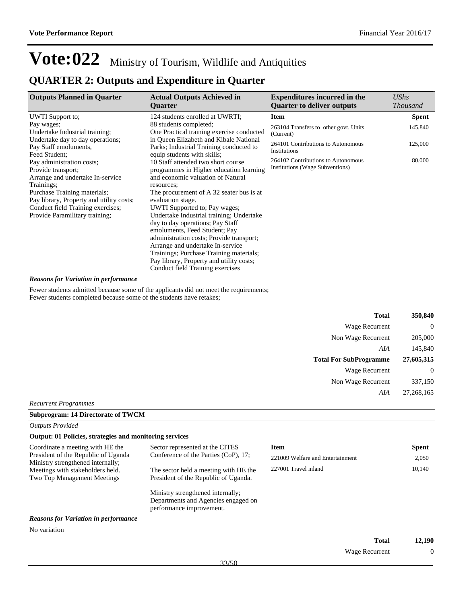## **QUARTER 2: Outputs and Expenditure in Quarter**

| <b>Outputs Planned in Quarter</b>                                                                                                                                                                                                                                     | <b>Actual Outputs Achieved in</b>                                                                                                                                                                                                                                                                                                                                                                                                                                                                                                                                                             | <b>Expenditures incurred in the</b>                                   | UShs            |
|-----------------------------------------------------------------------------------------------------------------------------------------------------------------------------------------------------------------------------------------------------------------------|-----------------------------------------------------------------------------------------------------------------------------------------------------------------------------------------------------------------------------------------------------------------------------------------------------------------------------------------------------------------------------------------------------------------------------------------------------------------------------------------------------------------------------------------------------------------------------------------------|-----------------------------------------------------------------------|-----------------|
|                                                                                                                                                                                                                                                                       | <b>Ouarter</b>                                                                                                                                                                                                                                                                                                                                                                                                                                                                                                                                                                                | <b>Ouarter to deliver outputs</b>                                     | <b>Thousand</b> |
| UWTI Support to:                                                                                                                                                                                                                                                      | 124 students enrolled at UWRTI;                                                                                                                                                                                                                                                                                                                                                                                                                                                                                                                                                               | <b>Item</b>                                                           | <b>Spent</b>    |
| Pay wages;                                                                                                                                                                                                                                                            | 88 students completed;                                                                                                                                                                                                                                                                                                                                                                                                                                                                                                                                                                        | 263104 Transfers to other govt. Units                                 | 145,840         |
| Undertake Industrial training;                                                                                                                                                                                                                                        | One Practical training exercise conducted                                                                                                                                                                                                                                                                                                                                                                                                                                                                                                                                                     | (Current)                                                             |                 |
| Undertake day to day operations;                                                                                                                                                                                                                                      | in Queen Elizabeth and Kibale National                                                                                                                                                                                                                                                                                                                                                                                                                                                                                                                                                        | 264101 Contributions to Autonomous                                    | 125,000         |
| Pay Staff emoluments,                                                                                                                                                                                                                                                 | Parks; Industrial Training conducted to                                                                                                                                                                                                                                                                                                                                                                                                                                                                                                                                                       | Institutions                                                          |                 |
| Feed Student:<br>Pay administration costs;<br>Provide transport;<br>Arrange and undertake In-service<br>Trainings;<br>Purchase Training materials;<br>Pay library, Property and utility costs;<br>Conduct field Training exercises;<br>Provide Paramilitary training; | equip students with skills;<br>10 Staff attended two short course<br>programmes in Higher education learning<br>and economic valuation of Natural<br>resources:<br>The procurement of A 32 seater bus is at<br>evaluation stage.<br>UWTI Supported to; Pay wages;<br>Undertake Industrial training; Undertake<br>day to day operations; Pay Staff<br>emoluments, Feed Student; Pay<br>administration costs; Provide transport;<br>Arrange and undertake In-service<br>Trainings; Purchase Training materials;<br>Pay library, Property and utility costs;<br>Conduct field Training exercises | 264102 Contributions to Autonomous<br>Institutions (Wage Subventions) | 80,000          |

#### *Reasons for Variation in performance*

Fewer students admitted because some of the applicants did not meet the requirements; Fewer students completed because some of the students have retakes;

| <b>Total</b>                  | 350,840    |
|-------------------------------|------------|
| Wage Recurrent                | 0          |
| Non Wage Recurrent            | 205,000    |
| AIA                           | 145,840    |
|                               |            |
| <b>Total For SubProgramme</b> | 27,605,315 |
| Wage Recurrent                | $\Omega$   |
| Non Wage Recurrent            | 337,150    |
| AIA                           | 27,268,165 |

*Recurrent Programmes*

| <b>Subprogram: 14 Directorate of TWCM</b>                      |  |
|----------------------------------------------------------------|--|
| <b>Outputs Provided</b>                                        |  |
| <b>Output: 01 Policies, strategies and monitoring services</b> |  |

| Coordinate a meeting with HE the                                         | Sector represented at the CITES                                                                      | <b>Item</b>                      |                       | <b>Spent</b> |
|--------------------------------------------------------------------------|------------------------------------------------------------------------------------------------------|----------------------------------|-----------------------|--------------|
| President of the Republic of Uganda<br>Ministry strengthened internally; | Conference of the Parties (CoP), 17;                                                                 | 221009 Welfare and Entertainment |                       | 2,050        |
| Meetings with stakeholders held.<br>Two Top Management Meetings          | The sector held a meeting with HE the<br>President of the Republic of Uganda.                        | 227001 Travel inland             |                       | 10,140       |
|                                                                          | Ministry strengthened internally:<br>Departments and Agencies engaged on<br>performance improvement. |                                  |                       |              |
| <b>Reasons for Variation in performance</b>                              |                                                                                                      |                                  |                       |              |
| No variation                                                             |                                                                                                      |                                  |                       |              |
|                                                                          |                                                                                                      |                                  | <b>Total</b>          | 12.190       |
|                                                                          |                                                                                                      |                                  | <b>Wage Recurrent</b> | $\theta$     |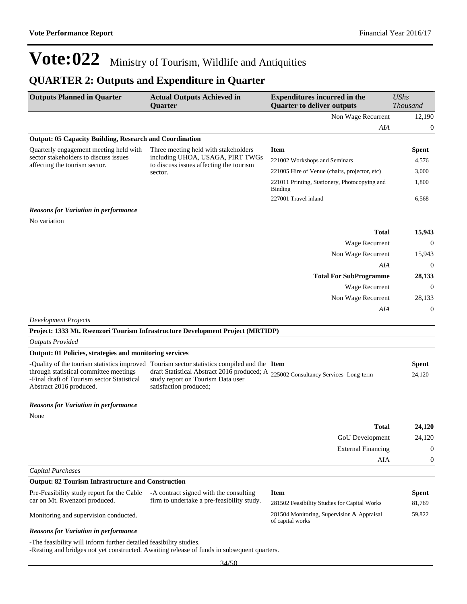## **QUARTER 2: Outputs and Expenditure in Quarter**

| <b>Outputs Planned in Quarter</b>                                                                               | <b>Actual Outputs Achieved in</b><br><b>Ouarter</b>                                                                                                                                                                                              | <b>Expenditures incurred in the</b><br><b>Quarter to deliver outputs</b> | <b>UShs</b><br><b>Thousand</b> |
|-----------------------------------------------------------------------------------------------------------------|--------------------------------------------------------------------------------------------------------------------------------------------------------------------------------------------------------------------------------------------------|--------------------------------------------------------------------------|--------------------------------|
|                                                                                                                 |                                                                                                                                                                                                                                                  | Non Wage Recurrent                                                       | 12,190                         |
|                                                                                                                 |                                                                                                                                                                                                                                                  | AIA                                                                      | 0                              |
| <b>Output: 05 Capacity Building, Research and Coordination</b>                                                  |                                                                                                                                                                                                                                                  |                                                                          |                                |
| Quarterly engagement meeting held with                                                                          | Three meeting held with stakeholders                                                                                                                                                                                                             | <b>Item</b>                                                              | <b>Spent</b>                   |
| sector stakeholders to discuss issues<br>affecting the tourism sector.                                          | including UHOA, USAGA, PIRT TWGs<br>to discuss issues affecting the tourism                                                                                                                                                                      | 221002 Workshops and Seminars                                            | 4,576                          |
|                                                                                                                 | sector.                                                                                                                                                                                                                                          | 221005 Hire of Venue (chairs, projector, etc)                            | 3,000                          |
|                                                                                                                 |                                                                                                                                                                                                                                                  | 221011 Printing, Stationery, Photocopying and<br><b>Binding</b>          | 1,800                          |
|                                                                                                                 |                                                                                                                                                                                                                                                  | 227001 Travel inland                                                     | 6,568                          |
| <b>Reasons for Variation in performance</b>                                                                     |                                                                                                                                                                                                                                                  |                                                                          |                                |
| No variation                                                                                                    |                                                                                                                                                                                                                                                  |                                                                          |                                |
|                                                                                                                 |                                                                                                                                                                                                                                                  | <b>Total</b>                                                             | 15,943                         |
|                                                                                                                 |                                                                                                                                                                                                                                                  | Wage Recurrent                                                           | $\boldsymbol{0}$               |
|                                                                                                                 |                                                                                                                                                                                                                                                  | Non Wage Recurrent                                                       | 15,943                         |
|                                                                                                                 |                                                                                                                                                                                                                                                  | AIA                                                                      | $\boldsymbol{0}$               |
|                                                                                                                 |                                                                                                                                                                                                                                                  | <b>Total For SubProgramme</b>                                            | 28,133                         |
|                                                                                                                 |                                                                                                                                                                                                                                                  | Wage Recurrent                                                           | 0                              |
|                                                                                                                 |                                                                                                                                                                                                                                                  | Non Wage Recurrent                                                       | 28,133                         |
|                                                                                                                 |                                                                                                                                                                                                                                                  | AIA                                                                      | 0                              |
| <b>Development Projects</b>                                                                                     |                                                                                                                                                                                                                                                  |                                                                          |                                |
|                                                                                                                 | Project: 1333 Mt. Rwenzori Tourism Infrastructure Development Project (MRTIDP)                                                                                                                                                                   |                                                                          |                                |
| <b>Outputs Provided</b>                                                                                         |                                                                                                                                                                                                                                                  |                                                                          |                                |
| <b>Output: 01 Policies, strategies and monitoring services</b>                                                  |                                                                                                                                                                                                                                                  |                                                                          |                                |
| through statistical committee meetings<br>-Final draft of Tourism sector Statistical<br>Abstract 2016 produced. | -Quality of the tourism statistics improved Tourism sector statistics compiled and the Item<br>draft Statistical Abstract 2016 produced; A 225002 Consultancy Services- Long-term<br>study report on Tourism Data user<br>satisfaction produced; |                                                                          | <b>Spent</b><br>24,120         |
| <b>Reasons for Variation in performance</b>                                                                     |                                                                                                                                                                                                                                                  |                                                                          |                                |
| None                                                                                                            |                                                                                                                                                                                                                                                  | <b>Total</b>                                                             | 24,120                         |
|                                                                                                                 |                                                                                                                                                                                                                                                  | GoU Development                                                          | 24,120                         |
|                                                                                                                 |                                                                                                                                                                                                                                                  | <b>External Financing</b>                                                | $\boldsymbol{0}$               |
|                                                                                                                 |                                                                                                                                                                                                                                                  | AIA                                                                      | 0                              |
| <b>Capital Purchases</b>                                                                                        |                                                                                                                                                                                                                                                  |                                                                          |                                |
| <b>Output: 82 Tourism Infrastructure and Construction</b>                                                       |                                                                                                                                                                                                                                                  |                                                                          |                                |
| Pre-Feasibility study report for the Cable                                                                      | -A contract signed with the consulting                                                                                                                                                                                                           | <b>Item</b>                                                              | <b>Spent</b>                   |
| car on Mt. Rwenzori produced.                                                                                   | firm to undertake a pre-feasibility study.                                                                                                                                                                                                       | 281502 Feasibility Studies for Capital Works                             | 81,769                         |
| Monitoring and supervision conducted.                                                                           |                                                                                                                                                                                                                                                  | 281504 Monitoring, Supervision & Appraisal<br>of capital works           | 59,822                         |
| <b>Reasons for Variation in performance</b>                                                                     |                                                                                                                                                                                                                                                  |                                                                          |                                |
| -The feasibility will inform further detailed feasibility studies.                                              |                                                                                                                                                                                                                                                  |                                                                          |                                |

-Resting and bridges not yet constructed. Awaiting release of funds in subsequent quarters.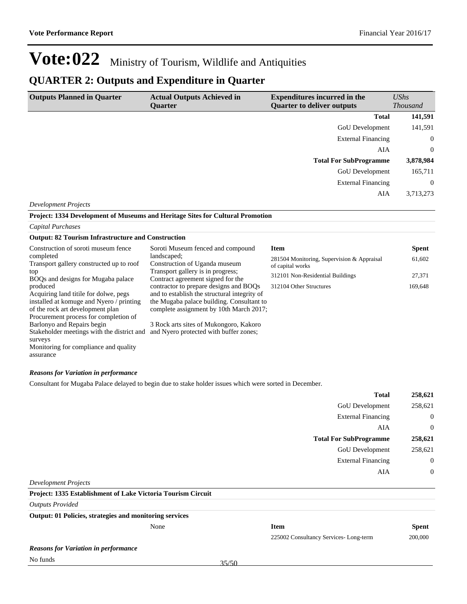### **QUARTER 2: Outputs and Expenditure in Quarter**

| <b>Outputs Planned in Quarter</b>                                                                                                                                                                                                                                                                                       | <b>Actual Outputs Achieved in</b><br><b>Quarter</b>                                                                                                                                                                                                                | <b>Expenditures incurred in the</b><br><b>Quarter to deliver outputs</b> | <b>UShs</b><br><b>Thousand</b> |
|-------------------------------------------------------------------------------------------------------------------------------------------------------------------------------------------------------------------------------------------------------------------------------------------------------------------------|--------------------------------------------------------------------------------------------------------------------------------------------------------------------------------------------------------------------------------------------------------------------|--------------------------------------------------------------------------|--------------------------------|
|                                                                                                                                                                                                                                                                                                                         |                                                                                                                                                                                                                                                                    | <b>Total</b>                                                             | 141,591                        |
|                                                                                                                                                                                                                                                                                                                         |                                                                                                                                                                                                                                                                    | GoU Development                                                          | 141,591                        |
|                                                                                                                                                                                                                                                                                                                         |                                                                                                                                                                                                                                                                    | <b>External Financing</b>                                                | $\overline{0}$                 |
|                                                                                                                                                                                                                                                                                                                         |                                                                                                                                                                                                                                                                    | AIA                                                                      | $\Omega$                       |
|                                                                                                                                                                                                                                                                                                                         |                                                                                                                                                                                                                                                                    | <b>Total For SubProgramme</b>                                            | 3,878,984                      |
|                                                                                                                                                                                                                                                                                                                         |                                                                                                                                                                                                                                                                    | <b>GoU</b> Development                                                   | 165,711                        |
|                                                                                                                                                                                                                                                                                                                         |                                                                                                                                                                                                                                                                    | <b>External Financing</b>                                                | $\Omega$                       |
|                                                                                                                                                                                                                                                                                                                         |                                                                                                                                                                                                                                                                    | AIA                                                                      | 3,713,273                      |
| <b>Development Projects</b>                                                                                                                                                                                                                                                                                             |                                                                                                                                                                                                                                                                    |                                                                          |                                |
|                                                                                                                                                                                                                                                                                                                         | Project: 1334 Development of Museums and Heritage Sites for Cultural Promotion                                                                                                                                                                                     |                                                                          |                                |
| <b>Capital Purchases</b>                                                                                                                                                                                                                                                                                                |                                                                                                                                                                                                                                                                    |                                                                          |                                |
| <b>Output: 82 Tourism Infrastructure and Construction</b>                                                                                                                                                                                                                                                               |                                                                                                                                                                                                                                                                    |                                                                          |                                |
| Construction of soroti museum fence                                                                                                                                                                                                                                                                                     | Soroti Museum fenced and compound                                                                                                                                                                                                                                  | <b>Item</b>                                                              | <b>Spent</b>                   |
| completed<br>Transport gallery constructed up to roof                                                                                                                                                                                                                                                                   | landscaped;<br>Construction of Uganda museum                                                                                                                                                                                                                       | 281504 Monitoring, Supervision & Appraisal<br>of capital works           | 61,602                         |
| top<br>BOQs and designs for Mugaba palace                                                                                                                                                                                                                                                                               | Transport gallery is in progress;<br>Contract agreement signed for the                                                                                                                                                                                             | 312101 Non-Residential Buildings                                         | 27.371                         |
| produced<br>Acquiring land titile for dolwe, pegs<br>installed at komuge and Nyero / printing<br>of the rock art development plan<br>Procurement process for completion of<br>Barlonyo and Repairs begin<br>Stakeholder meetings with the district and<br>surveys<br>Monitoring for compliance and quality<br>assurance | contractor to prepare designs and BOQs<br>and to establish the structural integrity of<br>the Mugaba palace building. Consultant to<br>complete assignment by 10th March 2017;<br>3 Rock arts sites of Mukongoro, Kakoro<br>and Nyero protected with buffer zones; | 312104 Other Structures                                                  | 169,648                        |

#### *Reasons for Variation in performance*

Consultant for Mugaba Palace delayed to begin due to stake holder issues which were sorted in December.

| <b>Total</b>                                                 | 258,621        |
|--------------------------------------------------------------|----------------|
| <b>GoU</b> Development                                       | 258,621        |
| <b>External Financing</b>                                    | $\mathbf{0}$   |
| AIA                                                          | $\overline{0}$ |
| <b>Total For SubProgramme</b>                                | 258,621        |
| <b>GoU</b> Development                                       | 258,621        |
| <b>External Financing</b>                                    | $\mathbf{0}$   |
| AIA                                                          | $\overline{0}$ |
| Development Projects                                         |                |
| Project: 1335 Establishment of Lake Victoria Tourism Circuit |                |

*Outputs Provided*

#### **Output: 01 Policies, strategies and monitoring services**

| oring services |                                       |              |
|----------------|---------------------------------------|--------------|
| None           | Item                                  | <b>Spent</b> |
|                | 225002 Consultancy Services-Long-term | 200,000      |

#### *Reasons for Variation in performance*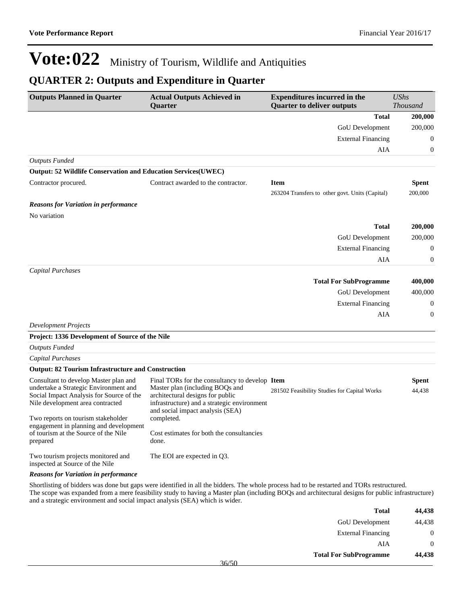## **QUARTER 2: Outputs and Expenditure in Quarter**

| <b>Outputs Planned in Quarter</b>                                                                                                                              | <b>Actual Outputs Achieved in</b><br>Quarter                                                                                                                         | <b>Expenditures incurred in the</b><br><b>Quarter to deliver outputs</b>                                                                 | <b>UShs</b><br><b>Thousand</b> |
|----------------------------------------------------------------------------------------------------------------------------------------------------------------|----------------------------------------------------------------------------------------------------------------------------------------------------------------------|------------------------------------------------------------------------------------------------------------------------------------------|--------------------------------|
|                                                                                                                                                                |                                                                                                                                                                      | <b>Total</b>                                                                                                                             | 200,000                        |
|                                                                                                                                                                |                                                                                                                                                                      | GoU Development                                                                                                                          | 200,000                        |
|                                                                                                                                                                |                                                                                                                                                                      | <b>External Financing</b>                                                                                                                | $\mathbf{0}$                   |
|                                                                                                                                                                |                                                                                                                                                                      | AIA                                                                                                                                      | $\boldsymbol{0}$               |
| <b>Outputs Funded</b>                                                                                                                                          |                                                                                                                                                                      |                                                                                                                                          |                                |
| <b>Output: 52 Wildlife Conservation and Education Services (UWEC)</b>                                                                                          |                                                                                                                                                                      |                                                                                                                                          |                                |
| Contractor procured.                                                                                                                                           | Contract awarded to the contractor.                                                                                                                                  | <b>Item</b>                                                                                                                              | <b>Spent</b>                   |
|                                                                                                                                                                |                                                                                                                                                                      | 263204 Transfers to other govt. Units (Capital)                                                                                          | 200,000                        |
| <b>Reasons for Variation in performance</b>                                                                                                                    |                                                                                                                                                                      |                                                                                                                                          |                                |
| No variation                                                                                                                                                   |                                                                                                                                                                      |                                                                                                                                          |                                |
|                                                                                                                                                                |                                                                                                                                                                      | <b>Total</b>                                                                                                                             | 200,000                        |
|                                                                                                                                                                |                                                                                                                                                                      | GoU Development                                                                                                                          | 200,000                        |
|                                                                                                                                                                |                                                                                                                                                                      | <b>External Financing</b>                                                                                                                | $\boldsymbol{0}$               |
|                                                                                                                                                                |                                                                                                                                                                      | AIA                                                                                                                                      | 0                              |
| <b>Capital Purchases</b>                                                                                                                                       |                                                                                                                                                                      |                                                                                                                                          |                                |
|                                                                                                                                                                |                                                                                                                                                                      | <b>Total For SubProgramme</b>                                                                                                            | 400,000                        |
|                                                                                                                                                                |                                                                                                                                                                      | GoU Development                                                                                                                          | 400,000                        |
|                                                                                                                                                                |                                                                                                                                                                      | <b>External Financing</b>                                                                                                                | $\boldsymbol{0}$               |
|                                                                                                                                                                |                                                                                                                                                                      | AIA                                                                                                                                      | 0                              |
| <b>Development Projects</b>                                                                                                                                    |                                                                                                                                                                      |                                                                                                                                          |                                |
| Project: 1336 Development of Source of the Nile                                                                                                                |                                                                                                                                                                      |                                                                                                                                          |                                |
| <b>Outputs Funded</b>                                                                                                                                          |                                                                                                                                                                      |                                                                                                                                          |                                |
| Capital Purchases                                                                                                                                              |                                                                                                                                                                      |                                                                                                                                          |                                |
| <b>Output: 82 Tourism Infrastructure and Construction</b>                                                                                                      |                                                                                                                                                                      |                                                                                                                                          |                                |
| Consultant to develop Master plan and<br>undertake a Strategic Environment and<br>Social Impact Analysis for Source of the<br>Nile development area contracted | Final TORs for the consultancy to develop Item<br>Master plan (including BOQs and<br>architectural designs for public<br>infrastructure) and a strategic environment | 281502 Feasibility Studies for Capital Works                                                                                             | <b>Spent</b><br>44,438         |
| Two reports on tourism stakeholder<br>engagement in planning and development<br>of tourism at the Source of the Nile<br>prepared                               | and social impact analysis (SEA)<br>completed.<br>Cost estimates for both the consultancies<br>done.                                                                 |                                                                                                                                          |                                |
| Two tourism projects monitored and<br>inspected at Source of the Nile                                                                                          | The EOI are expected in Q3.                                                                                                                                          |                                                                                                                                          |                                |
| <b>Reasons for Variation in performance</b>                                                                                                                    |                                                                                                                                                                      |                                                                                                                                          |                                |
|                                                                                                                                                                |                                                                                                                                                                      | Specificing of hidders was done but gans were identified in all the hidders. The whole process had to be restarted and TODs restructured |                                |

Shortlisting of bidders was done but gaps were identified in all the bidders. The whole process had to be restarted and TORs restructured. The scope was expanded from a mere feasibility study to having a Master plan (including BOQs and architectural designs for public infrastructure) and a strategic environment and social impact analysis (SEA) which is wider.

| 44,438      | <b>Total</b>                  |       |
|-------------|-------------------------------|-------|
| 44,438      | <b>GoU</b> Development        |       |
| $\mathbf 0$ | <b>External Financing</b>     |       |
| $\theta$    | AIA                           |       |
| 44,438      | <b>Total For SubProgramme</b> |       |
|             |                               | 26150 |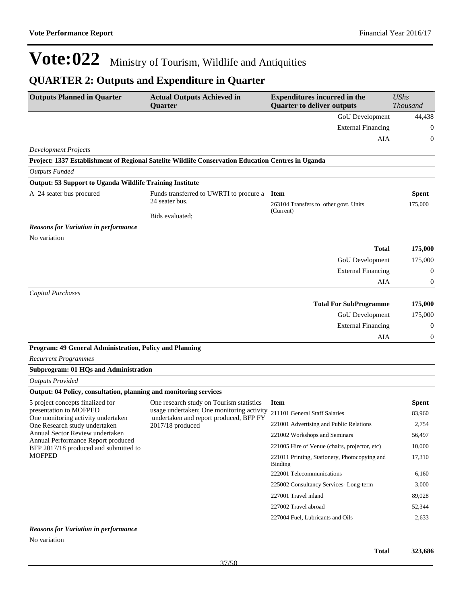## **QUARTER 2: Outputs and Expenditure in Quarter**

| <b>Outputs Planned in Quarter</b>                                     | <b>Actual Outputs Achieved in</b><br>Quarter                                                       | <b>Expenditures incurred in the</b><br><b>Quarter to deliver outputs</b> | <b>UShs</b><br><b>Thousand</b> |
|-----------------------------------------------------------------------|----------------------------------------------------------------------------------------------------|--------------------------------------------------------------------------|--------------------------------|
|                                                                       |                                                                                                    | GoU Development                                                          | 44,438                         |
|                                                                       |                                                                                                    | <b>External Financing</b>                                                | $\boldsymbol{0}$               |
|                                                                       |                                                                                                    | AIA                                                                      | 0                              |
| <b>Development Projects</b>                                           |                                                                                                    |                                                                          |                                |
|                                                                       | Project: 1337 Establishment of Regional Satelite Wildlife Conservation Education Centres in Uganda |                                                                          |                                |
| <b>Outputs Funded</b>                                                 |                                                                                                    |                                                                          |                                |
| Output: 53 Support to Uganda Wildlife Training Institute              |                                                                                                    |                                                                          |                                |
| A 24 seater bus procured                                              | Funds transferred to UWRTI to procure a<br>24 seater bus.                                          | <b>Item</b><br>263104 Transfers to other govt. Units                     | <b>Spent</b><br>175,000        |
|                                                                       | Bids evaluated;                                                                                    | (Current)                                                                |                                |
| <b>Reasons for Variation in performance</b>                           |                                                                                                    |                                                                          |                                |
| No variation                                                          |                                                                                                    |                                                                          |                                |
|                                                                       |                                                                                                    | <b>Total</b>                                                             | 175,000                        |
|                                                                       |                                                                                                    | GoU Development                                                          | 175,000                        |
|                                                                       |                                                                                                    | <b>External Financing</b>                                                | $\boldsymbol{0}$               |
|                                                                       |                                                                                                    | AIA                                                                      | 0                              |
| <b>Capital Purchases</b>                                              |                                                                                                    |                                                                          |                                |
|                                                                       |                                                                                                    | <b>Total For SubProgramme</b>                                            | 175,000                        |
|                                                                       |                                                                                                    | GoU Development                                                          | 175,000                        |
|                                                                       |                                                                                                    | <b>External Financing</b>                                                | $\boldsymbol{0}$               |
|                                                                       |                                                                                                    | AIA                                                                      | 0                              |
| Program: 49 General Administration, Policy and Planning               |                                                                                                    |                                                                          |                                |
| <b>Recurrent Programmes</b>                                           |                                                                                                    |                                                                          |                                |
| <b>Subprogram: 01 HQs and Administration</b>                          |                                                                                                    |                                                                          |                                |
| <b>Outputs Provided</b>                                               |                                                                                                    |                                                                          |                                |
| Output: 04 Policy, consultation, planning and monitoring services     |                                                                                                    |                                                                          |                                |
| 5 project concepts finalized for                                      | One research study on Tourism statistics                                                           | <b>Item</b>                                                              | <b>Spent</b>                   |
| presentation to MOFPED<br>One monitoring activity undertaken          | usage undertaken; One monitoring activity<br>undertaken and report produced, BFP FY                | 211101 General Staff Salaries                                            | 83,960                         |
| One Research study undertaken                                         | $2017/18$ produced                                                                                 | 221001 Advertising and Public Relations                                  | 2,754                          |
| Annual Sector Review undertaken<br>Annual Performance Report produced |                                                                                                    | 221002 Workshops and Seminars                                            | 56,497                         |
| BFP 2017/18 produced and submitted to                                 |                                                                                                    | 221005 Hire of Venue (chairs, projector, etc)                            | 10,000                         |
| <b>MOFPED</b>                                                         |                                                                                                    | 221011 Printing, Stationery, Photocopying and<br><b>Binding</b>          | 17,310                         |
|                                                                       |                                                                                                    | 222001 Telecommunications                                                | 6,160                          |
|                                                                       |                                                                                                    | 225002 Consultancy Services-Long-term                                    | 3,000                          |
|                                                                       |                                                                                                    | 227001 Travel inland                                                     | 89,028                         |
|                                                                       |                                                                                                    | 227002 Travel abroad                                                     | 52,344                         |
|                                                                       |                                                                                                    | 227004 Fuel, Lubricants and Oils                                         | 2,633                          |
| <b>Reasons for Variation in performance</b>                           |                                                                                                    |                                                                          |                                |

No variation

**Total 323,686**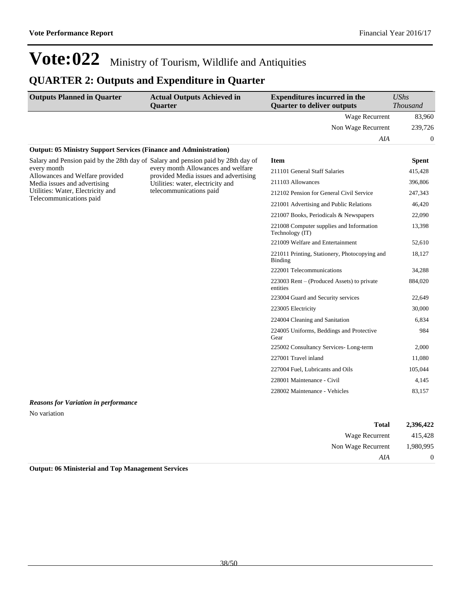## **QUARTER 2: Outputs and Expenditure in Quarter**

| <b>Outputs Planned in Quarter</b>                                                 | <b>Actual Outputs Achieved in</b>                                           | <b>Expenditures incurred in the</b>                             | <b>UShs</b>     |
|-----------------------------------------------------------------------------------|-----------------------------------------------------------------------------|-----------------------------------------------------------------|-----------------|
|                                                                                   | <b>Ouarter</b>                                                              | <b>Quarter to deliver outputs</b>                               | <b>Thousand</b> |
|                                                                                   |                                                                             | Wage Recurrent                                                  | 83,960          |
|                                                                                   |                                                                             | Non Wage Recurrent                                              | 239,726         |
|                                                                                   |                                                                             | AIA                                                             | $\bf{0}$        |
| <b>Output: 05 Ministry Support Services (Finance and Administration)</b>          |                                                                             |                                                                 |                 |
| Salary and Pension paid by the 28th day of Salary and pension paid by 28th day of | every month Allowances and welfare<br>provided Media issues and advertising | <b>Item</b>                                                     | <b>Spent</b>    |
| every month<br>Allowances and Welfare provided                                    |                                                                             | 211101 General Staff Salaries                                   | 415,428         |
| Media issues and advertising                                                      | Utilities: water, electricity and                                           | 211103 Allowances                                               | 396,806         |
| Utilities: Water, Electricity and<br>Telecommunications paid                      | telecommunications paid                                                     | 212102 Pension for General Civil Service                        | 247,343         |
|                                                                                   |                                                                             | 221001 Advertising and Public Relations                         | 46,420          |
|                                                                                   |                                                                             | 221007 Books, Periodicals & Newspapers                          | 22,090          |
|                                                                                   |                                                                             | 221008 Computer supplies and Information<br>Technology (IT)     | 13,398          |
|                                                                                   |                                                                             | 221009 Welfare and Entertainment                                | 52,610          |
|                                                                                   |                                                                             | 221011 Printing, Stationery, Photocopying and<br><b>Binding</b> | 18,127          |
|                                                                                   |                                                                             | 222001 Telecommunications                                       | 34,288          |
|                                                                                   |                                                                             | $223003$ Rent – (Produced Assets) to private<br>entities        | 884,020         |
|                                                                                   |                                                                             | 223004 Guard and Security services                              | 22,649          |
|                                                                                   |                                                                             | 223005 Electricity                                              | 30,000          |
|                                                                                   |                                                                             | 224004 Cleaning and Sanitation                                  | 6.834           |
|                                                                                   |                                                                             | 224005 Uniforms, Beddings and Protective<br>Gear                | 984             |
|                                                                                   |                                                                             | 225002 Consultancy Services-Long-term                           | 2,000           |
|                                                                                   |                                                                             | 227001 Travel inland                                            | 11,080          |
|                                                                                   |                                                                             | 227004 Fuel, Lubricants and Oils                                | 105,044         |
|                                                                                   |                                                                             | 228001 Maintenance - Civil                                      | 4,145           |
|                                                                                   |                                                                             | 228002 Maintenance - Vehicles                                   | 83,157          |

### *Reasons for Variation in performance* No variation

| 2,396,422        | <b>Total</b>       |  |
|------------------|--------------------|--|
| 415,428          | Wage Recurrent     |  |
| 1,980,995        | Non Wage Recurrent |  |
| $\boldsymbol{0}$ | AIA                |  |
|                  |                    |  |

**Output: 06 Ministerial and Top Management Services**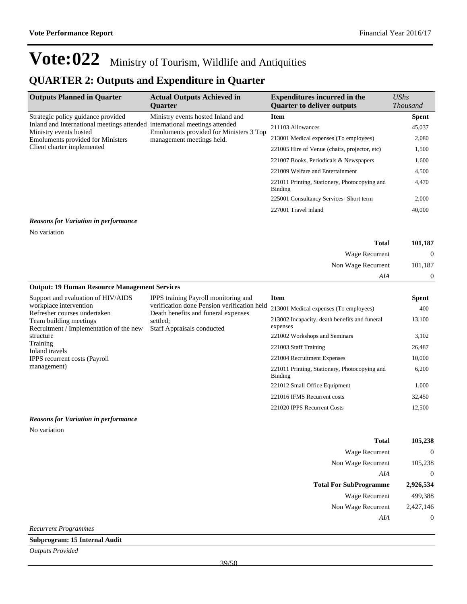221016 IFMS Recurrent costs 32,450 221020 IPPS Recurrent Costs 12,500

## Vote: 022 Ministry of Tourism, Wildlife and Antiquities

## **QUARTER 2: Outputs and Expenditure in Quarter**

| <b>Outputs Planned in Quarter</b>                                    | <b>Actual Outputs Achieved in</b><br><b>Ouarter</b>                        | <b>Expenditures incurred in the</b><br><b>Quarter to deliver outputs</b> | UShs<br><i>Thousand</i> |
|----------------------------------------------------------------------|----------------------------------------------------------------------------|--------------------------------------------------------------------------|-------------------------|
| Strategic policy guidance provided                                   | Ministry events hosted Inland and                                          | <b>Item</b>                                                              | <b>Spent</b>            |
| Inland and International meetings attended<br>Ministry events hosted | international meetings attended<br>Emoluments provided for Ministers 3 Top | 211103 Allowances                                                        | 45,037                  |
| <b>Emoluments provided for Ministers</b>                             | management meetings held.                                                  | 213001 Medical expenses (To employees)                                   | 2,080                   |
| Client charter implemented                                           | 221005 Hire of Venue (chairs, projector, etc)                              | 1,500                                                                    |                         |
|                                                                      |                                                                            | 221007 Books, Periodicals & Newspapers                                   | 1,600                   |
|                                                                      |                                                                            | 221009 Welfare and Entertainment                                         | 4,500                   |
|                                                                      |                                                                            | 221011 Printing, Stationery, Photocopying and<br>Binding                 | 4,470                   |
|                                                                      |                                                                            | 225001 Consultancy Services- Short term                                  | 2,000                   |
|                                                                      |                                                                            | 227001 Travel inland                                                     | 40,000                  |

#### *Reasons for Variation in performance*

No variation

| 101,187      | <b>Total</b>       |
|--------------|--------------------|
| $\mathbf{0}$ | Wage Recurrent     |
| 101,187      | Non Wage Recurrent |
| $\theta$     | AIA                |

### **Output: 19 Human Resource Management Services**

| Support and evaluation of HIV/AIDS                                | IPPS training Payroll monitoring and                                               | <b>Item</b>                                               | <b>Spent</b> |
|-------------------------------------------------------------------|------------------------------------------------------------------------------------|-----------------------------------------------------------|--------------|
| workplace intervention<br>Refresher courses undertaken            | verification done Pension verification held<br>Death benefits and funeral expenses | 213001 Medical expenses (To employees)                    | 400          |
| Team building meetings<br>Recruitment / Implementation of the new | settled:<br><b>Staff Appraisals conducted</b>                                      | 213002 Incapacity, death benefits and funeral<br>expenses | 13,100       |
| structure                                                         |                                                                                    | 221002 Workshops and Seminars                             | 3,102        |
| Training<br>Inland travels                                        |                                                                                    | 221003 Staff Training                                     | 26,487       |
| <b>IPPS</b> recurrent costs (Payroll                              |                                                                                    | 221004 Recruitment Expenses                               | 10,000       |
| management)                                                       |                                                                                    | 221011 Printing, Stationery, Photocopying and<br>Binding  | 6,200        |
|                                                                   |                                                                                    | 221012 Small Office Equipment                             | 1,000        |

#### *Reasons for Variation in performance*

No variation

| 105,238          | <b>Total</b>                  |
|------------------|-------------------------------|
| $\boldsymbol{0}$ | <b>Wage Recurrent</b>         |
| 105,238          | Non Wage Recurrent            |
| $\theta$         | AIA                           |
| 2,926,534        | <b>Total For SubProgramme</b> |
| 499,388          | <b>Wage Recurrent</b>         |
| 2,427,146        | Non Wage Recurrent            |
| $\boldsymbol{0}$ | AIA                           |
|                  |                               |

*Recurrent Programmes*

### **Subprogram: 15 Internal Audit**

*Outputs Provided*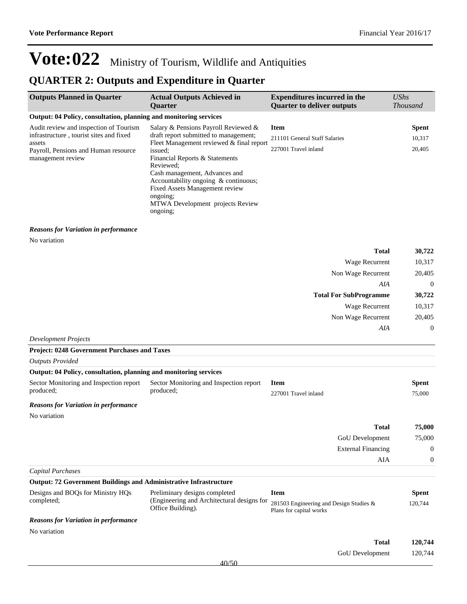## **QUARTER 2: Outputs and Expenditure in Quarter**

| <b>Outputs Planned in Quarter</b>                                                                                                                        | <b>Actual Outputs Achieved in</b><br><b>Ouarter</b>                                                                                                                                                                                                          | <b>Expenditures incurred in the</b><br><b>Quarter to deliver outputs</b> | UShs<br><i>Thousand</i>          |
|----------------------------------------------------------------------------------------------------------------------------------------------------------|--------------------------------------------------------------------------------------------------------------------------------------------------------------------------------------------------------------------------------------------------------------|--------------------------------------------------------------------------|----------------------------------|
| Output: 04 Policy, consultation, planning and monitoring services                                                                                        |                                                                                                                                                                                                                                                              |                                                                          |                                  |
| Audit review and inspection of Tourism<br>infrastructure, tourist sites and fixed<br>assets<br>Payroll, Pensions and Human resource<br>management review | Salary & Pensions Payroll Reviewed &<br>draft report submitted to management;<br>Fleet Management reviewed & final report<br>issued:<br>Financial Reports & Statements<br>Reviewed:<br>Cash management, Advances and<br>Accountability ongoing & continuous; | <b>Item</b><br>211101 General Staff Salaries<br>227001 Travel inland     | <b>Spent</b><br>10,317<br>20,405 |
|                                                                                                                                                          | <b>Fixed Assets Management review</b><br>ongoing:<br>MTWA Development projects Review<br>ongoing;                                                                                                                                                            |                                                                          |                                  |

#### *Reasons for Variation in performance*

**Project: 0248 Government Purchases and Taxes**

No variation

| <b>Total</b>                  | 30,722         |
|-------------------------------|----------------|
| <b>Wage Recurrent</b>         | 10,317         |
| Non Wage Recurrent            | 20,405         |
| AIA                           | $\overline{0}$ |
| <b>Total For SubProgramme</b> | 30,722         |
| <b>Wage Recurrent</b>         | 10,317         |
| Non Wage Recurrent            | 20,405         |
| AIA                           | $\overline{0}$ |
| Dovelopment Projects          |                |

*Development Projects*

| <b>Outputs Provided</b>                                                  |                                                                 |                                                                    |              |
|--------------------------------------------------------------------------|-----------------------------------------------------------------|--------------------------------------------------------------------|--------------|
| Output: 04 Policy, consultation, planning and monitoring services        |                                                                 |                                                                    |              |
| Sector Monitoring and Inspection report                                  | Sector Monitoring and Inspection report                         | <b>Item</b>                                                        | <b>Spent</b> |
| produced;                                                                | produced;                                                       | 227001 Travel inland                                               | 75,000       |
| <b>Reasons for Variation in performance</b>                              |                                                                 |                                                                    |              |
| No variation                                                             |                                                                 |                                                                    |              |
|                                                                          |                                                                 | <b>Total</b>                                                       | 75,000       |
|                                                                          |                                                                 | GoU Development                                                    | 75,000       |
|                                                                          |                                                                 | <b>External Financing</b>                                          | $\theta$     |
|                                                                          |                                                                 | AIA                                                                | $\theta$     |
| <b>Capital Purchases</b>                                                 |                                                                 |                                                                    |              |
| <b>Output: 72 Government Buildings and Administrative Infrastructure</b> |                                                                 |                                                                    |              |
| Designs and BOQs for Ministry HQs                                        | Preliminary designs completed                                   | <b>Item</b>                                                        | <b>Spent</b> |
| completed;                                                               | (Engineering and Architectural designs for<br>Office Building). | 281503 Engineering and Design Studies &<br>Plans for capital works | 120,744      |
| <b>Reasons for Variation in performance</b>                              |                                                                 |                                                                    |              |
| No variation                                                             |                                                                 |                                                                    |              |
|                                                                          |                                                                 | <b>Total</b>                                                       | 120,744      |
|                                                                          |                                                                 | GoU Development                                                    | 120,744      |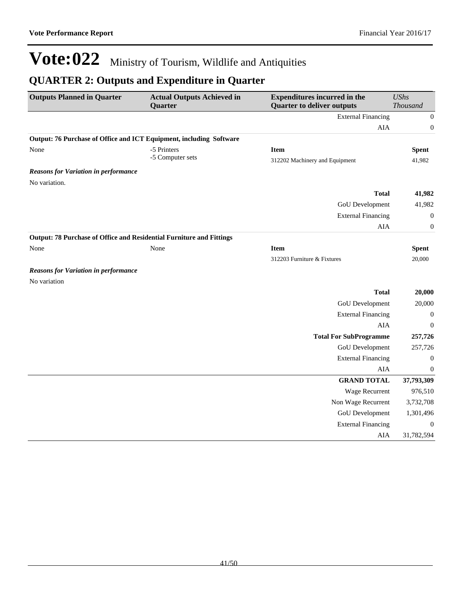## **QUARTER 2: Outputs and Expenditure in Quarter**

| <b>Outputs Planned in Quarter</b>                                    | <b>Actual Outputs Achieved in</b><br>Quarter | <b>Expenditures incurred in the</b><br><b>Quarter to deliver outputs</b> |                  |
|----------------------------------------------------------------------|----------------------------------------------|--------------------------------------------------------------------------|------------------|
|                                                                      |                                              | <b>External Financing</b>                                                | $\mathbf{0}$     |
|                                                                      |                                              | AIA                                                                      | 0                |
| Output: 76 Purchase of Office and ICT Equipment, including Software  |                                              |                                                                          |                  |
| None                                                                 | -5 Printers                                  | <b>Item</b>                                                              | <b>Spent</b>     |
|                                                                      | -5 Computer sets                             | 312202 Machinery and Equipment                                           | 41,982           |
| <b>Reasons for Variation in performance</b>                          |                                              |                                                                          |                  |
| No variation.                                                        |                                              |                                                                          |                  |
|                                                                      |                                              | <b>Total</b>                                                             | 41,982           |
|                                                                      |                                              | GoU Development                                                          | 41,982           |
|                                                                      |                                              | <b>External Financing</b>                                                | $\boldsymbol{0}$ |
|                                                                      |                                              | <b>AIA</b>                                                               | 0                |
| Output: 78 Purchase of Office and Residential Furniture and Fittings |                                              |                                                                          |                  |
| None                                                                 | None                                         | <b>Item</b>                                                              | <b>Spent</b>     |
|                                                                      |                                              | 312203 Furniture & Fixtures                                              | 20,000           |
| <b>Reasons for Variation in performance</b>                          |                                              |                                                                          |                  |
| No variation                                                         |                                              |                                                                          |                  |
|                                                                      |                                              | <b>Total</b>                                                             | 20,000           |
|                                                                      |                                              | GoU Development                                                          | 20,000           |
|                                                                      |                                              | <b>External Financing</b>                                                | $\boldsymbol{0}$ |
|                                                                      |                                              | <b>AIA</b>                                                               | $\boldsymbol{0}$ |
|                                                                      |                                              | <b>Total For SubProgramme</b>                                            | 257,726          |
|                                                                      |                                              | <b>GoU</b> Development                                                   | 257,726          |
|                                                                      |                                              | <b>External Financing</b>                                                | $\mathbf{0}$     |
|                                                                      |                                              | AIA                                                                      | $\mathbf{0}$     |
|                                                                      |                                              | <b>GRAND TOTAL</b>                                                       | 37,793,309       |
|                                                                      |                                              | Wage Recurrent                                                           | 976,510          |
|                                                                      |                                              | Non Wage Recurrent                                                       | 3,732,708        |
|                                                                      |                                              | GoU Development                                                          | 1,301,496        |
|                                                                      |                                              | <b>External Financing</b>                                                | $\mathbf{0}$     |
|                                                                      |                                              | AIA                                                                      | 31,782,594       |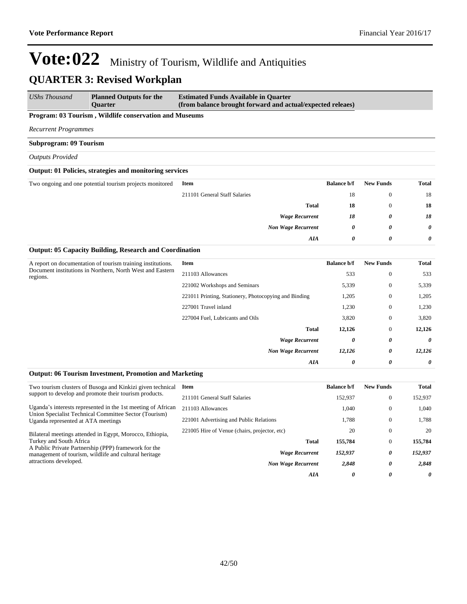| <b>UShs Thousand</b>          | <b>Planned Outputs for the</b><br><b>Ouarter</b>               | <b>Estimated Funds Available in Quarter</b><br>(from balance brought forward and actual/expected releaes) |                           |                       |                  |       |
|-------------------------------|----------------------------------------------------------------|-----------------------------------------------------------------------------------------------------------|---------------------------|-----------------------|------------------|-------|
|                               | Program: 03 Tourism, Wildlife conservation and Museums         |                                                                                                           |                           |                       |                  |       |
| <b>Recurrent Programmes</b>   |                                                                |                                                                                                           |                           |                       |                  |       |
| <b>Subprogram: 09 Tourism</b> |                                                                |                                                                                                           |                           |                       |                  |       |
| <b>Outputs Provided</b>       |                                                                |                                                                                                           |                           |                       |                  |       |
|                               | <b>Output: 01 Policies, strategies and monitoring services</b> |                                                                                                           |                           |                       |                  |       |
|                               | Two ongoing and one potential tourism projects monitored       | Item                                                                                                      |                           | <b>Balance b/f</b>    | <b>New Funds</b> | Total |
|                               |                                                                | 211101 General Staff Salaries                                                                             |                           | 18                    | $\mathbf{0}$     | 18    |
|                               |                                                                |                                                                                                           | <b>Total</b>              | 18                    | $\mathbf{0}$     | 18    |
|                               |                                                                |                                                                                                           | <b>Wage Recurrent</b>     | 18                    | 0                | 18    |
|                               |                                                                |                                                                                                           | <b>Non Wage Recurrent</b> | 0                     | 0                | 0     |
|                               |                                                                |                                                                                                           | AIA                       | $\boldsymbol{\theta}$ | 0                | 0     |

### **Output: 05 Capacity Building, Research and Coordination**

| A report on documentation of tourism training institutions.<br>Document institutions in Northern, North West and Eastern<br>regions. | <b>Item</b>                                           | <b>Balance b/f</b> | <b>New Funds</b> | <b>Total</b> |
|--------------------------------------------------------------------------------------------------------------------------------------|-------------------------------------------------------|--------------------|------------------|--------------|
|                                                                                                                                      | 211103 Allowances                                     | 533                | $\mathbf{0}$     | 533          |
|                                                                                                                                      | 221002 Workshops and Seminars                         | 5,339              | $\mathbf{0}$     | 5,339        |
|                                                                                                                                      | 221011 Printing, Stationery, Photocopying and Binding | 1,205              | $\mathbf{0}$     | 1,205        |
|                                                                                                                                      | 227001 Travel inland                                  | 1,230              | $\mathbf{0}$     | 1,230        |
|                                                                                                                                      | 227004 Fuel, Lubricants and Oils                      | 3,820              | $\mathbf{0}$     | 3,820        |
|                                                                                                                                      | <b>Total</b>                                          | 12,126             | $\mathbf{0}$     | 12,126       |
|                                                                                                                                      | <b>Wage Recurrent</b>                                 | 0                  | 0                | 0            |
|                                                                                                                                      | <b>Non Wage Recurrent</b>                             | 12,126             | 0                | 12,126       |
|                                                                                                                                      | AIA                                                   | 0                  | 0                | 0            |

#### **Output: 06 Tourism Investment, Promotion and Marketing**

| Two tourism clusters of Busoga and Kinkizi given technical                                                                                                                                                                     | Item                                          | <b>Balance b/f</b> | <b>New Funds</b> | Total    |
|--------------------------------------------------------------------------------------------------------------------------------------------------------------------------------------------------------------------------------|-----------------------------------------------|--------------------|------------------|----------|
| support to develop and promote their tourism products.                                                                                                                                                                         | 211101 General Staff Salaries                 | 152.937            | $\theta$         | 152,937  |
| Uganda's interests represented in the 1st meeting of African                                                                                                                                                                   | 211103 Allowances                             | 1,040              | $\theta$         | 1.040    |
| Union Specialist Technical Committee Sector (Tourism)<br>Uganda represented at ATA meetings                                                                                                                                    | 221001 Advertising and Public Relations       | 1.788              | $\theta$         | 1.788    |
| Bilateral meetings attended in Egypt, Morocco, Ethiopia,<br>Turkey and South Africa<br>A Public Private Partnership (PPP) framework for the<br>management of tourism, wildlife and cultural heritage<br>attractions developed. | 221005 Hire of Venue (chairs, projector, etc) | 20                 | $\mathbf{0}$     | 20       |
|                                                                                                                                                                                                                                | <b>Total</b>                                  | 155,784            | $\theta$         | 155,784  |
|                                                                                                                                                                                                                                | <b>Wage Recurrent</b>                         | 152,937            | 0                | 152,937  |
|                                                                                                                                                                                                                                | <b>Non Wage Recurrent</b>                     | 2,848              | 0                | 2.848    |
|                                                                                                                                                                                                                                | AIA                                           | 0                  | 0                | $\theta$ |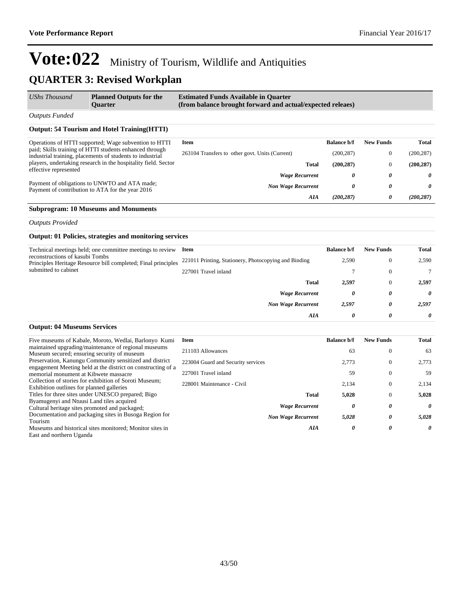## **QUARTER 3: Revised Workplan**

| UShs Thousand  | <b>Planned Outputs for the</b><br>Ouarter | <b>Estimated Funds Available in Ouarter</b><br>(from balance brought forward and actual/expected releaes) |
|----------------|-------------------------------------------|-----------------------------------------------------------------------------------------------------------|
| Outputs Funded |                                           |                                                                                                           |

#### **Output: 54 Tourism and Hotel Training(HTTI)**

| Item                                            | <b>Balance b/f</b> | <b>New Funds</b> | <b>Total</b> |
|-------------------------------------------------|--------------------|------------------|--------------|
| 263104 Transfers to other govt. Units (Current) | (200, 287)         |                  | (200, 287)   |
| <b>Total</b>                                    | (200.287)          |                  | (200, 287)   |
| <b>Wage Recurrent</b>                           | 0                  | 0                | 0            |
| <b>Non Wage Recurrent</b>                       | 0                  | 0                | 0            |
| AIA                                             | (200.287)          | 0                | (200.287)    |
|                                                 |                    |                  |              |

### **Subprogram: 10 Museums and Monuments**

*Outputs Provided*

**Output: 04 Museums Services**

| <b>Output: 01 Policies, strategies and monitoring services</b>                                                           |                                                       |                    |                  |        |
|--------------------------------------------------------------------------------------------------------------------------|-------------------------------------------------------|--------------------|------------------|--------|
| Technical meetings held; one committee meetings to review                                                                | Item                                                  | <b>Balance b/f</b> | <b>New Funds</b> | Total  |
| reconstructions of kasubi Tombs<br>Principles Heritage Resource bill completed; Final principles<br>submitted to cabinet | 221011 Printing, Stationery, Photocopying and Binding | 2,590              | $\theta$         | 2,590  |
|                                                                                                                          | 227001 Travel inland                                  |                    | $\mathbf{0}$     | $\tau$ |
|                                                                                                                          | <b>Total</b>                                          | 2,597              | $\theta$         | 2,597  |
|                                                                                                                          | <b>Wage Recurrent</b>                                 | 0                  | 0                | 0      |
|                                                                                                                          | <b>Non Wage Recurrent</b>                             | 2,597              | 0                | 2,597  |
|                                                                                                                          | AIA                                                   | 0                  | 0                | 0      |

| Five museums of Kabale, Moroto, Wedlai, Barlonyo Kumi                                                 | Item                               |                           | <b>Balance b/f</b> | <b>New Funds</b> | <b>Total</b> |
|-------------------------------------------------------------------------------------------------------|------------------------------------|---------------------------|--------------------|------------------|--------------|
| maintained upgrading/maintenance of regional museums<br>Museum secured; ensuring security of museum   | 211103 Allowances                  |                           | 63                 | $\Omega$         | 63           |
| Preservation, Kanungu Community sensitized and district                                               | 223004 Guard and Security services |                           | 2.773              | $\Omega$         | 2,773        |
| engagement Meeting held at the district on constructing of a<br>memorial monument at Kibwete massacre | 227001 Travel inland               |                           | 59                 | $\Omega$         | .59          |
| Collection of stories for exhibition of Soroti Museum:<br>Exhibition outlines for planned galleries   | 228001 Maintenance - Civil         |                           | 2,134              | $\Omega$         | 2,134        |
| Titles for three sites under UNESCO prepared; Bigo                                                    |                                    | Total                     | 5,028              | $\Omega$         | 5,028        |
| Byamugenyi and Ntuusi Land tiles acquired<br>Cultural heritage sites promoted and packaged;           |                                    | <b>Wage Recurrent</b>     | 0                  | 0                | 0            |
| Documentation and packaging sites in Busoga Region for<br>Tourism                                     |                                    | <b>Non Wage Recurrent</b> | 5,028              | 0                | 5,028        |
| Museums and historical sites monitored; Monitor sites in<br>East and northern Uganda                  |                                    | AIA                       | 0                  | 0                | $\theta$     |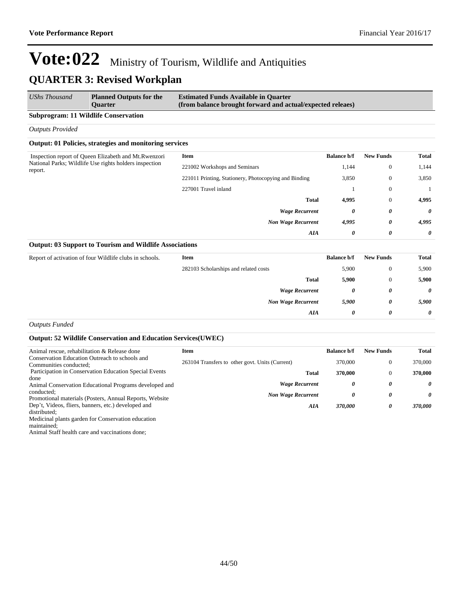| <b>UShs Thousand</b>                                              | <b>Planned Outputs for the</b><br><b>Ouarter</b>               | <b>Estimated Funds Available in Quarter</b><br>(from balance brought forward and actual/expected releaes) |                       |                       |              |
|-------------------------------------------------------------------|----------------------------------------------------------------|-----------------------------------------------------------------------------------------------------------|-----------------------|-----------------------|--------------|
|                                                                   | <b>Subprogram: 11 Wildlife Conservation</b>                    |                                                                                                           |                       |                       |              |
| <b>Outputs Provided</b>                                           |                                                                |                                                                                                           |                       |                       |              |
|                                                                   | <b>Output: 01 Policies, strategies and monitoring services</b> |                                                                                                           |                       |                       |              |
|                                                                   | Inspection report of Queen Elizabeth and Mt.Rwenzori           | <b>Item</b>                                                                                               | <b>Balance b/f</b>    | <b>New Funds</b>      | <b>Total</b> |
| National Parks; Wildlife Use rights holders inspection<br>report. |                                                                | 221002 Workshops and Seminars                                                                             | 1,144                 | $\overline{0}$        | 1,144        |
|                                                                   |                                                                | 221011 Printing, Stationery, Photocopying and Binding                                                     | 3,850                 | $\theta$              | 3,850        |
|                                                                   |                                                                | 227001 Travel inland                                                                                      |                       | $\theta$              | -1           |
|                                                                   |                                                                | <b>Total</b>                                                                                              | 4,995                 | $\theta$              | 4,995        |
|                                                                   |                                                                | <b>Wage Recurrent</b>                                                                                     | $\boldsymbol{\theta}$ | $\boldsymbol{\theta}$ | 0            |
|                                                                   |                                                                | <b>Non Wage Recurrent</b>                                                                                 | 4,995                 | 0                     | 4,995        |
|                                                                   |                                                                | <b>AIA</b>                                                                                                | $\boldsymbol{\theta}$ | $\boldsymbol{\theta}$ | 0            |
|                                                                   | <b>Output: 03 Support to Tourism and Wildlife Associations</b> |                                                                                                           |                       |                       |              |
|                                                                   | Report of activation of four Wildlife clubs in schools.        | <b>Item</b>                                                                                               | <b>Balance b/f</b>    | <b>New Funds</b>      | <b>Total</b> |
|                                                                   |                                                                | 282103 Scholarships and related costs                                                                     | 5,900                 | $\theta$              | 5,900        |
|                                                                   |                                                                | <b>Total</b>                                                                                              | 5,900                 | $\theta$              | 5,900        |
|                                                                   |                                                                | <b>Wage Recurrent</b>                                                                                     | 0                     | 0                     | $\theta$     |
|                                                                   |                                                                | <b>Non Wage Recurrent</b>                                                                                 | 5,900                 | 0                     | 5,900        |
|                                                                   |                                                                | AIA                                                                                                       | 0                     | $\boldsymbol{\theta}$ | 0            |
| 0.171                                                             |                                                                |                                                                                                           |                       |                       |              |

*Outputs Funded*

#### **Output: 52 Wildlife Conservation and Education Services(UWEC)**

| Animal rescue, rehabilitation & Release done                             | Item                                            | <b>Balance b/f</b> | <b>New Funds</b> | Total          |
|--------------------------------------------------------------------------|-------------------------------------------------|--------------------|------------------|----------------|
| Conservation Education Outreach to schools and<br>Communities conducted; | 263104 Transfers to other govt. Units (Current) | 370,000            |                  | 370,000        |
| Participation in Conservation Education Special Events                   | <b>Total</b>                                    | 370,000            |                  | 370,000        |
| done                                                                     |                                                 |                    |                  |                |
| Animal Conservation Educational Programs developed and                   | <b>Wage Recurrent</b>                           | 0                  | 0                | $\theta$       |
| conducted:                                                               |                                                 |                    |                  |                |
| Promotional materials (Posters, Annual Reports, Website                  | <b>Non Wage Recurrent</b>                       | 0                  | 0                | 0              |
| Dep't, Videos, fliers, banners, etc.) developed and                      | AIA                                             | 370,000            | 0                | <b>370.000</b> |
| distributed:                                                             |                                                 |                    |                  |                |

Medicinal plants garden for Conservation education maintained;

Animal Staff health care and vaccinations done;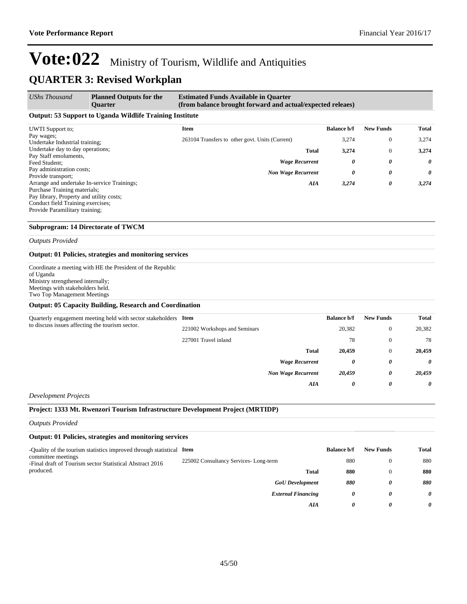*UShs Thousand* **Planned Outputs for the Quarter Estimated Funds Available in Quarter (from balance brought forward and actual/expected releaes)**

#### **Output: 53 Support to Uganda Wildlife Training Institute**

| UWTI Support to;                             | <b>Item</b>                                     | <b>Balance b/f</b> | <b>New Funds</b> | Total |
|----------------------------------------------|-------------------------------------------------|--------------------|------------------|-------|
| Pay wages;<br>Undertake Industrial training; | 263104 Transfers to other govt. Units (Current) | 3,274              | $\theta$         | 3,274 |
| Undertake day to day operations;             | <b>Total</b>                                    | 3,274              | $\theta$         | 3,274 |
| Pay Staff emoluments,                        |                                                 |                    |                  |       |
| Feed Student:                                | <b>Wage Recurrent</b>                           | 0                  | 0                | 0     |
| Pay administration costs;                    | <b>Non Wage Recurrent</b>                       | 0                  | 0                | 0     |
| Provide transport;                           |                                                 |                    |                  |       |
| Arrange and undertake In-service Trainings;  | AIA                                             | 3,274              | 0                | 3,274 |
| Purchase Training materials;                 |                                                 |                    |                  |       |
| Pay library, Property and utility costs;     |                                                 |                    |                  |       |
| Conduct field Training exercises;            |                                                 |                    |                  |       |

#### **Subprogram: 14 Directorate of TWCM**

*Outputs Provided*

#### **Output: 01 Policies, strategies and monitoring services**

Coordinate a meeting with HE the President of the Republic of Uganda Ministry strengthened internally; Meetings with stakeholders held.

Two Top Management Meetings

Provide Paramilitary training;

#### **Output: 05 Capacity Building, Research and Coordination**

| Quarterly engagement meeting held with sector stakeholders<br>to discuss issues affecting the tourism sector. | Item                          |                           | <b>Balance b/f</b> | <b>New Funds</b> | <b>Total</b>          |
|---------------------------------------------------------------------------------------------------------------|-------------------------------|---------------------------|--------------------|------------------|-----------------------|
|                                                                                                               | 221002 Workshops and Seminars |                           | 20,382             | $\mathbf{0}$     | 20,382                |
|                                                                                                               | 227001 Travel inland          |                           | 78                 | $\mathbf{0}$     | 78                    |
|                                                                                                               |                               | <b>Total</b>              | 20,459             | $\mathbf{0}$     | 20,459                |
|                                                                                                               |                               | <b>Wage Recurrent</b>     | 0                  | 0                | 0                     |
|                                                                                                               |                               | <b>Non Wage Recurrent</b> | 20,459             | 0                | 20,459                |
|                                                                                                               |                               | AIA                       | 0                  | 0                | $\boldsymbol{\theta}$ |
|                                                                                                               |                               |                           |                    |                  |                       |

*Development Projects*

#### **Project: 1333 Mt. Rwenzori Tourism Infrastructure Development Project (MRTIDP)**

*Outputs Provided*

#### **Output: 01 Policies, strategies and monitoring services**

| -Quality of the tourism statistics improved through statistical Item           |                                       | <b>Balance b/f</b> | <b>New Funds</b> | <b>Total</b> |
|--------------------------------------------------------------------------------|---------------------------------------|--------------------|------------------|--------------|
| committee meetings<br>-Final draft of Tourism sector Statistical Abstract 2016 | 225002 Consultancy Services-Long-term | 880                | 0                | 880          |
| produced.                                                                      | <b>Total</b>                          | 880                |                  | 880          |
|                                                                                | <b>GoU</b> Development                | 880                | 0                | 880          |
|                                                                                | <b>External Financing</b>             | 0                  | 0                | 0            |
|                                                                                | AIA                                   | 0                  | 0                | 0            |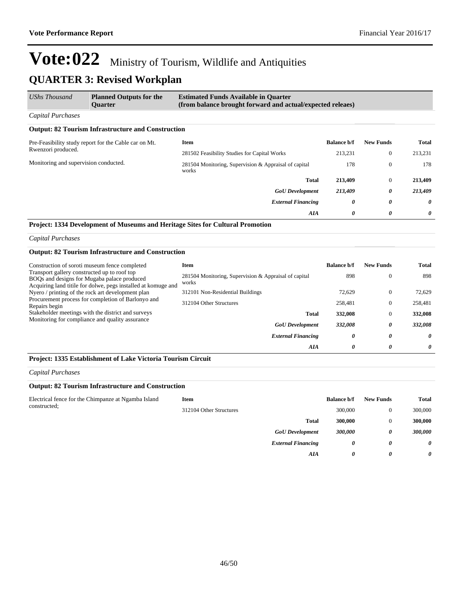### **QUARTER 3: Revised Workplan** *UShs Thousand* **Planned Outputs for the Estimated Funds Available in Quarter**

|                                                                             | <b>Ouarter</b>                                            | (from balance brought forward and actual/expected releaes)     |                  |              |          |
|-----------------------------------------------------------------------------|-----------------------------------------------------------|----------------------------------------------------------------|------------------|--------------|----------|
| <b>Capital Purchases</b>                                                    |                                                           |                                                                |                  |              |          |
|                                                                             | <b>Output: 82 Tourism Infrastructure and Construction</b> |                                                                |                  |              |          |
| Pre-Feasibility study report for the Cable car on Mt.<br>Rwenzori produced. | Item                                                      | <b>Balance b/f</b>                                             | <b>New Funds</b> | <b>Total</b> |          |
|                                                                             | 281502 Feasibility Studies for Capital Works              | 213,231                                                        | $\bf{0}$         | 213,231      |          |
| Monitoring and supervision conducted.                                       |                                                           | 281504 Monitoring, Supervision & Appraisal of capital<br>works | 178              | $\mathbf{0}$ | 178      |
|                                                                             |                                                           | <b>Total</b>                                                   | 213,409          | $\mathbf{0}$ | 213,409  |
|                                                                             |                                                           | <b>GoU</b> Development                                         | 213,409          | 0            | 213,409  |
|                                                                             |                                                           | <b>External Financing</b>                                      | 0                | 0            | $\theta$ |
|                                                                             |                                                           | AIA                                                            | 0                | 0            | 0        |

#### **Project: 1334 Development of Museums and Heritage Sites for Cultural Promotion**

*Capital Purchases*

### **Output: 82 Tourism Infrastructure and Construction**

| Construction of soroti museum fence completed<br>Transport gallery constructed up to roof top<br>BOOs and designs for Mugaba palace produced<br>Acquiring land titile for dolwe, pegs installed at komuge and<br>Nyero / printing of the rock art development plan<br>Procurement process for completion of Barlonyo and<br>Repairs begin | Item                                                           | <b>Balance b/f</b> | <b>New Funds</b> | Total   |
|-------------------------------------------------------------------------------------------------------------------------------------------------------------------------------------------------------------------------------------------------------------------------------------------------------------------------------------------|----------------------------------------------------------------|--------------------|------------------|---------|
|                                                                                                                                                                                                                                                                                                                                           | 281504 Monitoring, Supervision & Appraisal of capital<br>works | 898                | $\theta$         | 898     |
|                                                                                                                                                                                                                                                                                                                                           | 312101 Non-Residential Buildings                               | 72.629             | $\theta$         | 72.629  |
|                                                                                                                                                                                                                                                                                                                                           | 312104 Other Structures                                        | 258.481            | $\theta$         | 258.481 |
| Stakeholder meetings with the district and surveys                                                                                                                                                                                                                                                                                        | <b>Total</b>                                                   | 332,008            | $\theta$         | 332,008 |
| Monitoring for compliance and quality assurance                                                                                                                                                                                                                                                                                           | <b>GoU</b> Development                                         | 332,008            | 0                | 332.008 |
|                                                                                                                                                                                                                                                                                                                                           | <b>External Financing</b>                                      | 0                  | 0                | 0       |
|                                                                                                                                                                                                                                                                                                                                           | AIA                                                            | $\theta$           | 0                | 0       |

### **Project: 1335 Establishment of Lake Victoria Tourism Circuit**

*Capital Purchases*

### **Output: 82 Tourism Infrastructure and Construction**

| Electrical fence for the Chimpanze at Ngamba Island<br>constructed: | Item                    |                           | <b>Balance b/f</b> | <b>New Funds</b> | <b>Total</b> |
|---------------------------------------------------------------------|-------------------------|---------------------------|--------------------|------------------|--------------|
|                                                                     | 312104 Other Structures |                           | 300,000            |                  | 300,000      |
|                                                                     |                         | <b>Total</b>              | 300,000            |                  | 300,000      |
|                                                                     |                         | <b>GoU</b> Development    | 300,000            | 0                | 300,000      |
|                                                                     |                         | <b>External Financing</b> | 0                  | 0                | 0            |
|                                                                     |                         | AIA                       | 0                  | 0                | 0            |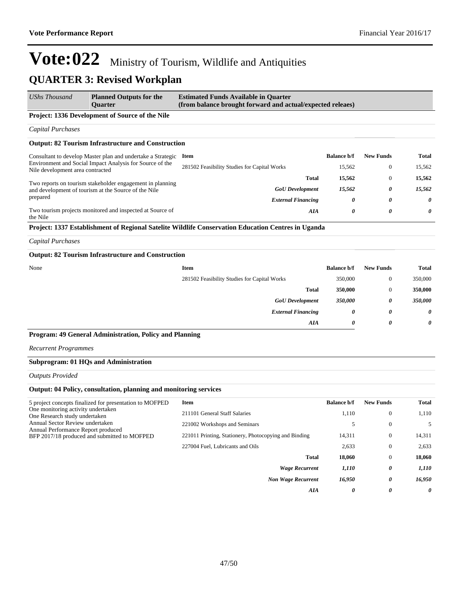| UShs Thousand                                                                                                                                               | <b>Planned Outputs for the</b><br><b>Ouarter</b>          | <b>Estimated Funds Available in Quarter</b><br>(from balance brought forward and actual/expected releaes) |                    |                  |        |
|-------------------------------------------------------------------------------------------------------------------------------------------------------------|-----------------------------------------------------------|-----------------------------------------------------------------------------------------------------------|--------------------|------------------|--------|
|                                                                                                                                                             | <b>Project: 1336 Development of Source of the Nile</b>    |                                                                                                           |                    |                  |        |
| Capital Purchases                                                                                                                                           |                                                           |                                                                                                           |                    |                  |        |
|                                                                                                                                                             | <b>Output: 82 Tourism Infrastructure and Construction</b> |                                                                                                           |                    |                  |        |
| Consultant to develop Master plan and undertake a Strategic<br>Environment and Social Impact Analysis for Source of the<br>Nile development area contracted |                                                           | Item                                                                                                      | <b>Balance b/f</b> | <b>New Funds</b> | Total  |
|                                                                                                                                                             |                                                           | 281502 Feasibility Studies for Capital Works                                                              | 15,562             | $\mathbf{0}$     | 15,562 |
| Two reports on tourism stakeholder engagement in planning                                                                                                   |                                                           | Total                                                                                                     | 15,562             | $\mathbf{0}$     | 15,562 |
|                                                                                                                                                             | and development of tourism at the Source of the Nile      | <b>GoU</b> Development                                                                                    | 15,562             | 0                | 15,562 |
| prepared                                                                                                                                                    | <b>External Financing</b>                                 | 0                                                                                                         | 0                  | $\theta$         |        |
| the Nile                                                                                                                                                    | Two tourism projects monitored and inspected at Source of | AIA                                                                                                       | 0                  | 0                | 0      |
|                                                                                                                                                             |                                                           | Project: 1337 Establishment of Regional Satelite Wildlife Conservation Education Centres in Uganda        |                    |                  |        |

*Capital Purchases*

#### **Output: 82 Tourism Infrastructure and Construction**

| None                        | Item                                         | <b>Balance b/f</b> | <b>New Funds</b> | <b>Total</b> |
|-----------------------------|----------------------------------------------|--------------------|------------------|--------------|
|                             | 281502 Feasibility Studies for Capital Works | 350,000            | $\theta$         | 350,000      |
|                             | <b>Total</b>                                 | 350,000            | $\theta$         | 350,000      |
|                             | <b>GoU</b> Development                       | 350,000            | 0                | 350,000      |
|                             | <b>External Financing</b>                    | 0                  | 0                | $\theta$     |
|                             | AIA                                          | 0                  | $\theta$         | $\theta$     |
| .<br>_ _ _ _ _<br>__<br>___ |                                              |                    |                  |              |

#### **Program: 49 General Administration, Policy and Planning**

*Recurrent Programmes*

### **Subprogram: 01 HQs and Administration**

*Outputs Provided*

#### **Output: 04 Policy, consultation, planning and monitoring services**

| 5 project concepts finalized for presentation to MOFPED                                                               | Item                                                  | <b>Balance b/f</b> | <b>New Funds</b> | Total  |
|-----------------------------------------------------------------------------------------------------------------------|-------------------------------------------------------|--------------------|------------------|--------|
| One monitoring activity undertaken<br>One Research study undertaken                                                   | 211101 General Staff Salaries                         | 1,110              | $\mathbf{0}$     | 1,110  |
| Annual Sector Review undertaken<br>Annual Performance Report produced<br>BFP 2017/18 produced and submitted to MOFPED | 221002 Workshops and Seminars                         |                    | $\mathbf{0}$     |        |
|                                                                                                                       | 221011 Printing, Stationery, Photocopying and Binding | 14,311             | $\theta$         | 14,311 |
|                                                                                                                       | 227004 Fuel, Lubricants and Oils                      | 2,633              | $\mathbf{0}$     | 2,633  |
|                                                                                                                       | <b>Total</b>                                          | 18,060             | $\theta$         | 18,060 |
|                                                                                                                       | <b>Wage Recurrent</b>                                 | 1,110              | 0                | 1,110  |
|                                                                                                                       | <b>Non Wage Recurrent</b>                             | 16,950             | 0                | 16,950 |
|                                                                                                                       | AIA                                                   | 0                  | 0                | 0      |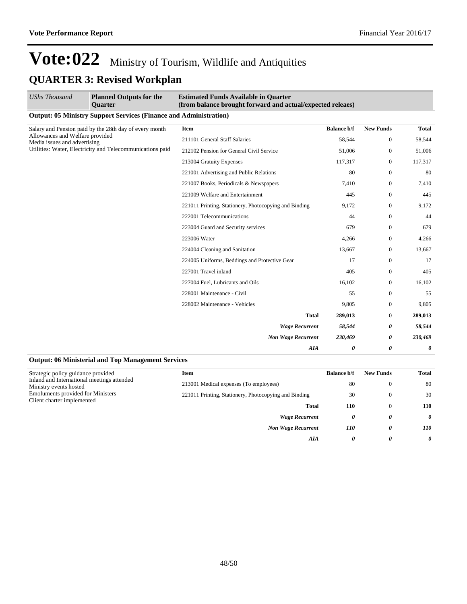| <b>UShs Thousand</b>                                            | <b>Planned Outputs for the</b><br><b>Ouarter</b>                         | <b>Estimated Funds Available in Quarter</b><br>(from balance brought forward and actual/expected releaes) |                       |                  |                       |  |  |  |
|-----------------------------------------------------------------|--------------------------------------------------------------------------|-----------------------------------------------------------------------------------------------------------|-----------------------|------------------|-----------------------|--|--|--|
|                                                                 | <b>Output: 05 Ministry Support Services (Finance and Administration)</b> |                                                                                                           |                       |                  |                       |  |  |  |
|                                                                 | Salary and Pension paid by the 28th day of every month                   | <b>Item</b>                                                                                               | <b>Balance b/f</b>    | <b>New Funds</b> | <b>Total</b>          |  |  |  |
| Allowances and Welfare provided<br>Media issues and advertising |                                                                          | 211101 General Staff Salaries                                                                             | 58.544                | $\mathbf{0}$     | 58,544                |  |  |  |
|                                                                 | Utilities: Water, Electricity and Telecommunications paid                | 212102 Pension for General Civil Service                                                                  | 51,006                | $\mathbf{0}$     | 51,006                |  |  |  |
|                                                                 |                                                                          | 213004 Gratuity Expenses                                                                                  | 117,317               | $\mathbf{0}$     | 117,317               |  |  |  |
|                                                                 |                                                                          | 221001 Advertising and Public Relations                                                                   | 80                    | $\mathbf{0}$     | 80                    |  |  |  |
|                                                                 | 221007 Books, Periodicals & Newspapers                                   | 7,410                                                                                                     | $\boldsymbol{0}$      | 7,410            |                       |  |  |  |
|                                                                 | 221009 Welfare and Entertainment                                         | 445                                                                                                       | $\mathbf{0}$          | 445              |                       |  |  |  |
|                                                                 |                                                                          | 221011 Printing, Stationery, Photocopying and Binding                                                     | 9,172                 | $\mathbf{0}$     | 9,172                 |  |  |  |
|                                                                 | 222001 Telecommunications                                                | 44                                                                                                        | $\mathbf{0}$          | 44               |                       |  |  |  |
|                                                                 |                                                                          | 223004 Guard and Security services                                                                        | 679                   | $\mathbf{0}$     | 679                   |  |  |  |
|                                                                 |                                                                          | 223006 Water                                                                                              | 4,266                 | $\mathbf{0}$     | 4,266                 |  |  |  |
|                                                                 |                                                                          | 224004 Cleaning and Sanitation                                                                            | 13,667                | $\mathbf{0}$     | 13,667                |  |  |  |
|                                                                 |                                                                          | 224005 Uniforms, Beddings and Protective Gear                                                             | 17                    | $\Omega$         | 17                    |  |  |  |
|                                                                 |                                                                          | 227001 Travel inland                                                                                      | 405                   | $\overline{0}$   | 405                   |  |  |  |
|                                                                 |                                                                          | 227004 Fuel, Lubricants and Oils                                                                          | 16,102                | $\mathbf{0}$     | 16,102                |  |  |  |
|                                                                 |                                                                          | 228001 Maintenance - Civil                                                                                | 55                    | $\mathbf{0}$     | 55                    |  |  |  |
|                                                                 |                                                                          | 228002 Maintenance - Vehicles                                                                             | 9,805                 | $\mathbf{0}$     | 9,805                 |  |  |  |
|                                                                 |                                                                          | <b>Total</b>                                                                                              | 289,013               | $\theta$         | 289,013               |  |  |  |
|                                                                 |                                                                          | <b>Wage Recurrent</b>                                                                                     | 58,544                | 0                | 58,544                |  |  |  |
|                                                                 |                                                                          | <b>Non Wage Recurrent</b>                                                                                 | 230,469               | 0                | 230,469               |  |  |  |
|                                                                 |                                                                          | <b>AIA</b>                                                                                                | $\boldsymbol{\theta}$ | 0                | $\boldsymbol{\theta}$ |  |  |  |

### **Output: 06 Ministerial and Top Management Services**

| Strategic policy guidance provided<br>Inland and International meetings attended<br>Ministry events hosted<br><b>Emoluments provided for Ministers</b><br>Client charter implemented | Item                                                  | <b>Balance b/f</b> | <b>New Funds</b> | Total |
|--------------------------------------------------------------------------------------------------------------------------------------------------------------------------------------|-------------------------------------------------------|--------------------|------------------|-------|
|                                                                                                                                                                                      | 213001 Medical expenses (To employees)                | 80                 | $\theta$         | 80    |
|                                                                                                                                                                                      | 221011 Printing, Stationery, Photocopying and Binding | 30                 | $\theta$         | 30    |
|                                                                                                                                                                                      | <b>Total</b>                                          | 110                | $\theta$         | 110   |
|                                                                                                                                                                                      | <b>Wage Recurrent</b>                                 | 0                  | 0                | 0     |
|                                                                                                                                                                                      | <b>Non Wage Recurrent</b>                             | 110                | 0                | 110   |
|                                                                                                                                                                                      | AIA                                                   | 0                  | 0                | 0     |
|                                                                                                                                                                                      |                                                       |                    |                  |       |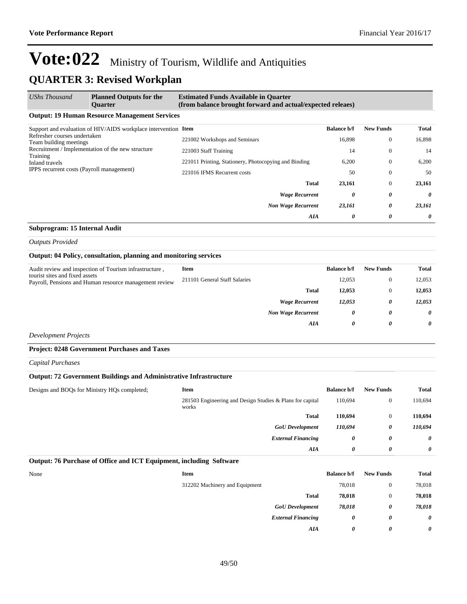| <b>UShs Thousand</b>                                   | <b>Planned Outputs for the</b><br><b>Ouarter</b>               | <b>Estimated Funds Available in Quarter</b><br>(from balance brought forward and actual/expected releaes) |                    |                  |          |
|--------------------------------------------------------|----------------------------------------------------------------|-----------------------------------------------------------------------------------------------------------|--------------------|------------------|----------|
|                                                        | <b>Output: 19 Human Resource Management Services</b>           |                                                                                                           |                    |                  |          |
|                                                        | Support and evaluation of HIV/AIDS workplace intervention Item |                                                                                                           | <b>Balance b/f</b> | <b>New Funds</b> | Total    |
| Refresher courses undertaken<br>Team building meetings |                                                                | 221002 Workshops and Seminars                                                                             | 16,898             | $\mathbf{0}$     | 16,898   |
| Training                                               | Recruitment / Implementation of the new structure              | 221003 Staff Training                                                                                     | 14                 | $\mathbf{0}$     | 14       |
| Inland travels                                         |                                                                | 221011 Printing, Stationery, Photocopying and Binding                                                     | 6,200              | $\mathbf{0}$     | 6,200    |
| IPPS recurrent costs (Payroll management)              |                                                                | 221016 IFMS Recurrent costs                                                                               | 50                 | $\mathbf{0}$     | 50       |
|                                                        |                                                                | <b>Total</b>                                                                                              | 23,161             | $\mathbf{0}$     | 23,161   |
|                                                        |                                                                | <b>Wage Recurrent</b>                                                                                     | 0                  | 0                | $\theta$ |
|                                                        |                                                                | <b>Non Wage Recurrent</b>                                                                                 | 23,161             | 0                | 23,161   |
|                                                        |                                                                | <b>AIA</b>                                                                                                | 0                  | 0                | 0        |

#### **Subprogram: 15 Internal Audit**

#### *Outputs Provided*

#### **Output: 04 Policy, consultation, planning and monitoring services**

| Audit review and inspection of Tourism infrastructure,<br>tourist sites and fixed assets<br>Payroll, Pensions and Human resource management review | Item                          |                           | <b>Balance b/f</b> | <b>New Funds</b> | Total    |
|----------------------------------------------------------------------------------------------------------------------------------------------------|-------------------------------|---------------------------|--------------------|------------------|----------|
|                                                                                                                                                    | 211101 General Staff Salaries |                           | 12,053             | $\mathbf{0}$     | 12,053   |
|                                                                                                                                                    |                               | <b>Total</b>              | 12,053             | $\mathbf{0}$     | 12,053   |
|                                                                                                                                                    |                               | <b>Wage Recurrent</b>     | 12,053             | 0                | 12,053   |
|                                                                                                                                                    |                               | <b>Non Wage Recurrent</b> | 0                  | 0                | $\theta$ |
|                                                                                                                                                    |                               | AIA                       | $\theta$           | 0                | 0        |
|                                                                                                                                                    |                               |                           |                    |                  |          |

*Development Projects*

#### **Project: 0248 Government Purchases and Taxes**

*Capital Purchases*

#### **Output: 72 Government Buildings and Administrative Infrastructure**

| Designs and BOQs for Ministry HQs completed; | <b>Item</b>                                                        | <b>Balance b/f</b> | <b>New Funds</b> | <b>Total</b> |
|----------------------------------------------|--------------------------------------------------------------------|--------------------|------------------|--------------|
|                                              | 281503 Engineering and Design Studies & Plans for capital<br>works | 110.694            | $\mathbf{0}$     | 110,694      |
|                                              | <b>Total</b>                                                       | 110,694            | $\overline{0}$   | 110,694      |
|                                              | <b>GoU</b> Development                                             | 110,694            | 0                | 110,694      |
|                                              | <b>External Financing</b>                                          | 0                  | 0                | 0            |
|                                              | AIA                                                                | 0                  | 0                | 0            |

#### **Output: 76 Purchase of Office and ICT Equipment, including Software**

| None | <b>Item</b>                    | <b>Balance b/f</b> | <b>New Funds</b> | <b>Total</b>          |
|------|--------------------------------|--------------------|------------------|-----------------------|
|      | 312202 Machinery and Equipment | 78,018             | $\theta$         | 78,018                |
|      | <b>Total</b>                   | 78,018             | $\mathbf{0}$     | 78,018                |
|      | <b>GoU</b> Development         | 78,018             | 0                | 78,018                |
|      | <b>External Financing</b>      | 0                  | 0                | $\theta$              |
|      | AIA                            | 0                  | 0                | $\boldsymbol{\theta}$ |